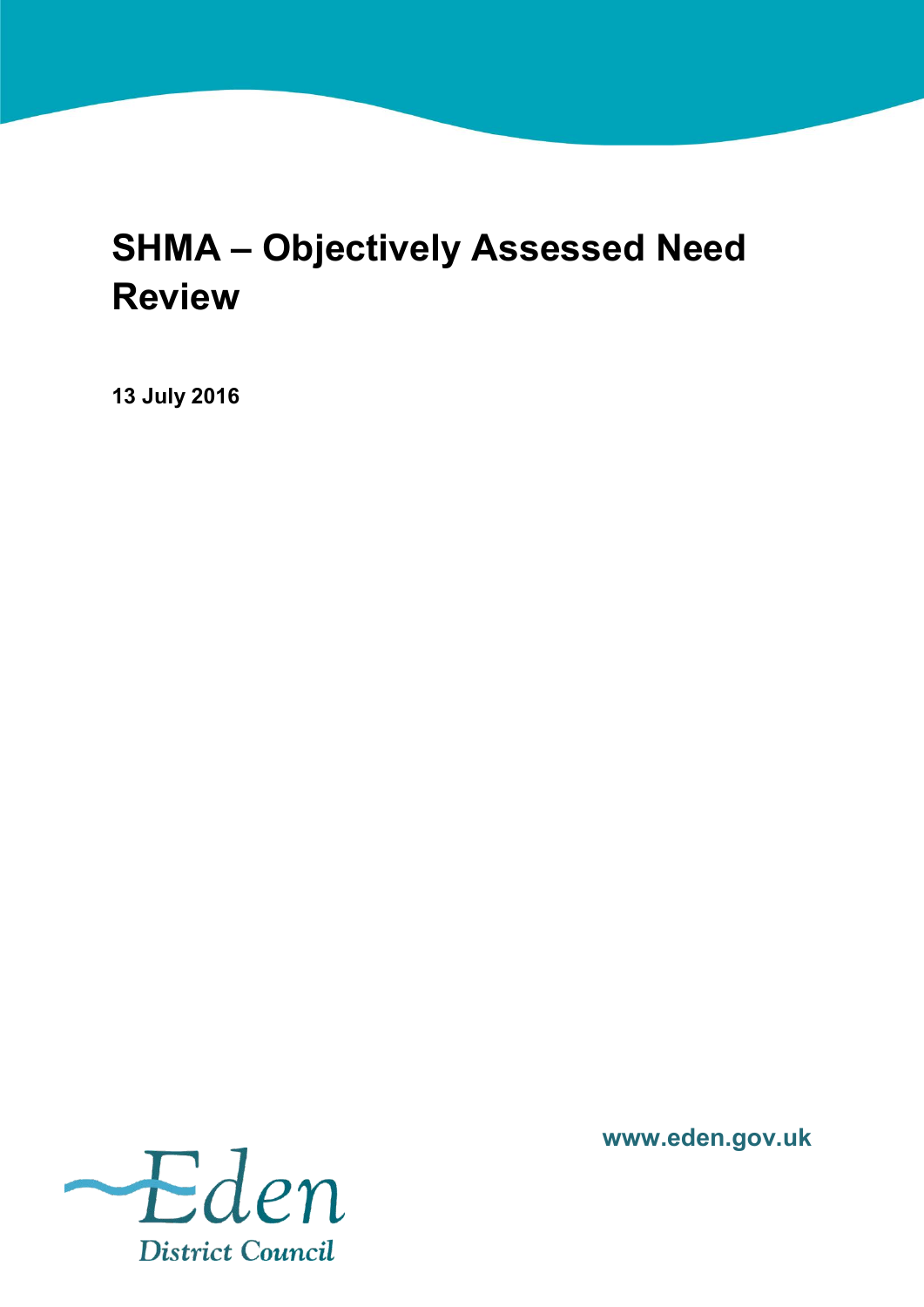# <span id="page-0-1"></span><span id="page-0-0"></span>**SHMA – Objectively Assessed Need Review**

**13 July 2016**



**www.eden.gov.uk**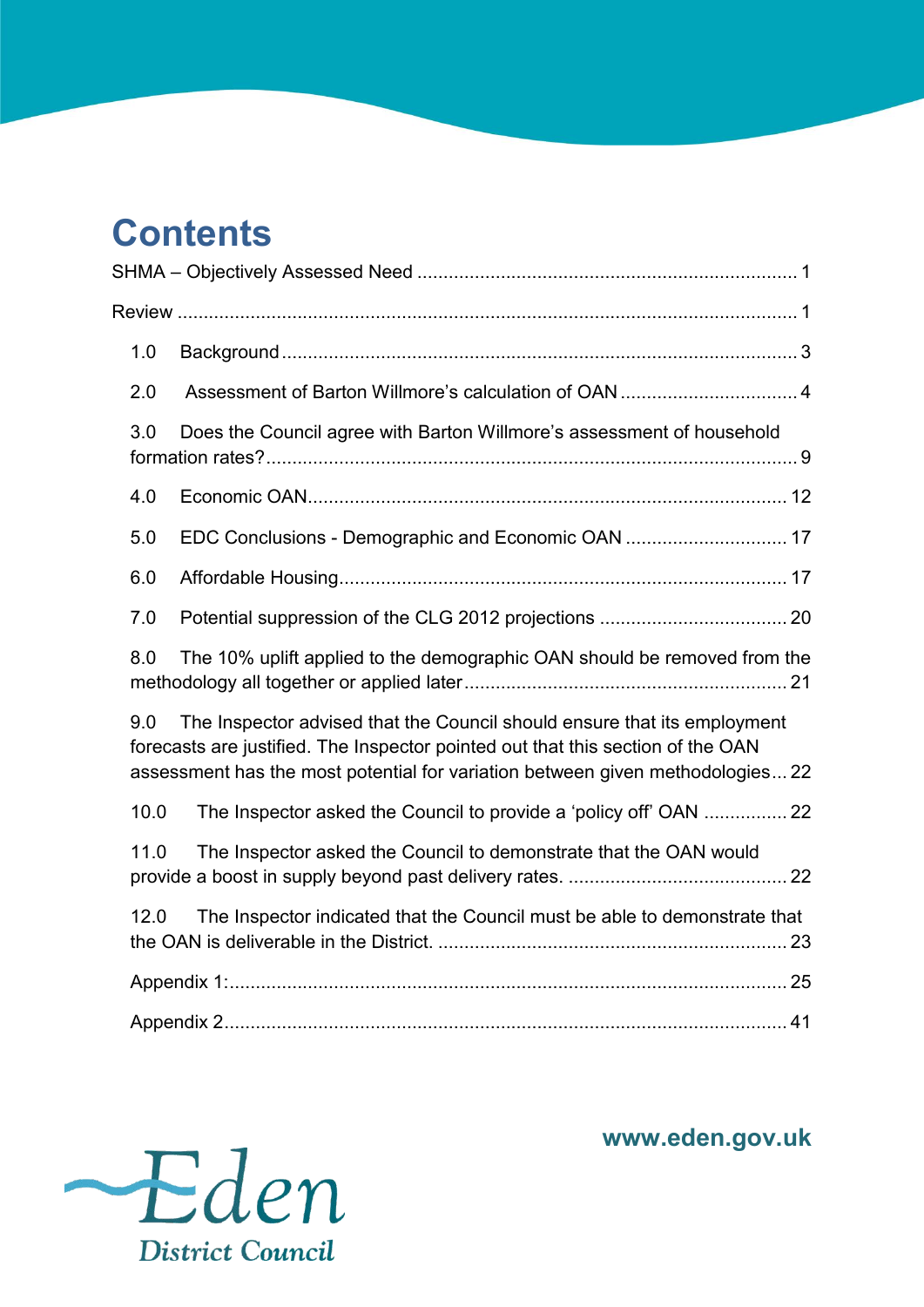# **Contents**<br>SHMA - Objectively

| 1.0  |                                                                                                                                                                                                                                               |  |
|------|-----------------------------------------------------------------------------------------------------------------------------------------------------------------------------------------------------------------------------------------------|--|
| 2.0  |                                                                                                                                                                                                                                               |  |
| 3.0  | Does the Council agree with Barton Willmore's assessment of household                                                                                                                                                                         |  |
| 4.0  |                                                                                                                                                                                                                                               |  |
| 5.0  | EDC Conclusions - Demographic and Economic OAN  17                                                                                                                                                                                            |  |
| 6.0  |                                                                                                                                                                                                                                               |  |
| 7.0  |                                                                                                                                                                                                                                               |  |
| 8.0  | The 10% uplift applied to the demographic OAN should be removed from the                                                                                                                                                                      |  |
| 9.0  | The Inspector advised that the Council should ensure that its employment<br>forecasts are justified. The Inspector pointed out that this section of the OAN<br>assessment has the most potential for variation between given methodologies 22 |  |
| 10.0 | The Inspector asked the Council to provide a 'policy off' OAN  22                                                                                                                                                                             |  |
| 11.0 | The Inspector asked the Council to demonstrate that the OAN would                                                                                                                                                                             |  |
| 12.0 | The Inspector indicated that the Council must be able to demonstrate that                                                                                                                                                                     |  |
|      |                                                                                                                                                                                                                                               |  |
|      |                                                                                                                                                                                                                                               |  |



**www.eden.gov.uk**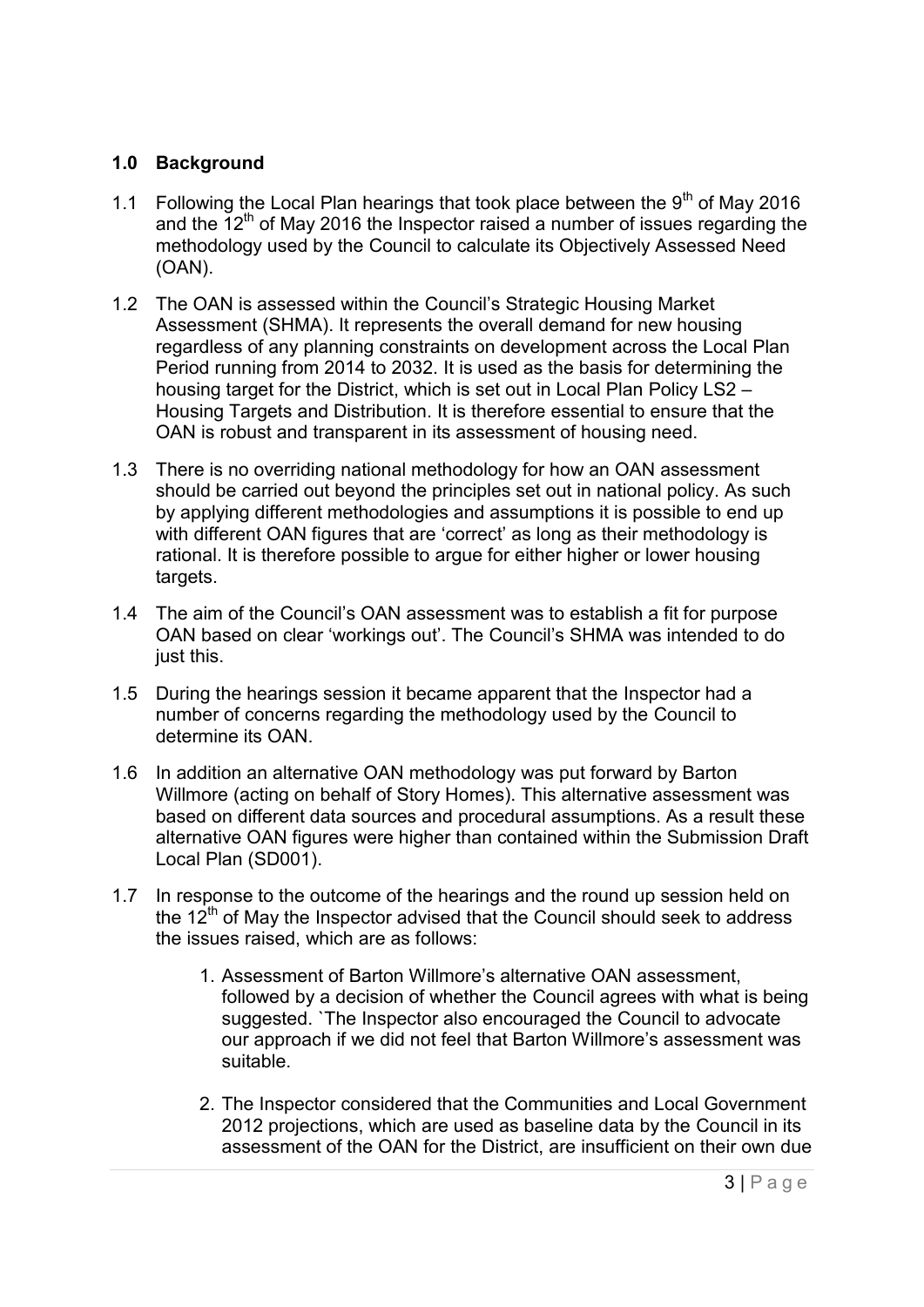#### <span id="page-2-0"></span>**1.0 Background**

- 1.1 Following the Local Plan hearings that took place between the  $9<sup>th</sup>$  of May 2016 and the  $12<sup>th</sup>$  of May 2016 the Inspector raised a number of issues regarding the methodology used by the Council to calculate its Objectively Assessed Need (OAN).
- 1.2 The OAN is assessed within the Council's Strategic Housing Market Assessment (SHMA). It represents the overall demand for new housing regardless of any planning constraints on development across the Local Plan Period running from 2014 to 2032. It is used as the basis for determining the housing target for the District, which is set out in Local Plan Policy LS2 – Housing Targets and Distribution. It is therefore essential to ensure that the OAN is robust and transparent in its assessment of housing need.
- 1.3 There is no overriding national methodology for how an OAN assessment should be carried out beyond the principles set out in national policy. As such by applying different methodologies and assumptions it is possible to end up with different OAN figures that are 'correct' as long as their methodology is rational. It is therefore possible to argue for either higher or lower housing targets.
- 1.4 The aim of the Council's OAN assessment was to establish a fit for purpose OAN based on clear 'workings out'. The Council's SHMA was intended to do just this.
- 1.5 During the hearings session it became apparent that the Inspector had a number of concerns regarding the methodology used by the Council to determine its OAN.
- 1.6 In addition an alternative OAN methodology was put forward by Barton Willmore (acting on behalf of Story Homes). This alternative assessment was based on different data sources and procedural assumptions. As a result these alternative OAN figures were higher than contained within the Submission Draft Local Plan (SD001).
- 1.7 In response to the outcome of the hearings and the round up session held on the  $12<sup>th</sup>$  of May the Inspector advised that the Council should seek to address the issues raised, which are as follows:
	- 1. Assessment of Barton Willmore's alternative OAN assessment, followed by a decision of whether the Council agrees with what is being suggested. `The Inspector also encouraged the Council to advocate our approach if we did not feel that Barton Willmore's assessment was suitable.
	- 2. The Inspector considered that the Communities and Local Government 2012 projections, which are used as baseline data by the Council in its assessment of the OAN for the District, are insufficient on their own due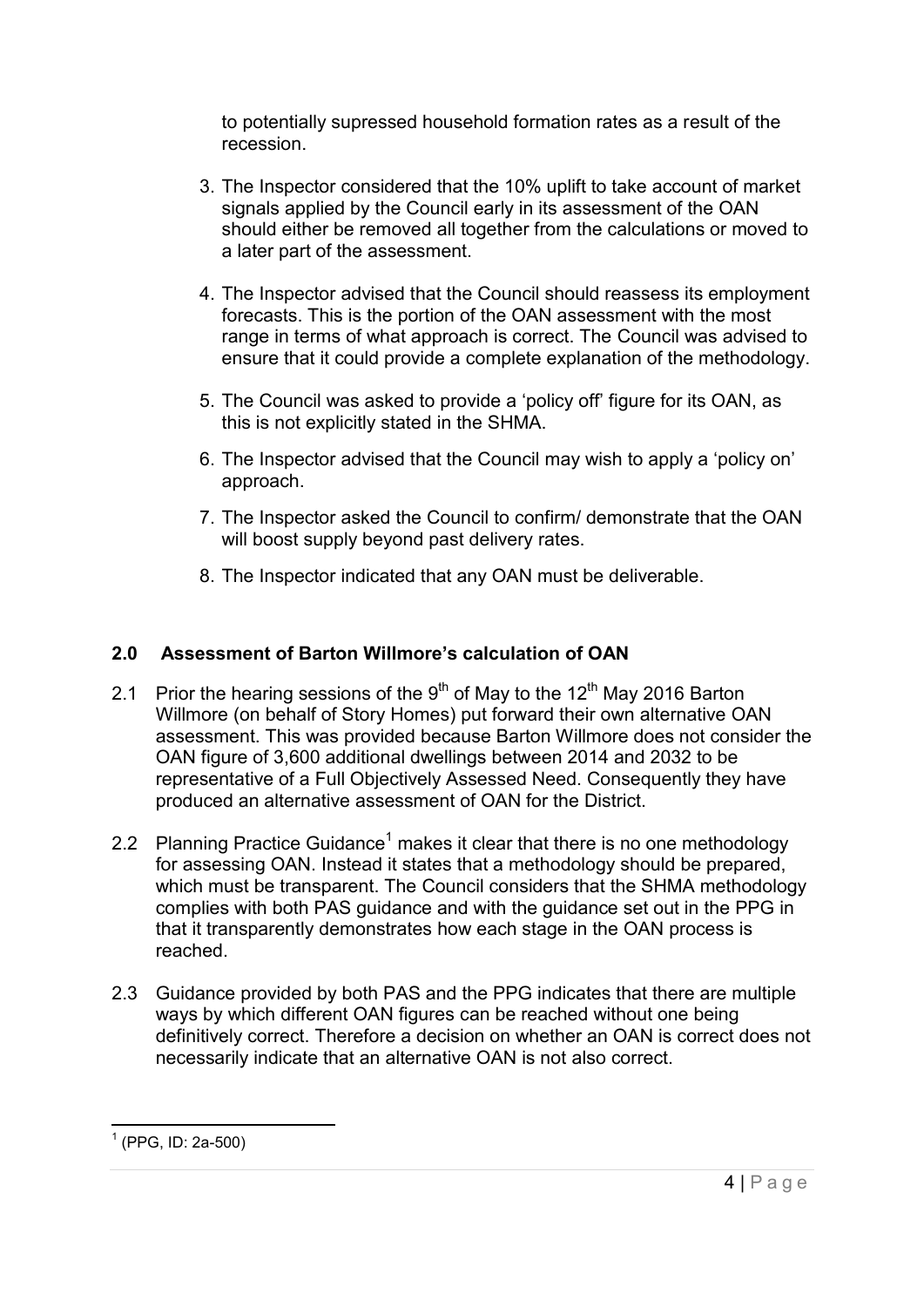to potentially supressed household formation rates as a result of the recession.

- 3. The Inspector considered that the 10% uplift to take account of market signals applied by the Council early in its assessment of the OAN should either be removed all together from the calculations or moved to a later part of the assessment.
- 4. The Inspector advised that the Council should reassess its employment forecasts. This is the portion of the OAN assessment with the most range in terms of what approach is correct. The Council was advised to ensure that it could provide a complete explanation of the methodology.
- 5. The Council was asked to provide a 'policy off' figure for its OAN, as this is not explicitly stated in the SHMA.
- 6. The Inspector advised that the Council may wish to apply a 'policy on' approach.
- 7. The Inspector asked the Council to confirm/ demonstrate that the OAN will boost supply beyond past delivery rates.
- 8. The Inspector indicated that any OAN must be deliverable.

#### <span id="page-3-0"></span>**2.0 Assessment of Barton Willmore's calculation of OAN**

- 2.1 Prior the hearing sessions of the  $9<sup>th</sup>$  of May to the 12<sup>th</sup> May 2016 Barton Willmore (on behalf of Story Homes) put forward their own alternative OAN assessment. This was provided because Barton Willmore does not consider the OAN figure of 3,600 additional dwellings between 2014 and 2032 to be representative of a Full Objectively Assessed Need. Consequently they have produced an alternative assessment of OAN for the District.
- 2.2 Planning Practice Guidance<sup>1</sup> makes it clear that there is no one methodology for assessing OAN. Instead it states that a methodology should be prepared, which must be transparent. The Council considers that the SHMA methodology complies with both PAS guidance and with the guidance set out in the PPG in that it transparently demonstrates how each stage in the OAN process is reached.
- 2.3 Guidance provided by both PAS and the PPG indicates that there are multiple ways by which different OAN figures can be reached without one being definitively correct. Therefore a decision on whether an OAN is correct does not necessarily indicate that an alternative OAN is not also correct.

 1 (PPG, ID: 2a-500)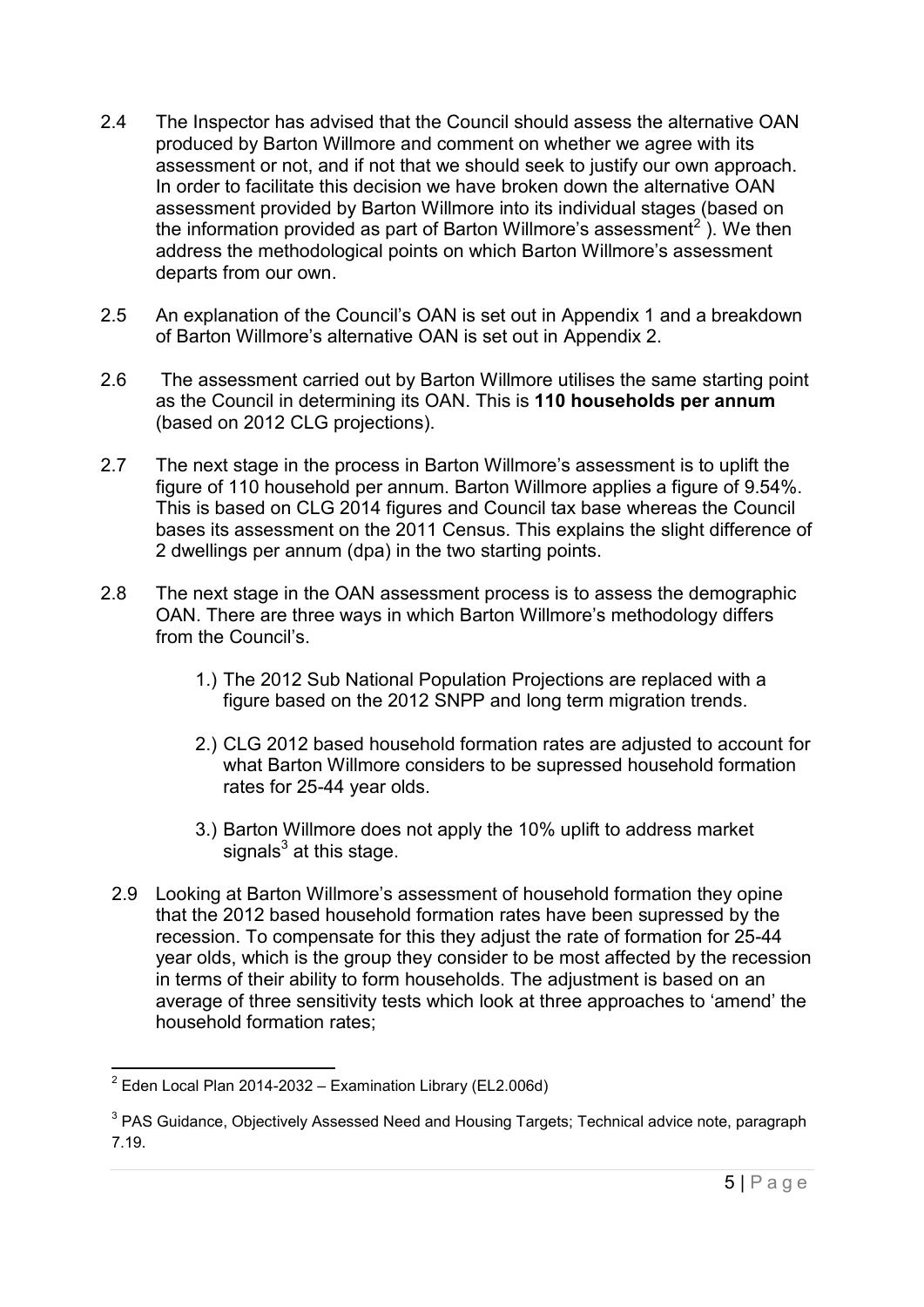- 2.4 The Inspector has advised that the Council should assess the alternative OAN produced by Barton Willmore and comment on whether we agree with its assessment or not, and if not that we should seek to justify our own approach. In order to facilitate this decision we have broken down the alternative OAN assessment provided by Barton Willmore into its individual stages (based on the information provided as part of Barton Willmore's assessment $^2$  ). We then address the methodological points on which Barton Willmore's assessment departs from our own.
- 2.5 An explanation of the Council's OAN is set out in Appendix 1 and a breakdown of Barton Willmore's alternative OAN is set out in Appendix 2.
- 2.6 The assessment carried out by Barton Willmore utilises the same starting point as the Council in determining its OAN. This is **110 households per annum**  (based on 2012 CLG projections).
- 2.7 The next stage in the process in Barton Willmore's assessment is to uplift the figure of 110 household per annum. Barton Willmore applies a figure of 9.54%. This is based on CLG 2014 figures and Council tax base whereas the Council bases its assessment on the 2011 Census. This explains the slight difference of 2 dwellings per annum (dpa) in the two starting points.
- 2.8 The next stage in the OAN assessment process is to assess the demographic OAN. There are three ways in which Barton Willmore's methodology differs from the Council's.
	- 1.) The 2012 Sub National Population Projections are replaced with a figure based on the 2012 SNPP and long term migration trends.
	- 2.) CLG 2012 based household formation rates are adjusted to account for what Barton Willmore considers to be supressed household formation rates for 25-44 year olds.
	- 3.) Barton Willmore does not apply the 10% uplift to address market signals $^3$  at this stage.
	- 2.9 Looking at Barton Willmore's assessment of household formation they opine that the 2012 based household formation rates have been supressed by the recession. To compensate for this they adjust the rate of formation for 25-44 year olds, which is the group they consider to be most affected by the recession in terms of their ability to form households. The adjustment is based on an average of three sensitivity tests which look at three approaches to 'amend' the household formation rates;

 2 Eden Local Plan 2014-2032 – Examination Library (EL2.006d)

 $^3$  PAS Guidance, Objectively Assessed Need and Housing Targets; Technical advice note, paragraph 7.19.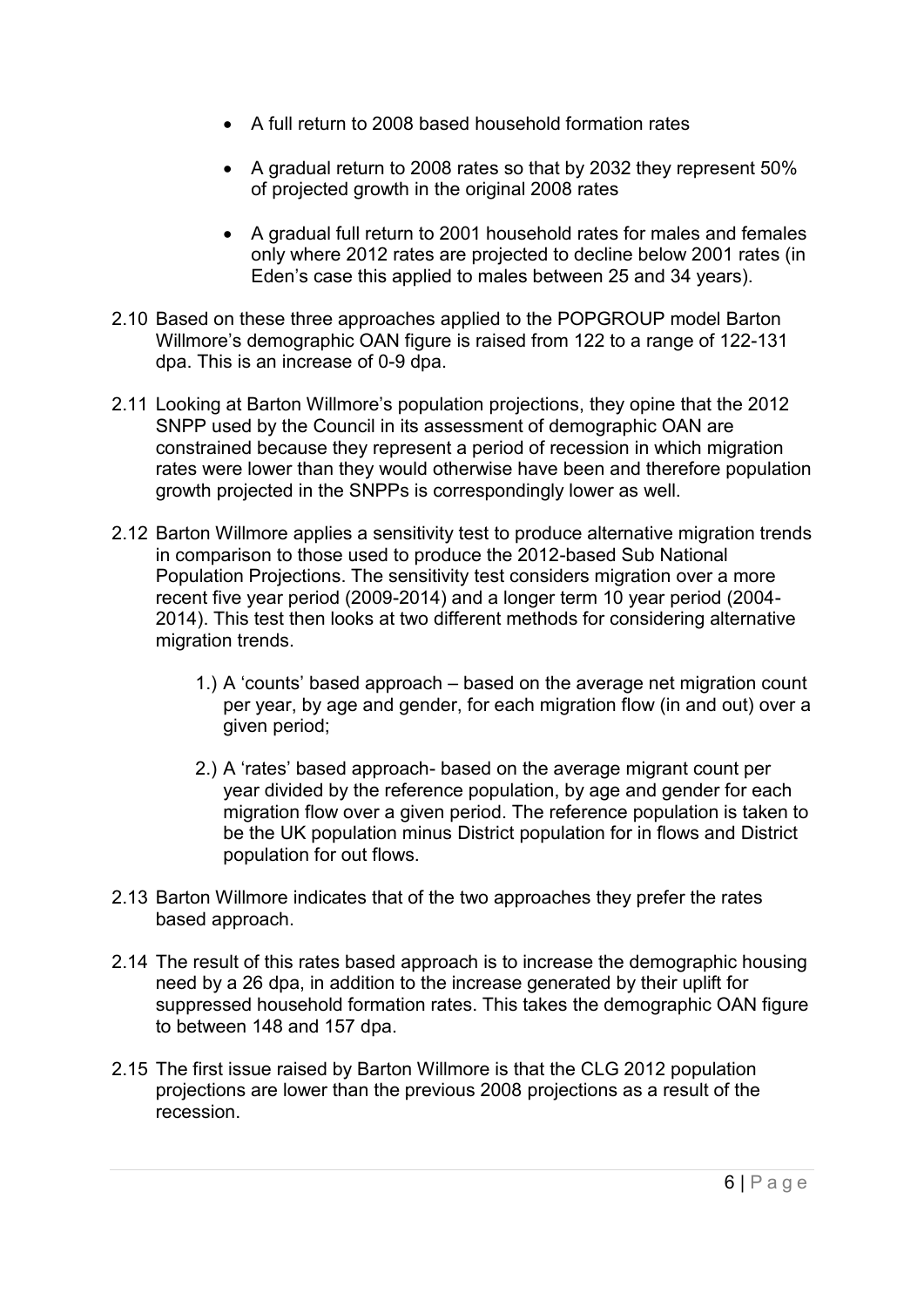- A full return to 2008 based household formation rates
- A gradual return to 2008 rates so that by 2032 they represent 50% of projected growth in the original 2008 rates
- A gradual full return to 2001 household rates for males and females only where 2012 rates are projected to decline below 2001 rates (in Eden's case this applied to males between 25 and 34 years).
- 2.10 Based on these three approaches applied to the POPGROUP model Barton Willmore's demographic OAN figure is raised from 122 to a range of 122-131 dpa. This is an increase of 0-9 dpa.
- 2.11 Looking at Barton Willmore's population projections, they opine that the 2012 SNPP used by the Council in its assessment of demographic OAN are constrained because they represent a period of recession in which migration rates were lower than they would otherwise have been and therefore population growth projected in the SNPPs is correspondingly lower as well.
- 2.12 Barton Willmore applies a sensitivity test to produce alternative migration trends in comparison to those used to produce the 2012-based Sub National Population Projections. The sensitivity test considers migration over a more recent five year period (2009-2014) and a longer term 10 year period (2004- 2014). This test then looks at two different methods for considering alternative migration trends.
	- 1.) A 'counts' based approach based on the average net migration count per year, by age and gender, for each migration flow (in and out) over a given period;
	- 2.) A 'rates' based approach- based on the average migrant count per year divided by the reference population, by age and gender for each migration flow over a given period. The reference population is taken to be the UK population minus District population for in flows and District population for out flows.
- 2.13 Barton Willmore indicates that of the two approaches they prefer the rates based approach.
- 2.14 The result of this rates based approach is to increase the demographic housing need by a 26 dpa, in addition to the increase generated by their uplift for suppressed household formation rates. This takes the demographic OAN figure to between 148 and 157 dpa.
- 2.15 The first issue raised by Barton Willmore is that the CLG 2012 population projections are lower than the previous 2008 projections as a result of the recession.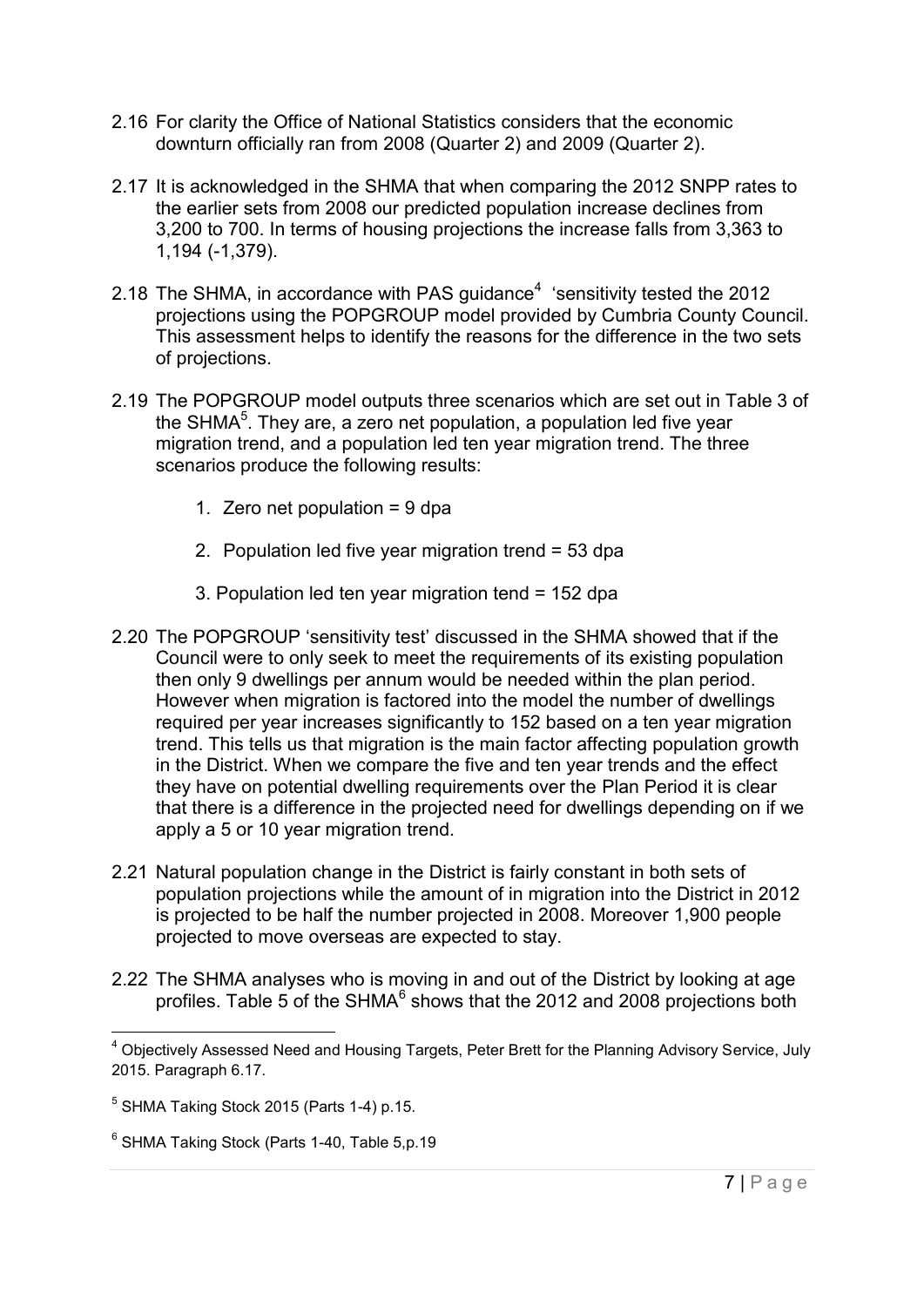- 2.16 For clarity the Office of National Statistics considers that the economic downturn officially ran from 2008 (Quarter 2) and 2009 (Quarter 2).
- 2.17 It is acknowledged in the SHMA that when comparing the 2012 SNPP rates to the earlier sets from 2008 our predicted population increase declines from 3,200 to 700. In terms of housing projections the increase falls from 3,363 to 1,194 (-1,379).
- 2.18 The SHMA, in accordance with PAS guidance<sup>4</sup> 'sensitivity tested the 2012 projections using the POPGROUP model provided by Cumbria County Council. This assessment helps to identify the reasons for the difference in the two sets of projections.
- 2.19 The POPGROUP model outputs three scenarios which are set out in Table 3 of the SHMA $^5$ . They are, a zero net population, a population led five year migration trend, and a population led ten year migration trend. The three scenarios produce the following results:
	- 1. Zero net population = 9 dpa
	- 2. Population led five year migration trend = 53 dpa
	- 3. Population led ten year migration tend = 152 dpa
- 2.20 The POPGROUP 'sensitivity test' discussed in the SHMA showed that if the Council were to only seek to meet the requirements of its existing population then only 9 dwellings per annum would be needed within the plan period. However when migration is factored into the model the number of dwellings required per year increases significantly to 152 based on a ten year migration trend. This tells us that migration is the main factor affecting population growth in the District. When we compare the five and ten year trends and the effect they have on potential dwelling requirements over the Plan Period it is clear that there is a difference in the projected need for dwellings depending on if we apply a 5 or 10 year migration trend.
- 2.21 Natural population change in the District is fairly constant in both sets of population projections while the amount of in migration into the District in 2012 is projected to be half the number projected in 2008. Moreover 1,900 people projected to move overseas are expected to stay.
- 2.22 The SHMA analyses who is moving in and out of the District by looking at age profiles. Table 5 of the SHMA $^6$  shows that the 2012 and 2008 projections both

\_\_\_\_\_\_\_\_\_\_\_\_\_\_\_\_\_\_\_\_\_\_\_\_\_\_\_\_\_\_\_\_\_\_\_\_<br><sup>4</sup> Objectively Assessed Need and Housing Targets, Peter Brett for the Planning Advisory Service, July 2015. Paragraph 6.17.

 $<sup>5</sup>$  SHMA Taking Stock 2015 (Parts 1-4) p.15.</sup>

 $^6$  SHMA Taking Stock (Parts 1-40, Table 5,p.19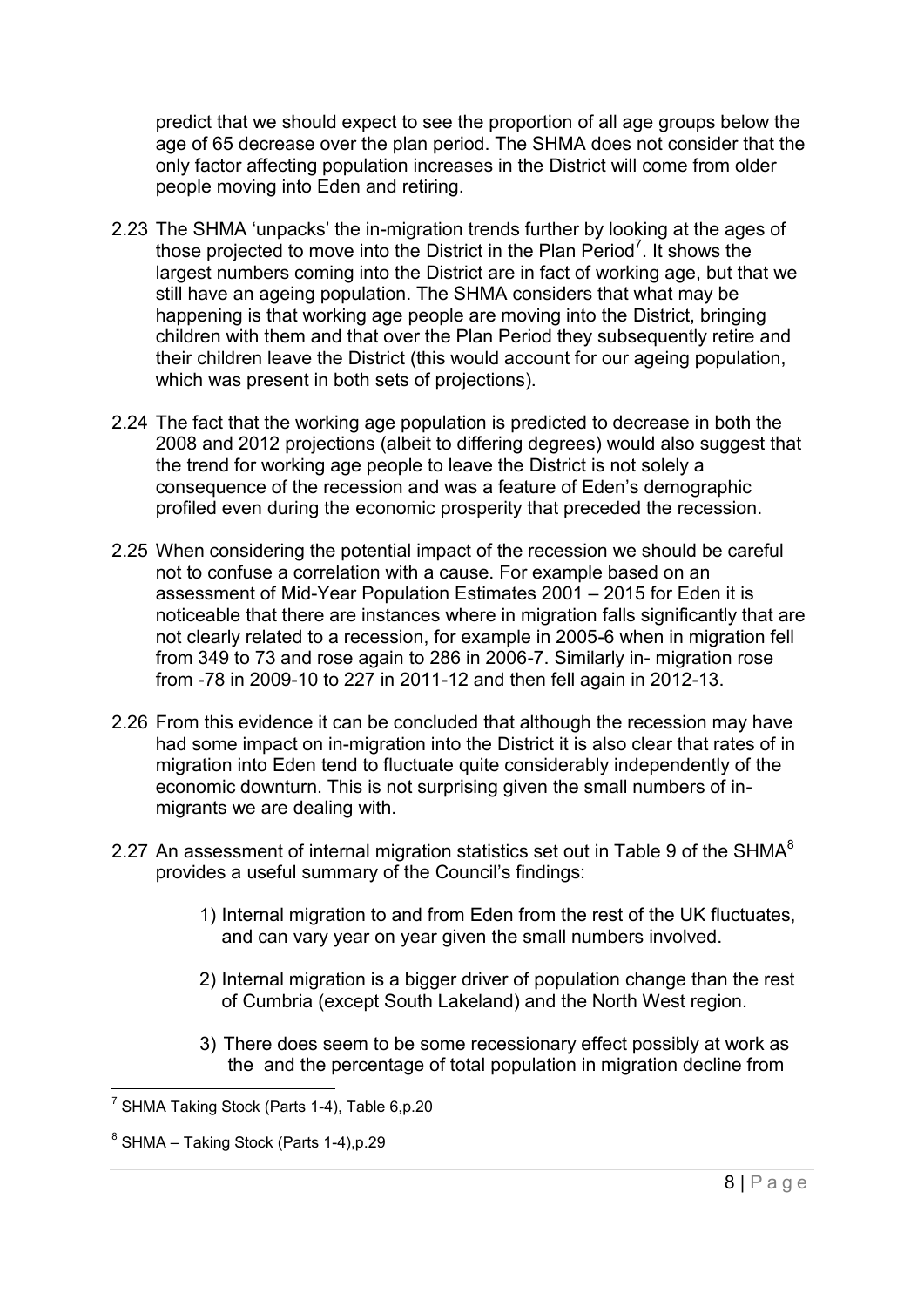predict that we should expect to see the proportion of all age groups below the age of 65 decrease over the plan period. The SHMA does not consider that the only factor affecting population increases in the District will come from older people moving into Eden and retiring.

- 2.23 The SHMA 'unpacks' the in-migration trends further by looking at the ages of those projected to move into the District in the Plan Period<sup>7</sup>. It shows the largest numbers coming into the District are in fact of working age, but that we still have an ageing population. The SHMA considers that what may be happening is that working age people are moving into the District, bringing children with them and that over the Plan Period they subsequently retire and their children leave the District (this would account for our ageing population, which was present in both sets of projections).
- 2.24 The fact that the working age population is predicted to decrease in both the 2008 and 2012 projections (albeit to differing degrees) would also suggest that the trend for working age people to leave the District is not solely a consequence of the recession and was a feature of Eden's demographic profiled even during the economic prosperity that preceded the recession.
- 2.25 When considering the potential impact of the recession we should be careful not to confuse a correlation with a cause. For example based on an assessment of Mid-Year Population Estimates 2001 – 2015 for Eden it is noticeable that there are instances where in migration falls significantly that are not clearly related to a recession, for example in 2005-6 when in migration fell from 349 to 73 and rose again to 286 in 2006-7. Similarly in- migration rose from -78 in 2009-10 to 227 in 2011-12 and then fell again in 2012-13.
- 2.26 From this evidence it can be concluded that although the recession may have had some impact on in-migration into the District it is also clear that rates of in migration into Eden tend to fluctuate quite considerably independently of the economic downturn. This is not surprising given the small numbers of inmigrants we are dealing with.
- 2.27 An assessment of internal migration statistics set out in Table 9 of the SHMA $8$ provides a useful summary of the Council's findings:
	- 1) Internal migration to and from Eden from the rest of the UK fluctuates, and can vary year on year given the small numbers involved.
	- 2) Internal migration is a bigger driver of population change than the rest of Cumbria (except South Lakeland) and the North West region.
	- 3) There does seem to be some recessionary effect possibly at work as the and the percentage of total population in migration decline from

 7 SHMA Taking Stock (Parts 1-4), Table 6,p.20

 $^8$  SHMA – Taking Stock (Parts 1-4),p.29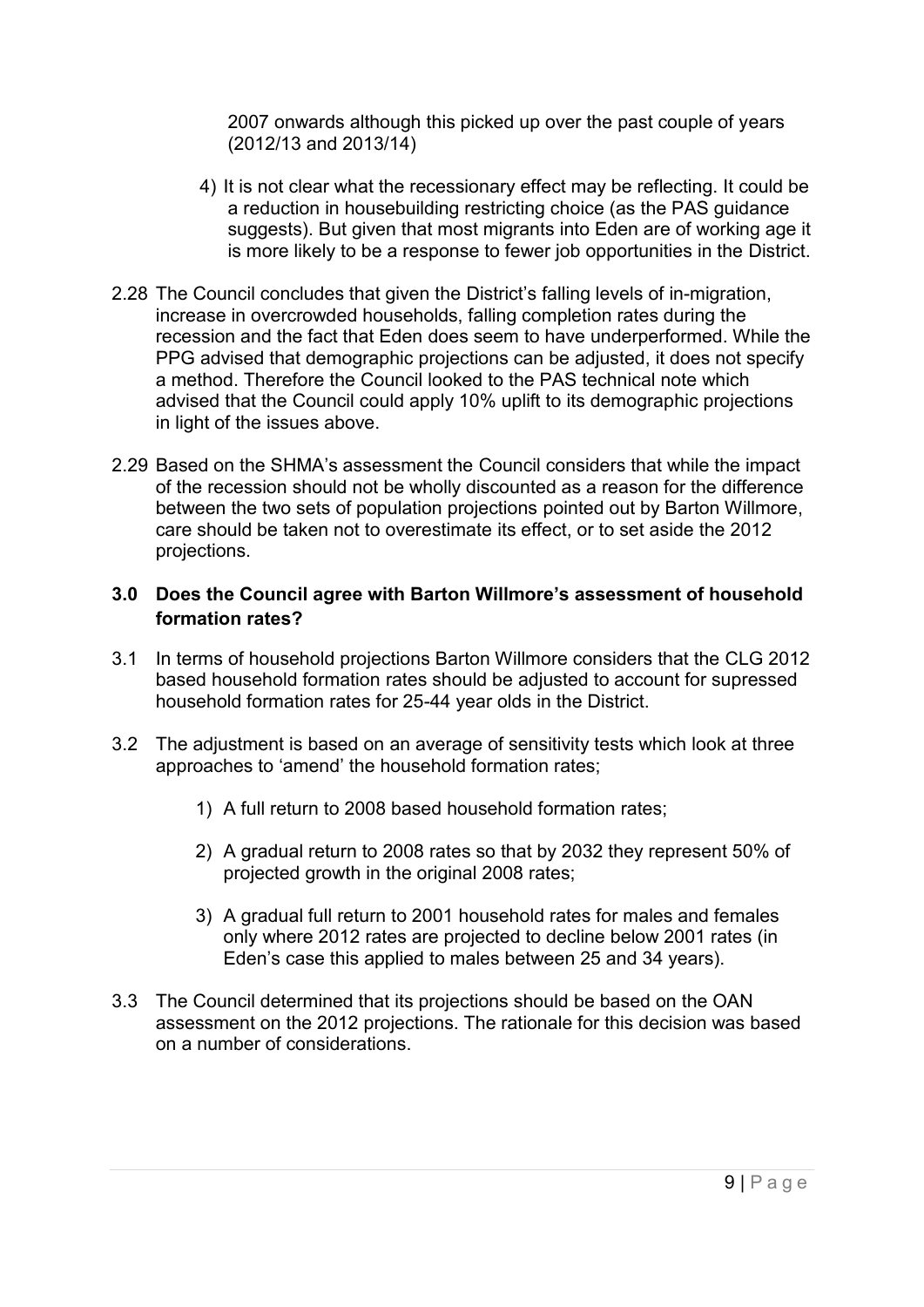2007 onwards although this picked up over the past couple of years (2012/13 and 2013/14)

- 4) It is not clear what the recessionary effect may be reflecting. It could be a reduction in housebuilding restricting choice (as the PAS guidance suggests). But given that most migrants into Eden are of working age it is more likely to be a response to fewer job opportunities in the District.
- 2.28 The Council concludes that given the District's falling levels of in-migration, increase in overcrowded households, falling completion rates during the recession and the fact that Eden does seem to have underperformed. While the PPG advised that demographic projections can be adjusted, it does not specify a method. Therefore the Council looked to the PAS technical note which advised that the Council could apply 10% uplift to its demographic projections in light of the issues above.
- 2.29 Based on the SHMA's assessment the Council considers that while the impact of the recession should not be wholly discounted as a reason for the difference between the two sets of population projections pointed out by Barton Willmore, care should be taken not to overestimate its effect, or to set aside the 2012 projections.

#### <span id="page-8-0"></span>**3.0 Does the Council agree with Barton Willmore's assessment of household formation rates?**

- 3.1 In terms of household projections Barton Willmore considers that the CLG 2012 based household formation rates should be adjusted to account for supressed household formation rates for 25-44 year olds in the District.
- 3.2 The adjustment is based on an average of sensitivity tests which look at three approaches to 'amend' the household formation rates;
	- 1) A full return to 2008 based household formation rates;
	- 2) A gradual return to 2008 rates so that by 2032 they represent 50% of projected growth in the original 2008 rates;
	- 3) A gradual full return to 2001 household rates for males and females only where 2012 rates are projected to decline below 2001 rates (in Eden's case this applied to males between 25 and 34 years).
- 3.3 The Council determined that its projections should be based on the OAN assessment on the 2012 projections. The rationale for this decision was based on a number of considerations.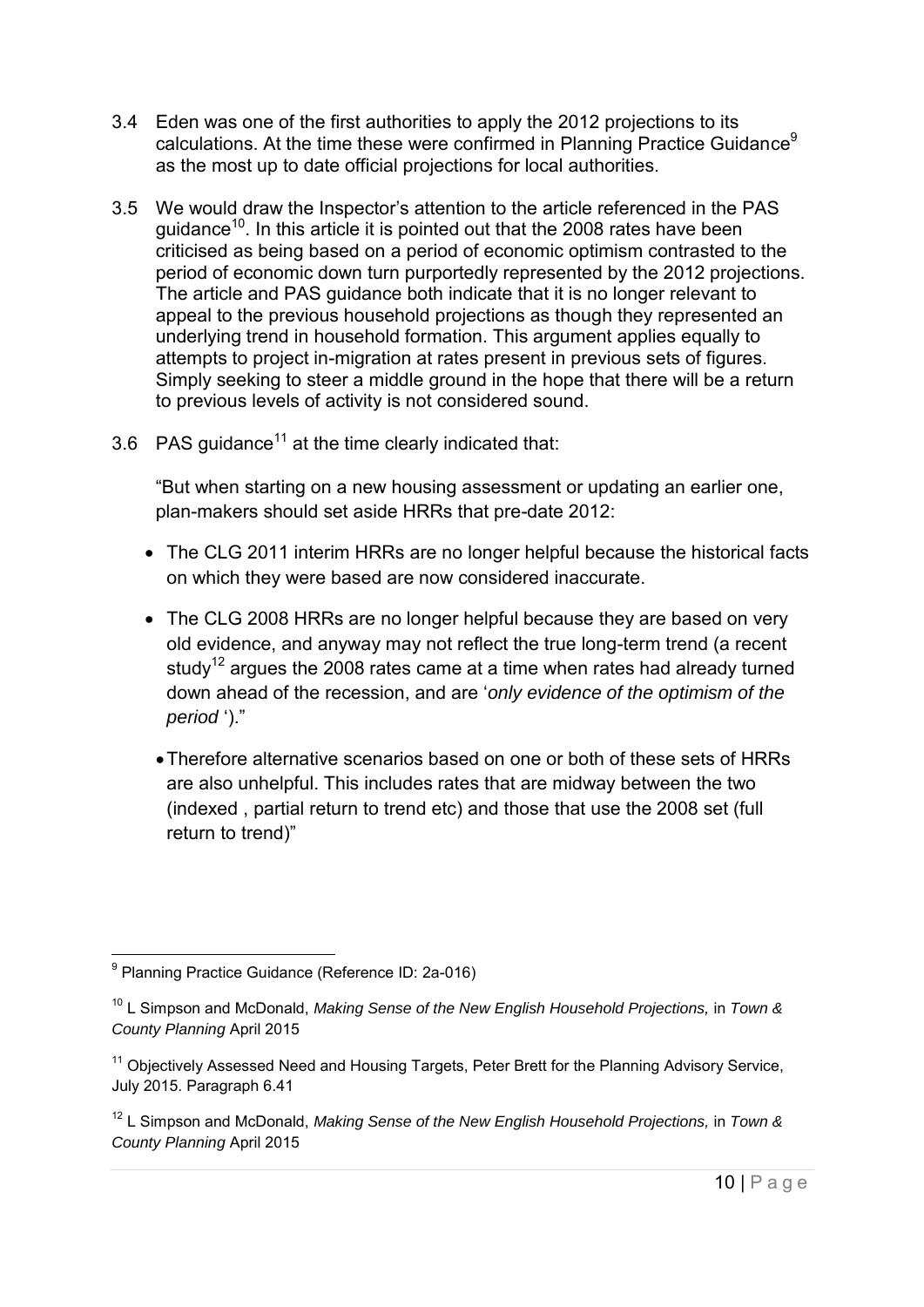- 3.4 Eden was one of the first authorities to apply the 2012 projections to its calculations. At the time these were confirmed in Planning Practice Guidance<sup>9</sup> as the most up to date official projections for local authorities.
- 3.5 We would draw the Inspector's attention to the article referenced in the PAS guidance<sup>10</sup>. In this article it is pointed out that the 2008 rates have been criticised as being based on a period of economic optimism contrasted to the period of economic down turn purportedly represented by the 2012 projections. The article and PAS guidance both indicate that it is no longer relevant to appeal to the previous household projections as though they represented an underlying trend in household formation. This argument applies equally to attempts to project in-migration at rates present in previous sets of figures. Simply seeking to steer a middle ground in the hope that there will be a return to previous levels of activity is not considered sound.
- 3.6 PAS guidance<sup>11</sup> at the time clearly indicated that:

"But when starting on a new housing assessment or updating an earlier one, plan-makers should set aside HRRs that pre-date 2012:

- The CLG 2011 interim HRRs are no longer helpful because the historical facts on which they were based are now considered inaccurate.
- The CLG 2008 HRRs are no longer helpful because they are based on very old evidence, and anyway may not reflect the true long-term trend (a recent study<sup>12</sup> argues the 2008 rates came at a time when rates had already turned down ahead of the recession, and are '*only evidence of the optimism of the period* ')."
	- Therefore alternative scenarios based on one or both of these sets of HRRs are also unhelpful. This includes rates that are midway between the two (indexed , partial return to trend etc) and those that use the 2008 set (full return to trend)"

 9 Planning Practice Guidance (Reference ID: 2a-016)

<sup>&</sup>lt;sup>10</sup> L Simpson and McDonald, *Making Sense of the New English Household Projections, in Town & County Planning* April 2015

<sup>&</sup>lt;sup>11</sup> Objectively Assessed Need and Housing Targets, Peter Brett for the Planning Advisory Service, July 2015. Paragraph 6.41

<sup>&</sup>lt;sup>12</sup> L Simpson and McDonald, *Making Sense of the New English Household Projections*, in *Town & County Planning* April 2015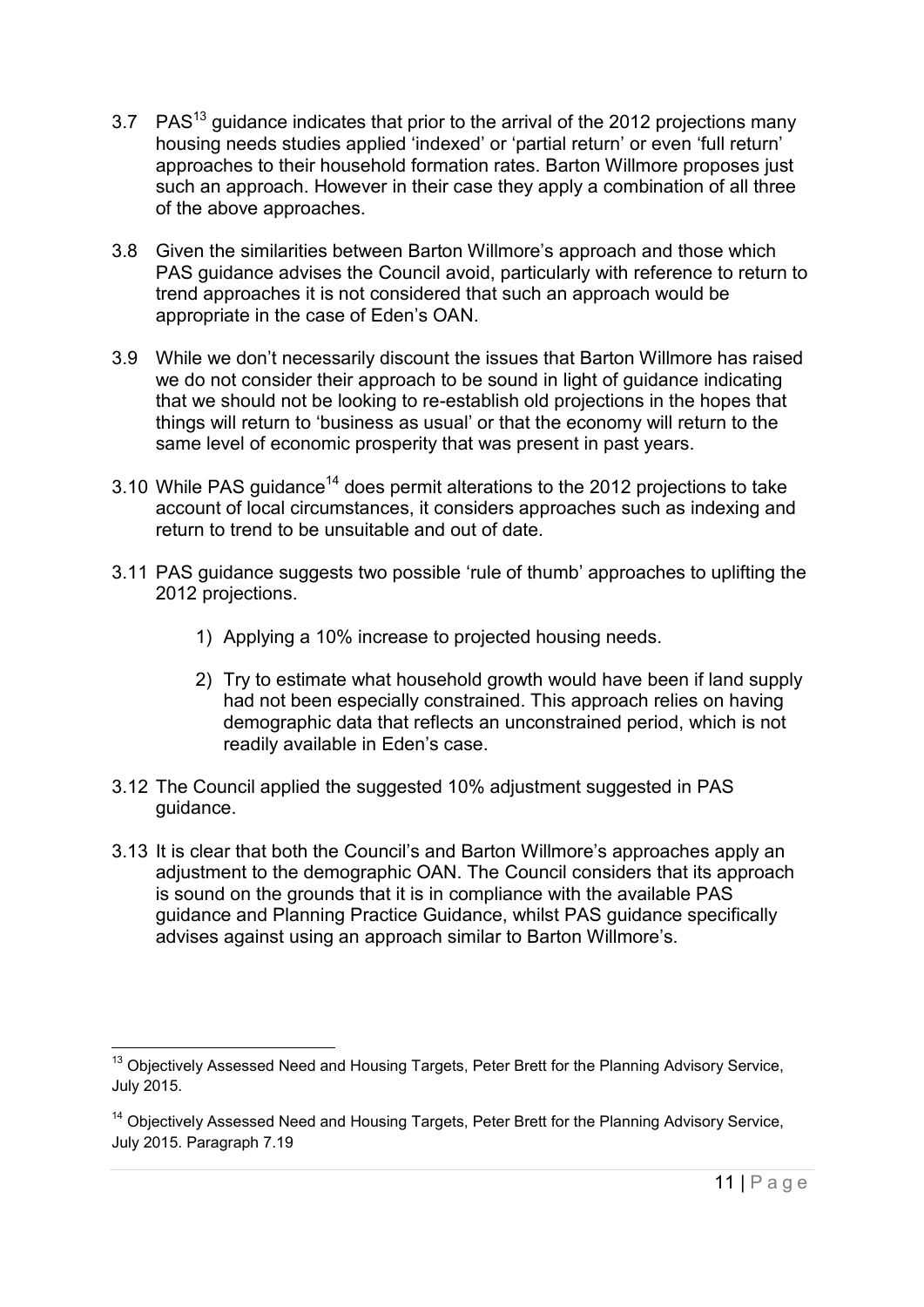- 3.7 PAS<sup>13</sup> guidance indicates that prior to the arrival of the 2012 projections many housing needs studies applied 'indexed' or 'partial return' or even 'full return' approaches to their household formation rates. Barton Willmore proposes just such an approach. However in their case they apply a combination of all three of the above approaches.
- 3.8 Given the similarities between Barton Willmore's approach and those which PAS guidance advises the Council avoid, particularly with reference to return to trend approaches it is not considered that such an approach would be appropriate in the case of Eden's OAN.
- 3.9 While we don't necessarily discount the issues that Barton Willmore has raised we do not consider their approach to be sound in light of guidance indicating that we should not be looking to re-establish old projections in the hopes that things will return to 'business as usual' or that the economy will return to the same level of economic prosperity that was present in past years.
- 3.10 While PAS guidance<sup>14</sup> does permit alterations to the 2012 projections to take account of local circumstances, it considers approaches such as indexing and return to trend to be unsuitable and out of date.
- 3.11 PAS guidance suggests two possible 'rule of thumb' approaches to uplifting the 2012 projections.
	- 1) Applying a 10% increase to projected housing needs.
	- 2) Try to estimate what household growth would have been if land supply had not been especially constrained. This approach relies on having demographic data that reflects an unconstrained period, which is not readily available in Eden's case.
- 3.12 The Council applied the suggested 10% adjustment suggested in PAS guidance.
- 3.13 It is clear that both the Council's and Barton Willmore's approaches apply an adjustment to the demographic OAN. The Council considers that its approach is sound on the grounds that it is in compliance with the available PAS guidance and Planning Practice Guidance, whilst PAS guidance specifically advises against using an approach similar to Barton Willmore's.

 $\overline{a}$  $13$  Objectively Assessed Need and Housing Targets, Peter Brett for the Planning Advisory Service, July 2015.

<sup>&</sup>lt;sup>14</sup> Objectively Assessed Need and Housing Targets, Peter Brett for the Planning Advisory Service, July 2015. Paragraph 7.19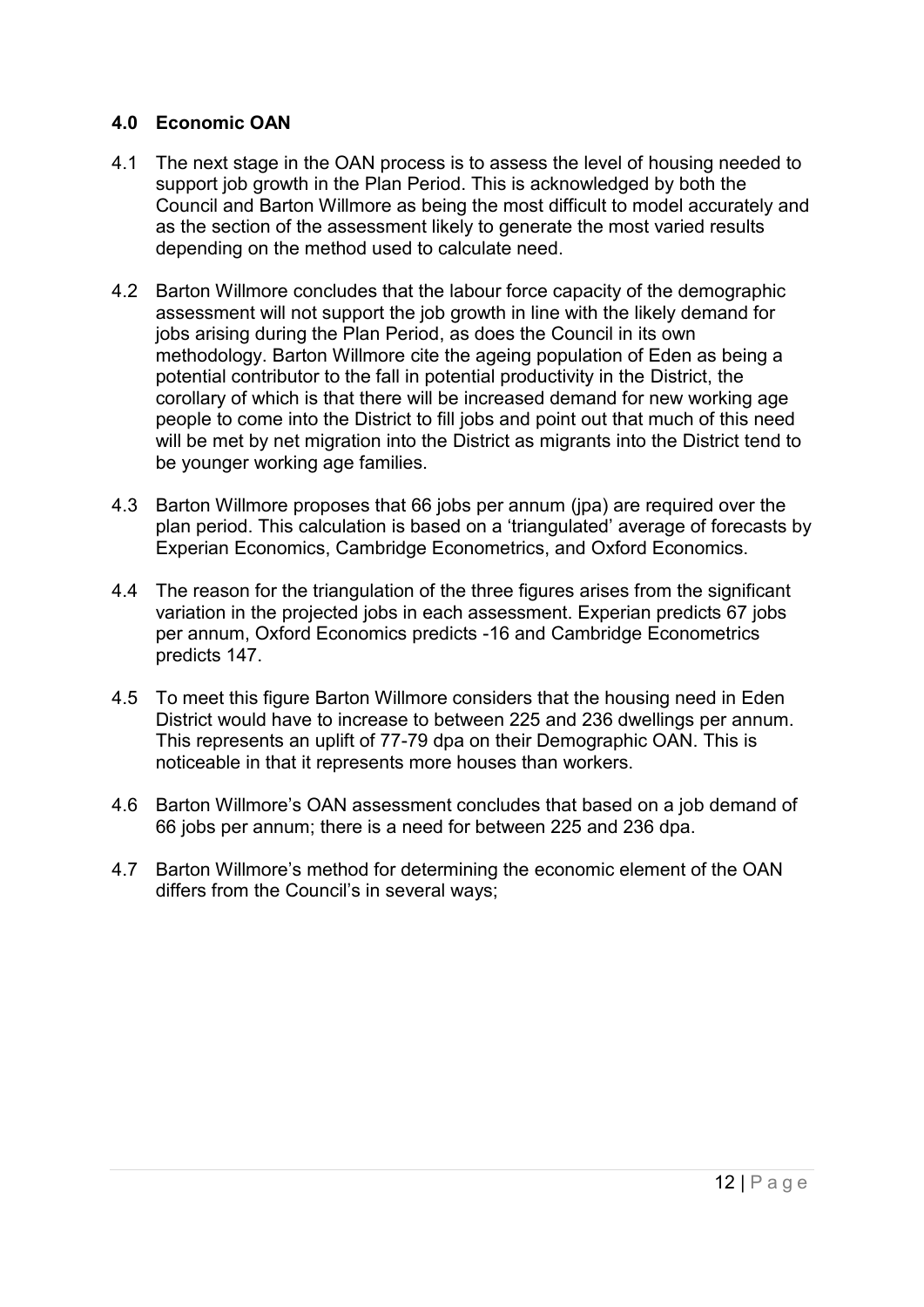#### <span id="page-11-0"></span>**4.0 Economic OAN**

- 4.1 The next stage in the OAN process is to assess the level of housing needed to support job growth in the Plan Period. This is acknowledged by both the Council and Barton Willmore as being the most difficult to model accurately and as the section of the assessment likely to generate the most varied results depending on the method used to calculate need.
- 4.2 Barton Willmore concludes that the labour force capacity of the demographic assessment will not support the job growth in line with the likely demand for jobs arising during the Plan Period, as does the Council in its own methodology. Barton Willmore cite the ageing population of Eden as being a potential contributor to the fall in potential productivity in the District, the corollary of which is that there will be increased demand for new working age people to come into the District to fill jobs and point out that much of this need will be met by net migration into the District as migrants into the District tend to be younger working age families.
- 4.3 Barton Willmore proposes that 66 jobs per annum (jpa) are required over the plan period. This calculation is based on a 'triangulated' average of forecasts by Experian Economics, Cambridge Econometrics, and Oxford Economics.
- 4.4 The reason for the triangulation of the three figures arises from the significant variation in the projected jobs in each assessment. Experian predicts 67 jobs per annum, Oxford Economics predicts -16 and Cambridge Econometrics predicts 147.
- 4.5 To meet this figure Barton Willmore considers that the housing need in Eden District would have to increase to between 225 and 236 dwellings per annum. This represents an uplift of 77-79 dpa on their Demographic OAN. This is noticeable in that it represents more houses than workers.
- 4.6 Barton Willmore's OAN assessment concludes that based on a job demand of 66 jobs per annum; there is a need for between 225 and 236 dpa.
- 4.7 Barton Willmore's method for determining the economic element of the OAN differs from the Council's in several ways;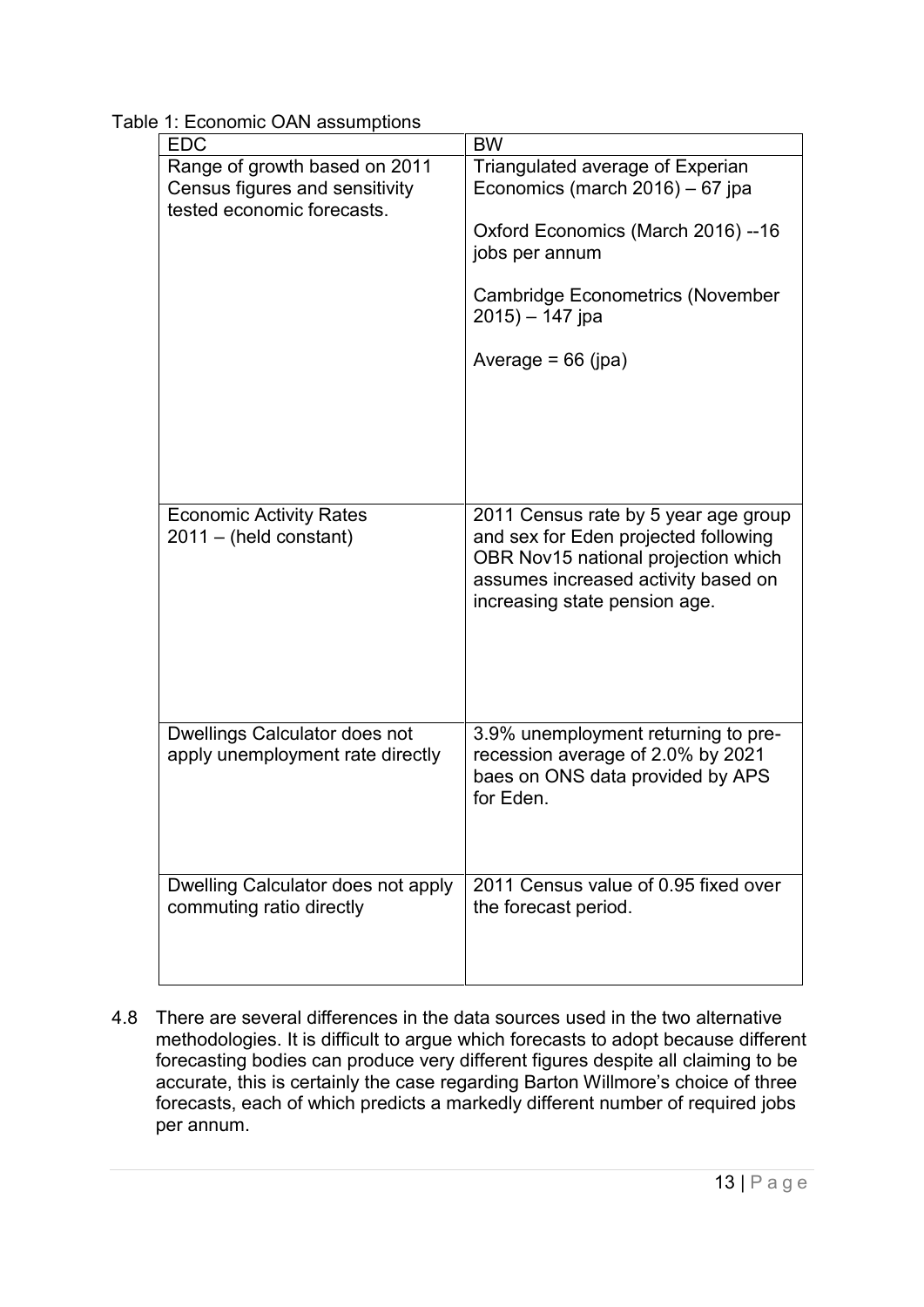| 100111100<br><b>EDC</b>                                           | <b>BW</b>                                                                                                                                                                                   |
|-------------------------------------------------------------------|---------------------------------------------------------------------------------------------------------------------------------------------------------------------------------------------|
| Range of growth based on 2011<br>Census figures and sensitivity   | Triangulated average of Experian<br>Economics (march $2016$ ) – 67 jpa                                                                                                                      |
| tested economic forecasts.                                        | Oxford Economics (March 2016) --16<br>jobs per annum                                                                                                                                        |
|                                                                   | <b>Cambridge Econometrics (November</b><br>$2015 - 147$ jpa                                                                                                                                 |
|                                                                   | Average = $66$ (jpa)                                                                                                                                                                        |
|                                                                   |                                                                                                                                                                                             |
|                                                                   |                                                                                                                                                                                             |
| <b>Economic Activity Rates</b><br>$2011 - (held constant)$        | 2011 Census rate by 5 year age group<br>and sex for Eden projected following<br>OBR Nov15 national projection which<br>assumes increased activity based on<br>increasing state pension age. |
| Dwellings Calculator does not<br>apply unemployment rate directly | 3.9% unemployment returning to pre-<br>recession average of 2.0% by 2021<br>baes on ONS data provided by APS<br>for Eden.                                                                   |
| Dwelling Calculator does not apply<br>commuting ratio directly    | 2011 Census value of 0.95 fixed over<br>the forecast period.                                                                                                                                |

Table 1: Economic OAN assumptions

4.8 There are several differences in the data sources used in the two alternative methodologies. It is difficult to argue which forecasts to adopt because different forecasting bodies can produce very different figures despite all claiming to be accurate, this is certainly the case regarding Barton Willmore's choice of three forecasts, each of which predicts a markedly different number of required jobs per annum.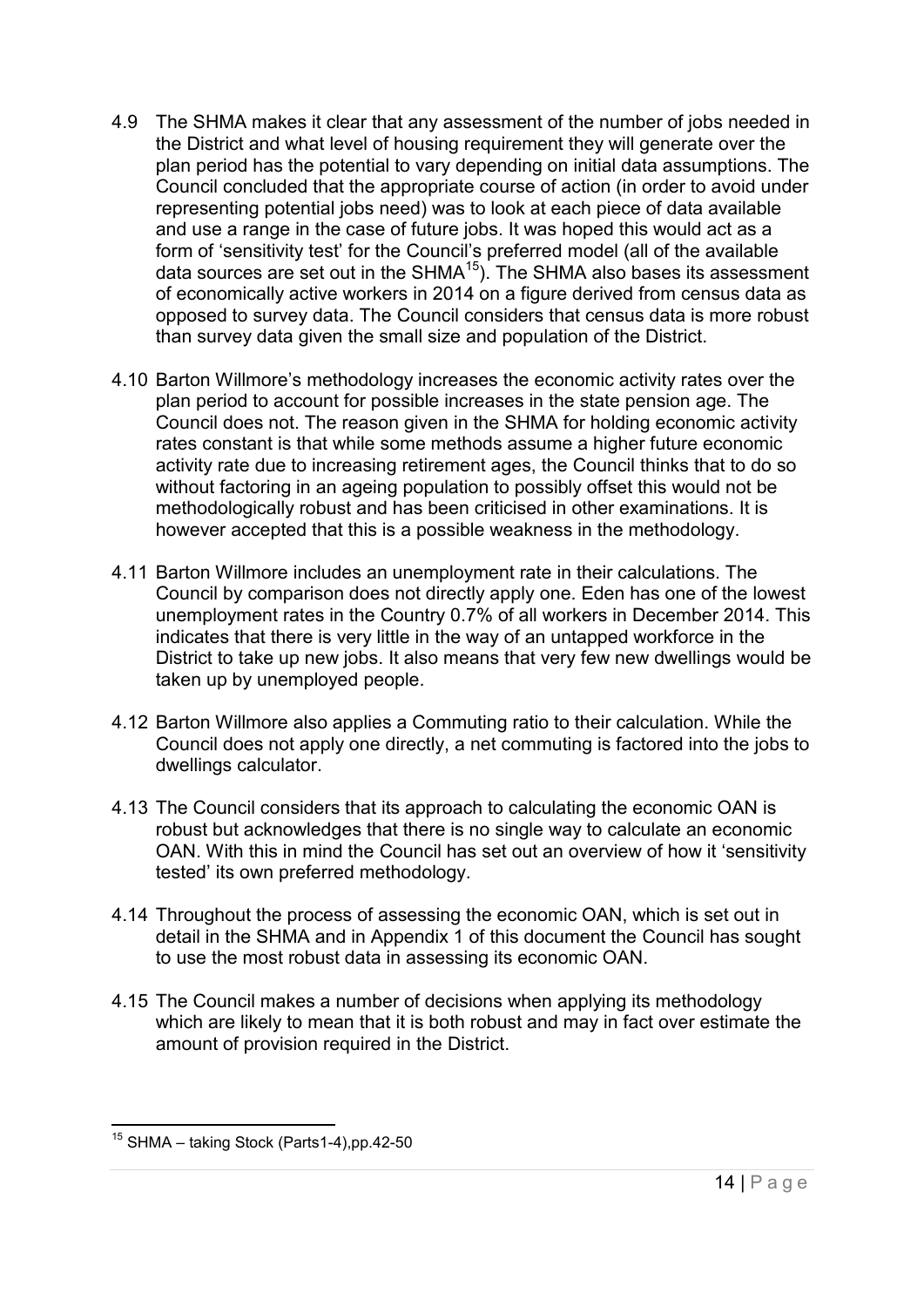- 4.9 The SHMA makes it clear that any assessment of the number of jobs needed in the District and what level of housing requirement they will generate over the plan period has the potential to vary depending on initial data assumptions. The Council concluded that the appropriate course of action (in order to avoid under representing potential jobs need) was to look at each piece of data available and use a range in the case of future jobs. It was hoped this would act as a form of 'sensitivity test' for the Council's preferred model (all of the available data sources are set out in the SHMA<sup>15</sup>). The SHMA also bases its assessment of economically active workers in 2014 on a figure derived from census data as opposed to survey data. The Council considers that census data is more robust than survey data given the small size and population of the District.
- 4.10 Barton Willmore's methodology increases the economic activity rates over the plan period to account for possible increases in the state pension age. The Council does not. The reason given in the SHMA for holding economic activity rates constant is that while some methods assume a higher future economic activity rate due to increasing retirement ages, the Council thinks that to do so without factoring in an ageing population to possibly offset this would not be methodologically robust and has been criticised in other examinations. It is however accepted that this is a possible weakness in the methodology.
- 4.11 Barton Willmore includes an unemployment rate in their calculations. The Council by comparison does not directly apply one. Eden has one of the lowest unemployment rates in the Country 0.7% of all workers in December 2014. This indicates that there is very little in the way of an untapped workforce in the District to take up new jobs. It also means that very few new dwellings would be taken up by unemployed people.
- 4.12 Barton Willmore also applies a Commuting ratio to their calculation. While the Council does not apply one directly, a net commuting is factored into the jobs to dwellings calculator.
- 4.13 The Council considers that its approach to calculating the economic OAN is robust but acknowledges that there is no single way to calculate an economic OAN. With this in mind the Council has set out an overview of how it 'sensitivity tested' its own preferred methodology.
- 4.14 Throughout the process of assessing the economic OAN, which is set out in detail in the SHMA and in Appendix 1 of this document the Council has sought to use the most robust data in assessing its economic OAN.
- 4.15 The Council makes a number of decisions when applying its methodology which are likely to mean that it is both robust and may in fact over estimate the amount of provision required in the District.

 <sup>15</sup> SHMA – taking Stock (Parts1-4),pp.42-50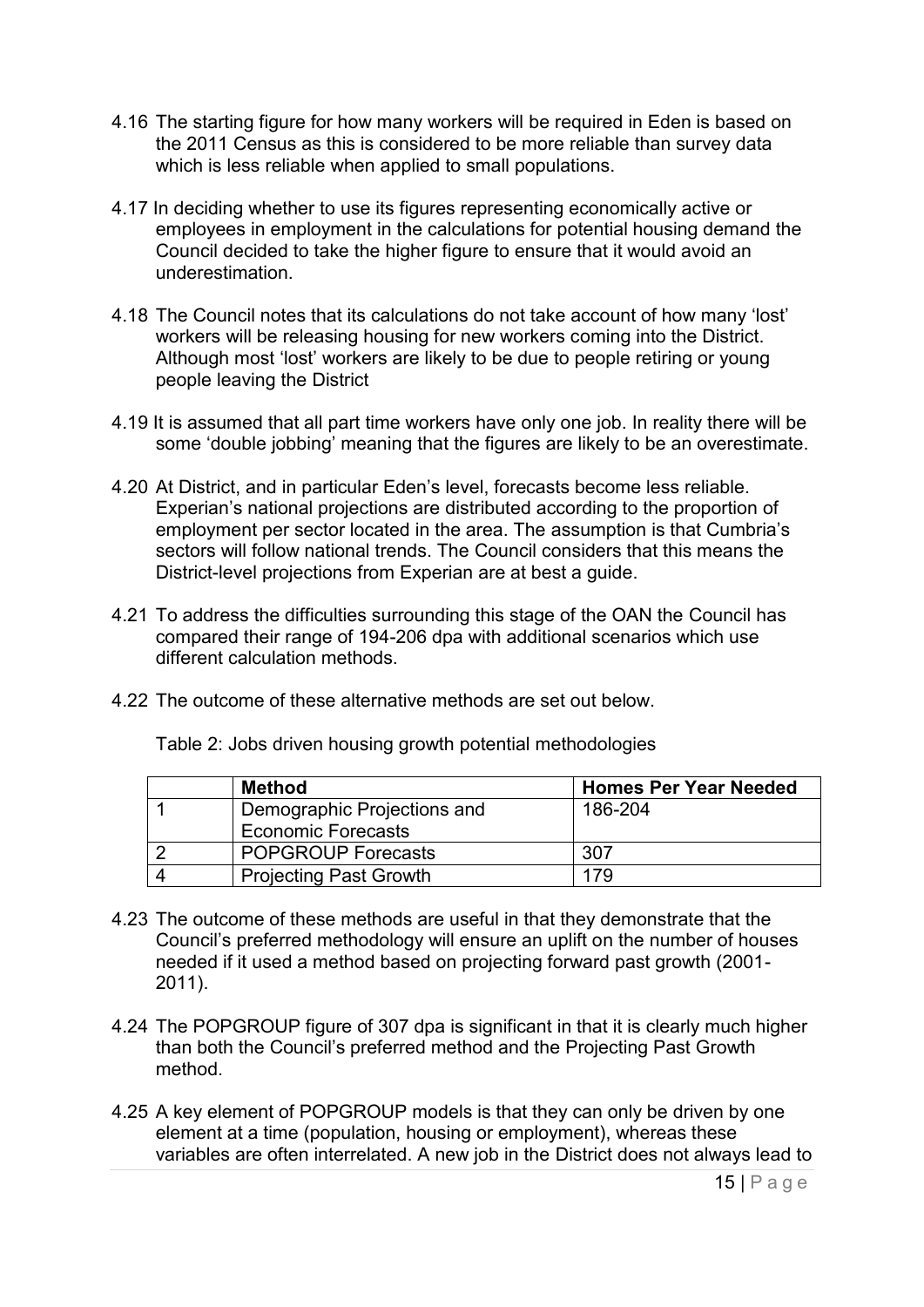- 4.16 The starting figure for how many workers will be required in Eden is based on the 2011 Census as this is considered to be more reliable than survey data which is less reliable when applied to small populations.
- 4.17 In deciding whether to use its figures representing economically active or employees in employment in the calculations for potential housing demand the Council decided to take the higher figure to ensure that it would avoid an underestimation.
- 4.18 The Council notes that its calculations do not take account of how many 'lost' workers will be releasing housing for new workers coming into the District. Although most 'lost' workers are likely to be due to people retiring or young people leaving the District
- 4.19 It is assumed that all part time workers have only one job. In reality there will be some 'double jobbing' meaning that the figures are likely to be an overestimate.
- 4.20 At District, and in particular Eden's level, forecasts become less reliable. Experian's national projections are distributed according to the proportion of employment per sector located in the area. The assumption is that Cumbria's sectors will follow national trends. The Council considers that this means the District-level projections from Experian are at best a guide.
- 4.21 To address the difficulties surrounding this stage of the OAN the Council has compared their range of 194-206 dpa with additional scenarios which use different calculation methods.
- 4.22 The outcome of these alternative methods are set out below.

| Method                        | <b>Homes Per Year Needed</b> |
|-------------------------------|------------------------------|
| Demographic Projections and   | 186-204                      |
| <b>Economic Forecasts</b>     |                              |
| <b>POPGROUP Forecasts</b>     | 307                          |
| <b>Projecting Past Growth</b> | 179                          |

Table 2: Jobs driven housing growth potential methodologies

- 4.23 The outcome of these methods are useful in that they demonstrate that the Council's preferred methodology will ensure an uplift on the number of houses needed if it used a method based on projecting forward past growth (2001- 2011).
- 4.24 The POPGROUP figure of 307 dpa is significant in that it is clearly much higher than both the Council's preferred method and the Projecting Past Growth method.
- 4.25 A key element of POPGROUP models is that they can only be driven by one element at a time (population, housing or employment), whereas these variables are often interrelated. A new job in the District does not always lead to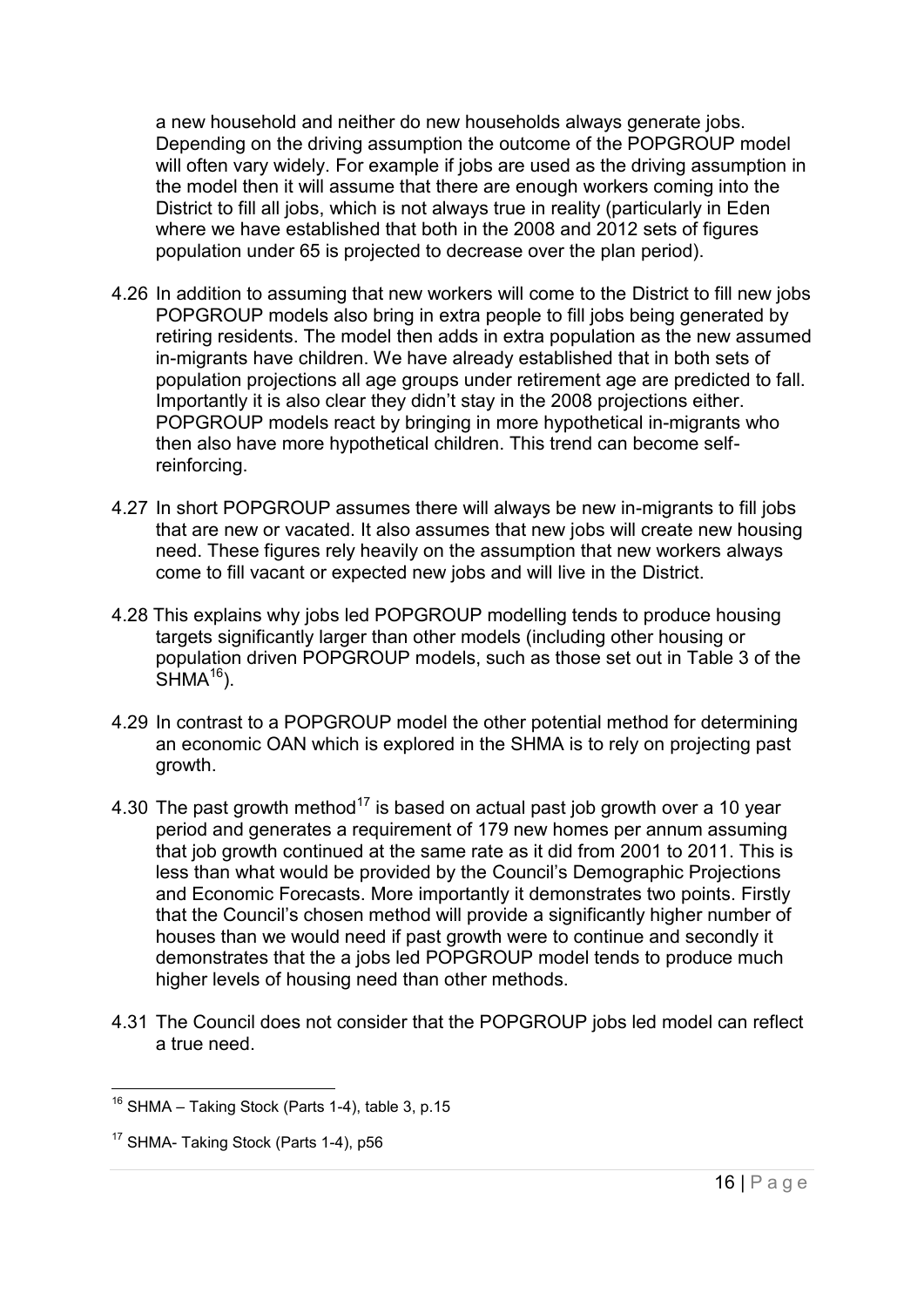a new household and neither do new households always generate jobs. Depending on the driving assumption the outcome of the POPGROUP model will often vary widely. For example if jobs are used as the driving assumption in the model then it will assume that there are enough workers coming into the District to fill all jobs, which is not always true in reality (particularly in Eden where we have established that both in the 2008 and 2012 sets of figures population under 65 is projected to decrease over the plan period).

- 4.26 In addition to assuming that new workers will come to the District to fill new jobs POPGROUP models also bring in extra people to fill jobs being generated by retiring residents. The model then adds in extra population as the new assumed in-migrants have children. We have already established that in both sets of population projections all age groups under retirement age are predicted to fall. Importantly it is also clear they didn't stay in the 2008 projections either. POPGROUP models react by bringing in more hypothetical in-migrants who then also have more hypothetical children. This trend can become selfreinforcing.
- 4.27 In short POPGROUP assumes there will always be new in-migrants to fill jobs that are new or vacated. It also assumes that new jobs will create new housing need. These figures rely heavily on the assumption that new workers always come to fill vacant or expected new jobs and will live in the District.
- 4.28 This explains why jobs led POPGROUP modelling tends to produce housing targets significantly larger than other models (including other housing or population driven POPGROUP models, such as those set out in Table 3 of the  $SHMA^{16}$ ).
- 4.29 In contrast to a POPGROUP model the other potential method for determining an economic OAN which is explored in the SHMA is to rely on projecting past growth.
- 4.30 The past growth method<sup>17</sup> is based on actual past job growth over a 10 year period and generates a requirement of 179 new homes per annum assuming that job growth continued at the same rate as it did from 2001 to 2011. This is less than what would be provided by the Council's Demographic Projections and Economic Forecasts. More importantly it demonstrates two points. Firstly that the Council's chosen method will provide a significantly higher number of houses than we would need if past growth were to continue and secondly it demonstrates that the a jobs led POPGROUP model tends to produce much higher levels of housing need than other methods.
- 4.31 The Council does not consider that the POPGROUP jobs led model can reflect a true need.

  $16$  SHMA – Taking Stock (Parts 1-4), table 3, p.15

<sup>&</sup>lt;sup>17</sup> SHMA- Taking Stock (Parts 1-4), p56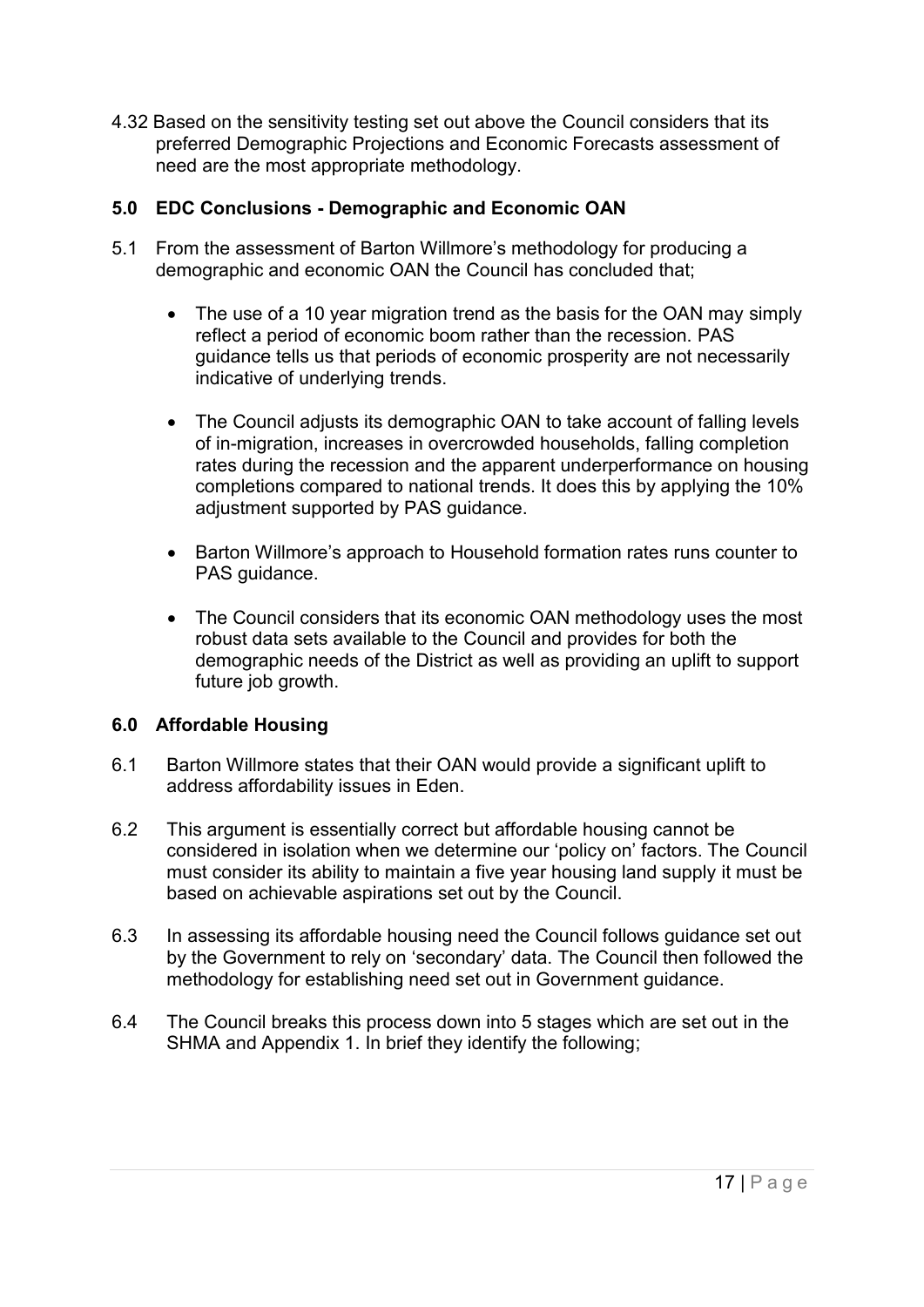4.32 Based on the sensitivity testing set out above the Council considers that its preferred Demographic Projections and Economic Forecasts assessment of need are the most appropriate methodology.

#### <span id="page-16-0"></span>**5.0 EDC Conclusions - Demographic and Economic OAN**

- 5.1 From the assessment of Barton Willmore's methodology for producing a demographic and economic OAN the Council has concluded that;
	- The use of a 10 year migration trend as the basis for the OAN may simply reflect a period of economic boom rather than the recession. PAS guidance tells us that periods of economic prosperity are not necessarily indicative of underlying trends.
	- The Council adjusts its demographic OAN to take account of falling levels of in-migration, increases in overcrowded households, falling completion rates during the recession and the apparent underperformance on housing completions compared to national trends. It does this by applying the 10% adjustment supported by PAS guidance.
	- Barton Willmore's approach to Household formation rates runs counter to PAS quidance.
	- The Council considers that its economic OAN methodology uses the most robust data sets available to the Council and provides for both the demographic needs of the District as well as providing an uplift to support future job growth.

#### <span id="page-16-1"></span>**6.0 Affordable Housing**

- 6.1 Barton Willmore states that their OAN would provide a significant uplift to address affordability issues in Eden.
- 6.2 This argument is essentially correct but affordable housing cannot be considered in isolation when we determine our 'policy on' factors. The Council must consider its ability to maintain a five year housing land supply it must be based on achievable aspirations set out by the Council.
- 6.3 In assessing its affordable housing need the Council follows guidance set out by the Government to rely on 'secondary' data. The Council then followed the methodology for establishing need set out in Government guidance.
- 6.4 The Council breaks this process down into 5 stages which are set out in the SHMA and Appendix 1. In brief they identify the following;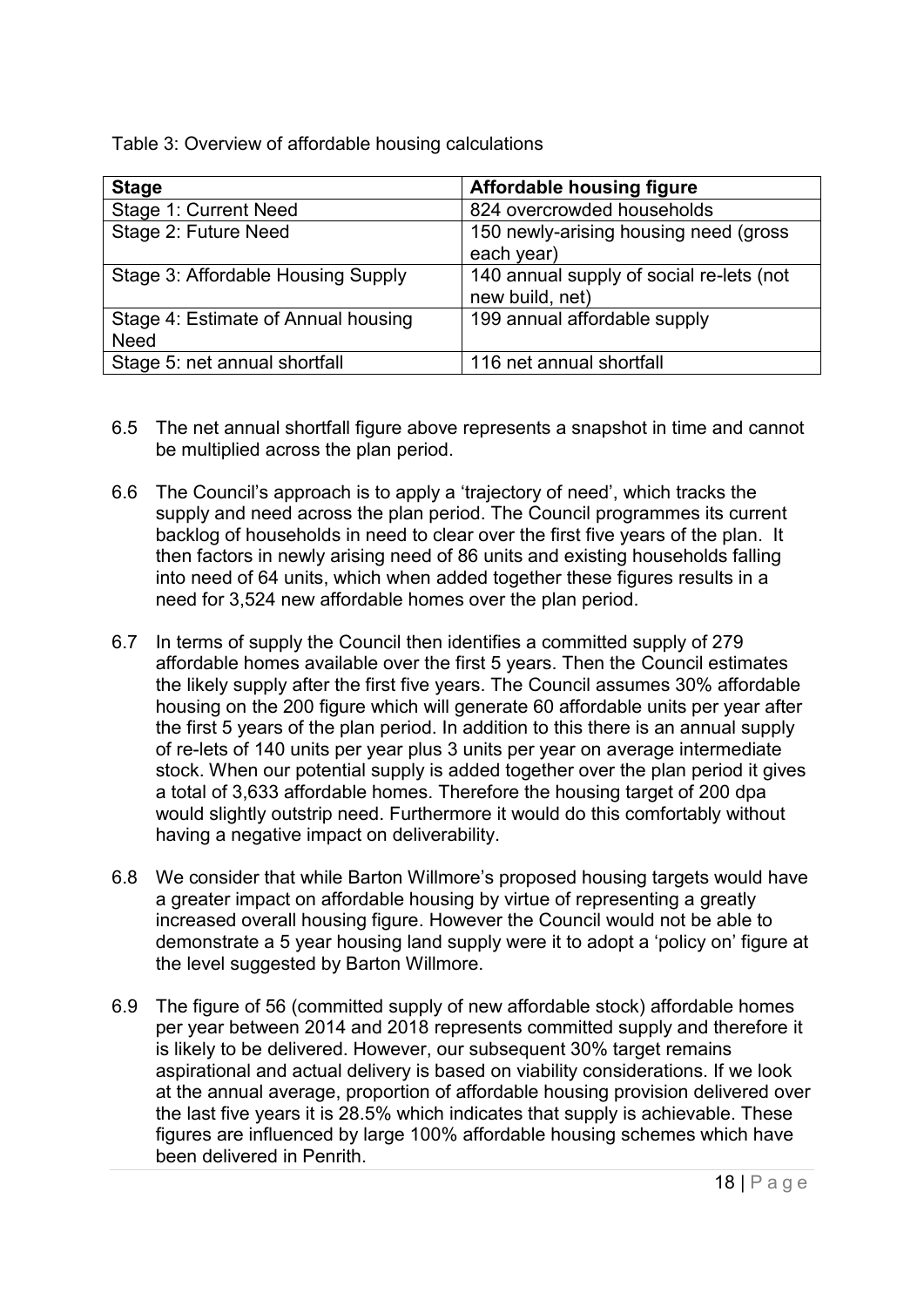Table 3: Overview of affordable housing calculations

| <b>Stage</b>                        | <b>Affordable housing figure</b>         |
|-------------------------------------|------------------------------------------|
| Stage 1: Current Need               | 824 overcrowded households               |
| Stage 2: Future Need                | 150 newly-arising housing need (gross    |
|                                     | each year)                               |
| Stage 3: Affordable Housing Supply  | 140 annual supply of social re-lets (not |
|                                     | new build, net)                          |
| Stage 4: Estimate of Annual housing | 199 annual affordable supply             |
| <b>Need</b>                         |                                          |
| Stage 5: net annual shortfall       | 116 net annual shortfall                 |

- 6.5 The net annual shortfall figure above represents a snapshot in time and cannot be multiplied across the plan period.
- 6.6 The Council's approach is to apply a 'trajectory of need', which tracks the supply and need across the plan period. The Council programmes its current backlog of households in need to clear over the first five years of the plan. It then factors in newly arising need of 86 units and existing households falling into need of 64 units, which when added together these figures results in a need for 3,524 new affordable homes over the plan period.
- 6.7 In terms of supply the Council then identifies a committed supply of 279 affordable homes available over the first 5 years. Then the Council estimates the likely supply after the first five years. The Council assumes 30% affordable housing on the 200 figure which will generate 60 affordable units per year after the first 5 years of the plan period. In addition to this there is an annual supply of re-lets of 140 units per year plus 3 units per year on average intermediate stock. When our potential supply is added together over the plan period it gives a total of 3,633 affordable homes. Therefore the housing target of 200 dpa would slightly outstrip need. Furthermore it would do this comfortably without having a negative impact on deliverability.
- 6.8 We consider that while Barton Willmore's proposed housing targets would have a greater impact on affordable housing by virtue of representing a greatly increased overall housing figure. However the Council would not be able to demonstrate a 5 year housing land supply were it to adopt a 'policy on' figure at the level suggested by Barton Willmore.
- 6.9 The figure of 56 (committed supply of new affordable stock) affordable homes per year between 2014 and 2018 represents committed supply and therefore it is likely to be delivered. However, our subsequent 30% target remains aspirational and actual delivery is based on viability considerations. If we look at the annual average, proportion of affordable housing provision delivered over the last five years it is 28.5% which indicates that supply is achievable. These figures are influenced by large 100% affordable housing schemes which have been delivered in Penrith.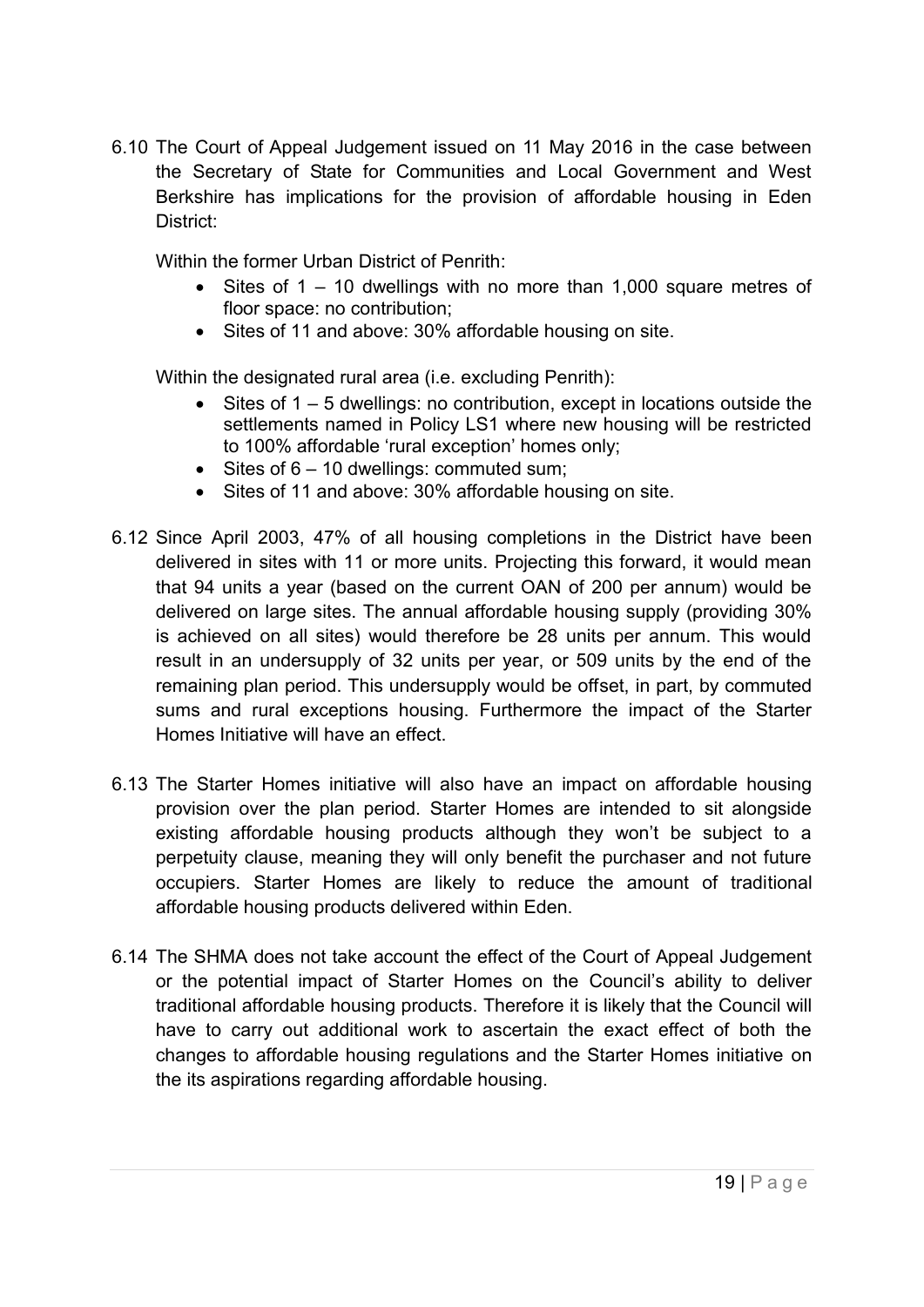6.10 The Court of Appeal Judgement issued on 11 May 2016 in the case between the Secretary of State for Communities and Local Government and West Berkshire has implications for the provision of affordable housing in Eden District:

Within the former Urban District of Penrith:

- $\bullet$  Sites of 1 10 dwellings with no more than 1,000 square metres of floor space: no contribution;
- Sites of 11 and above: 30% affordable housing on site.

Within the designated rural area (i.e. excluding Penrith):

- $\bullet$  Sites of 1 5 dwellings: no contribution, except in locations outside the settlements named in Policy LS1 where new housing will be restricted to 100% affordable 'rural exception' homes only;
- $\bullet$  Sites of  $6 10$  dwellings: commuted sum;
- Sites of 11 and above: 30% affordable housing on site.
- 6.12 Since April 2003, 47% of all housing completions in the District have been delivered in sites with 11 or more units. Projecting this forward, it would mean that 94 units a year (based on the current OAN of 200 per annum) would be delivered on large sites. The annual affordable housing supply (providing 30% is achieved on all sites) would therefore be 28 units per annum. This would result in an undersupply of 32 units per year, or 509 units by the end of the remaining plan period. This undersupply would be offset, in part, by commuted sums and rural exceptions housing. Furthermore the impact of the Starter Homes Initiative will have an effect.
- 6.13 The Starter Homes initiative will also have an impact on affordable housing provision over the plan period. Starter Homes are intended to sit alongside existing affordable housing products although they won't be subject to a perpetuity clause, meaning they will only benefit the purchaser and not future occupiers. Starter Homes are likely to reduce the amount of traditional affordable housing products delivered within Eden.
- 6.14 The SHMA does not take account the effect of the Court of Appeal Judgement or the potential impact of Starter Homes on the Council's ability to deliver traditional affordable housing products. Therefore it is likely that the Council will have to carry out additional work to ascertain the exact effect of both the changes to affordable housing regulations and the Starter Homes initiative on the its aspirations regarding affordable housing.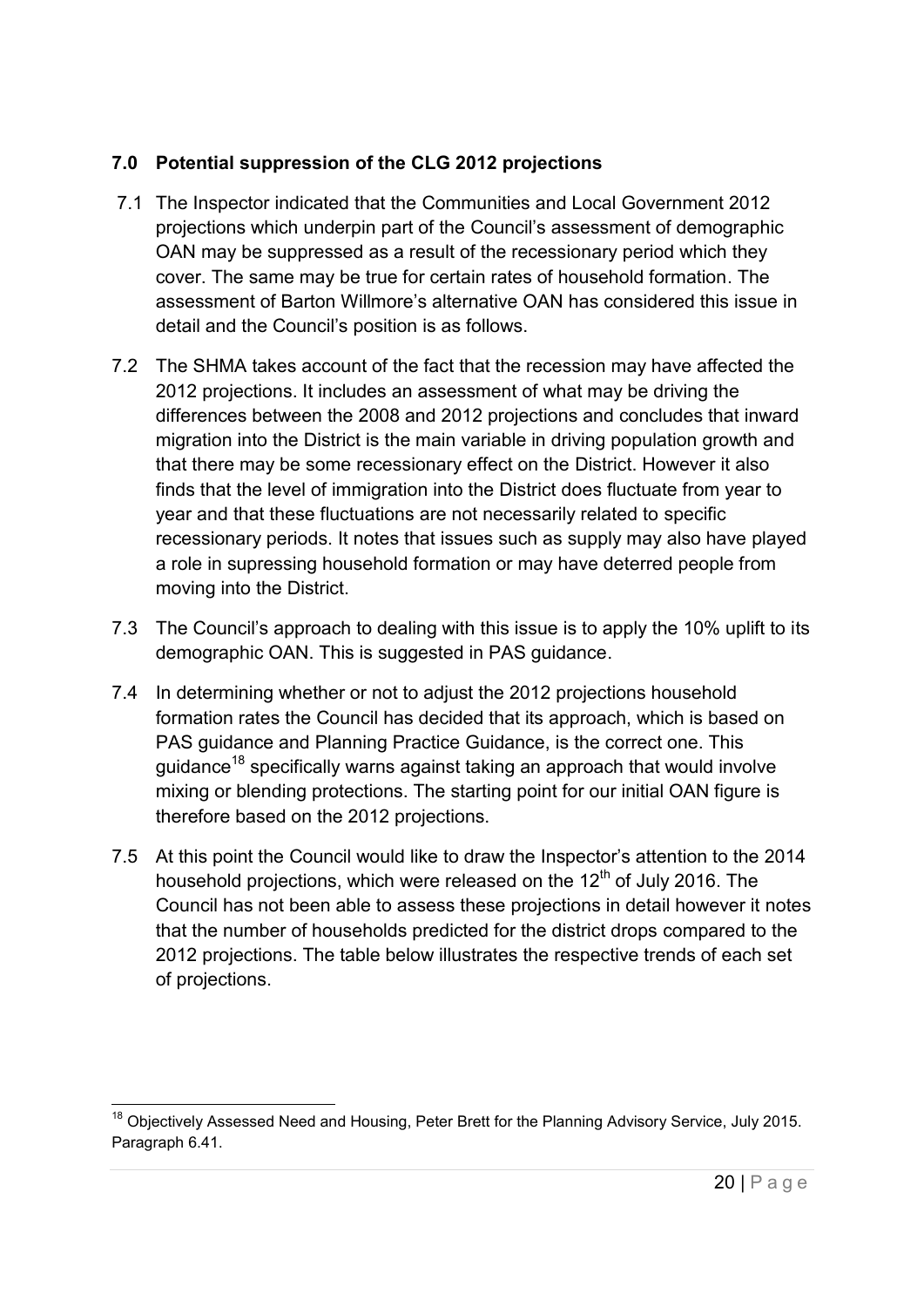#### <span id="page-19-0"></span>**7.0 Potential suppression of the CLG 2012 projections**

- 7.1 The Inspector indicated that the Communities and Local Government 2012 projections which underpin part of the Council's assessment of demographic OAN may be suppressed as a result of the recessionary period which they cover. The same may be true for certain rates of household formation. The assessment of Barton Willmore's alternative OAN has considered this issue in detail and the Council's position is as follows.
- 7.2 The SHMA takes account of the fact that the recession may have affected the 2012 projections. It includes an assessment of what may be driving the differences between the 2008 and 2012 projections and concludes that inward migration into the District is the main variable in driving population growth and that there may be some recessionary effect on the District. However it also finds that the level of immigration into the District does fluctuate from year to year and that these fluctuations are not necessarily related to specific recessionary periods. It notes that issues such as supply may also have played a role in supressing household formation or may have deterred people from moving into the District.
- 7.3 The Council's approach to dealing with this issue is to apply the 10% uplift to its demographic OAN. This is suggested in PAS guidance.
- 7.4 In determining whether or not to adjust the 2012 projections household formation rates the Council has decided that its approach, which is based on PAS guidance and Planning Practice Guidance, is the correct one. This guidance<sup>18</sup> specifically warns against taking an approach that would involve mixing or blending protections. The starting point for our initial OAN figure is therefore based on the 2012 projections.
- 7.5 At this point the Council would like to draw the Inspector's attention to the 2014 household projections, which were released on the  $12<sup>th</sup>$  of July 2016. The Council has not been able to assess these projections in detail however it notes that the number of households predicted for the district drops compared to the 2012 projections. The table below illustrates the respective trends of each set of projections.

 $\overline{a}$ <sup>18</sup> Objectively Assessed Need and Housing, Peter Brett for the Planning Advisory Service, July 2015. Paragraph 6.41.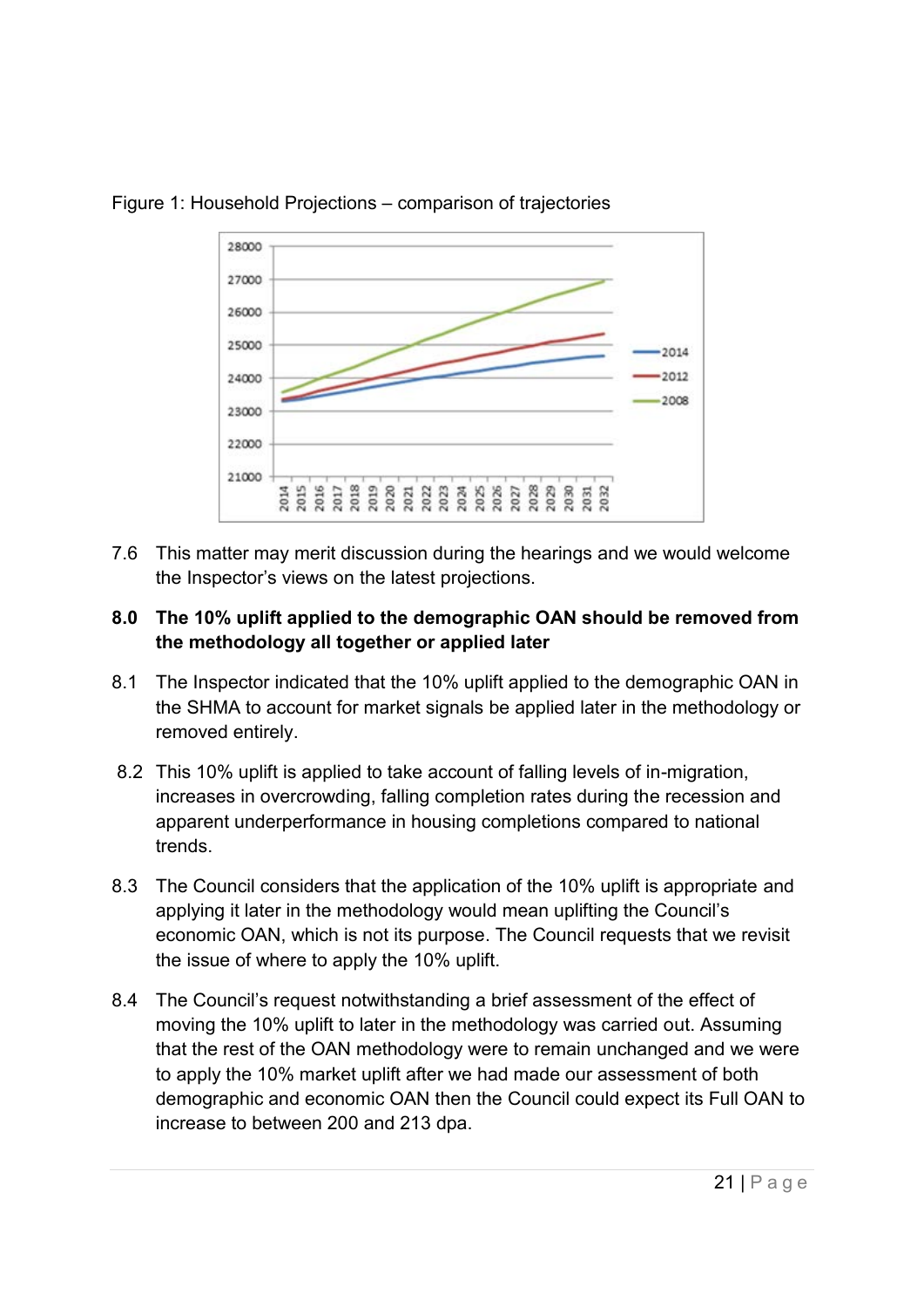

#### Figure 1: Household Projections – comparison of trajectories

7.6 This matter may merit discussion during the hearings and we would welcome the Inspector's views on the latest projections.

#### <span id="page-20-0"></span>**8.0 The 10% uplift applied to the demographic OAN should be removed from the methodology all together or applied later**

- 8.1 The Inspector indicated that the 10% uplift applied to the demographic OAN in the SHMA to account for market signals be applied later in the methodology or removed entirely.
- 8.2 This 10% uplift is applied to take account of falling levels of in-migration, increases in overcrowding, falling completion rates during the recession and apparent underperformance in housing completions compared to national trends.
- 8.3 The Council considers that the application of the 10% uplift is appropriate and applying it later in the methodology would mean uplifting the Council's economic OAN, which is not its purpose. The Council requests that we revisit the issue of where to apply the 10% uplift.
- 8.4 The Council's request notwithstanding a brief assessment of the effect of moving the 10% uplift to later in the methodology was carried out. Assuming that the rest of the OAN methodology were to remain unchanged and we were to apply the 10% market uplift after we had made our assessment of both demographic and economic OAN then the Council could expect its Full OAN to increase to between 200 and 213 dpa.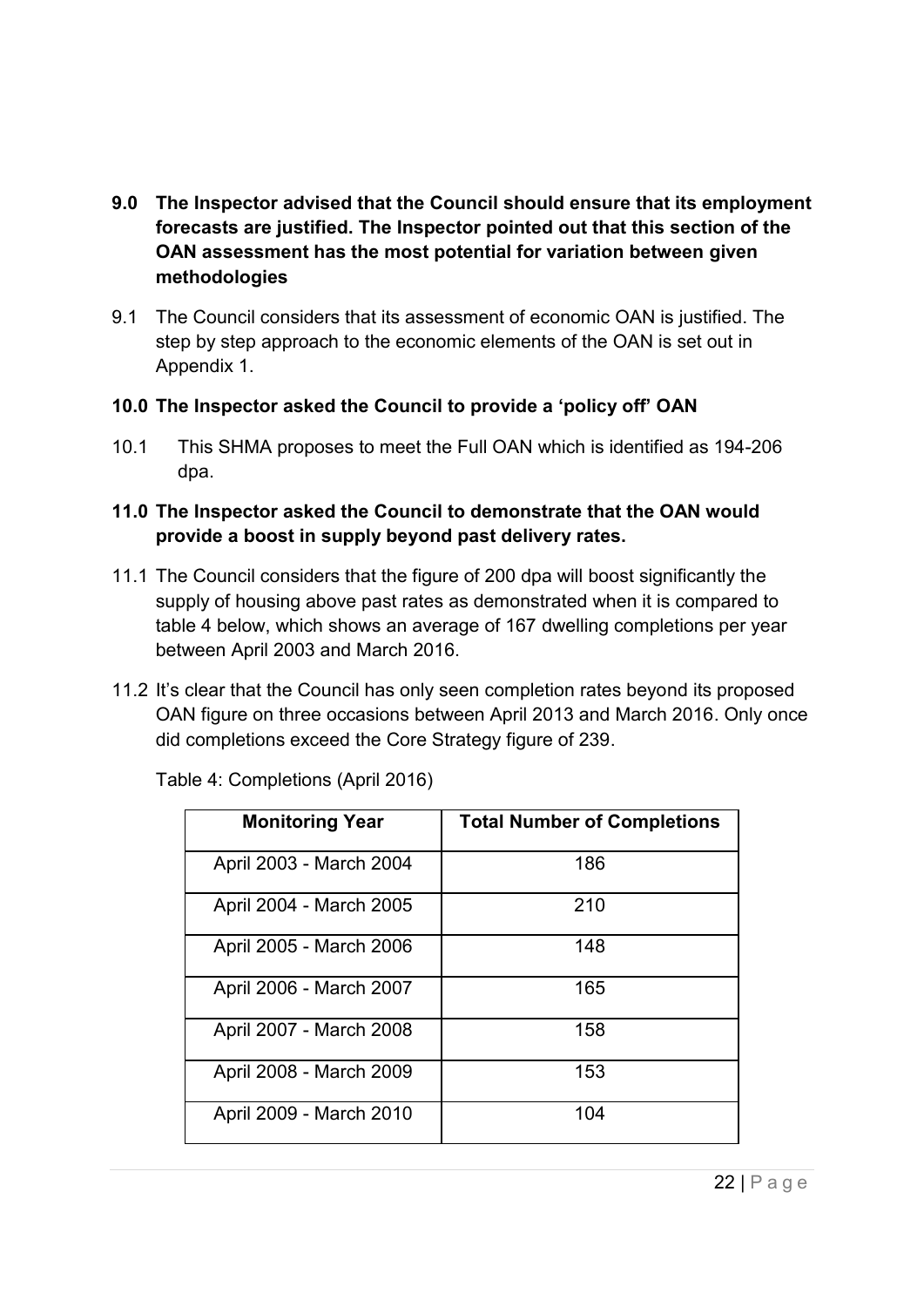- <span id="page-21-0"></span>**9.0 The Inspector advised that the Council should ensure that its employment forecasts are justified. The Inspector pointed out that this section of the OAN assessment has the most potential for variation between given methodologies**
- 9.1 The Council considers that its assessment of economic OAN is justified. The step by step approach to the economic elements of the OAN is set out in Appendix 1.
- <span id="page-21-1"></span>**10.0 The Inspector asked the Council to provide a 'policy off' OAN**
- 10.1 This SHMA proposes to meet the Full OAN which is identified as 194-206 dpa.

#### <span id="page-21-2"></span>**11.0 The Inspector asked the Council to demonstrate that the OAN would provide a boost in supply beyond past delivery rates.**

- 11.1 The Council considers that the figure of 200 dpa will boost significantly the supply of housing above past rates as demonstrated when it is compared to table 4 below, which shows an average of 167 dwelling completions per year between April 2003 and March 2016.
- 11.2 It's clear that the Council has only seen completion rates beyond its proposed OAN figure on three occasions between April 2013 and March 2016. Only once did completions exceed the Core Strategy figure of 239.

| <b>Monitoring Year</b>  | <b>Total Number of Completions</b> |
|-------------------------|------------------------------------|
| April 2003 - March 2004 | 186                                |
| April 2004 - March 2005 | 210                                |
| April 2005 - March 2006 | 148                                |
| April 2006 - March 2007 | 165                                |
| April 2007 - March 2008 | 158                                |
| April 2008 - March 2009 | 153                                |
| April 2009 - March 2010 | 104                                |

Table 4: Completions (April 2016)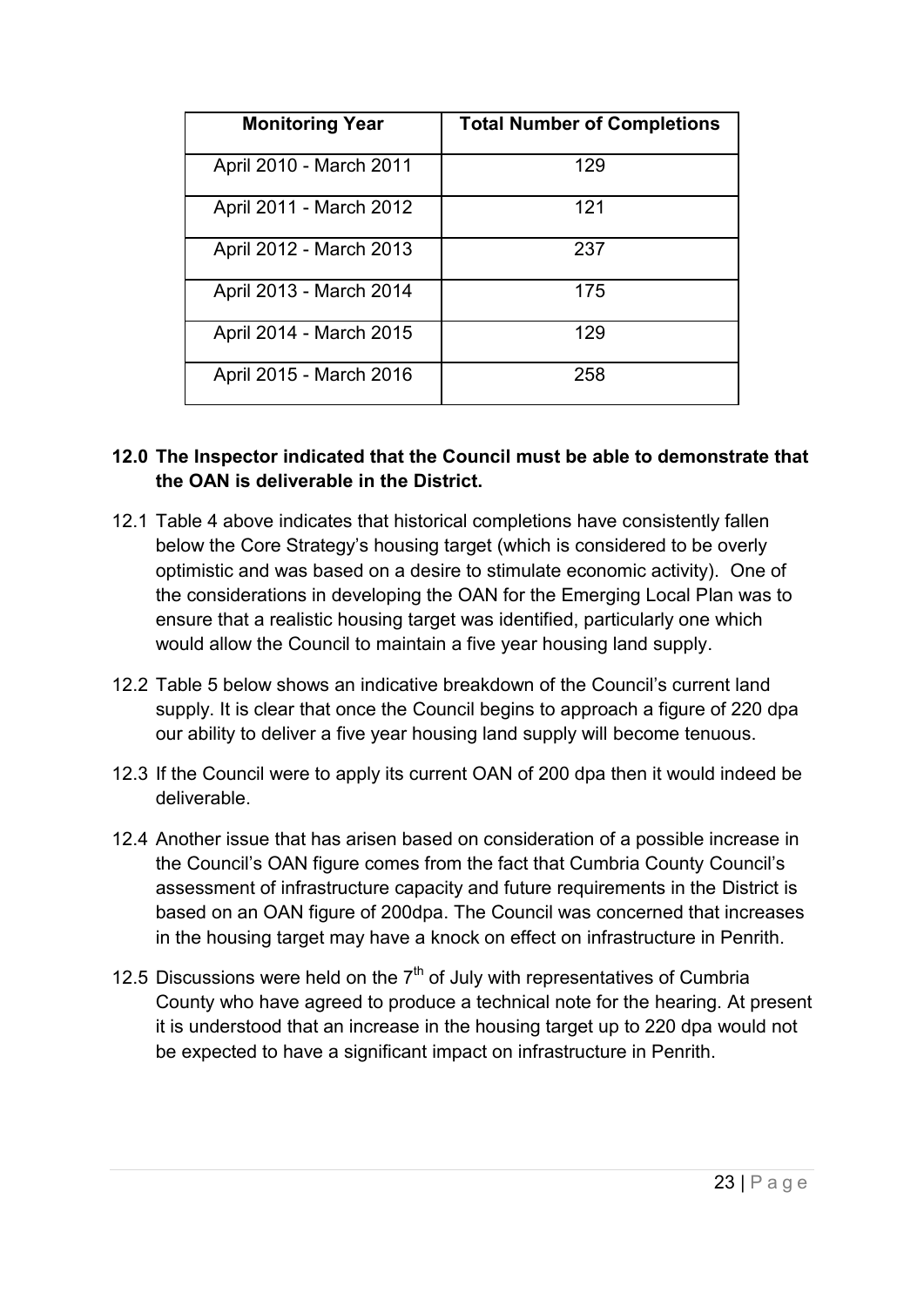| <b>Monitoring Year</b>  | <b>Total Number of Completions</b> |
|-------------------------|------------------------------------|
| April 2010 - March 2011 | 129                                |
| April 2011 - March 2012 | 121                                |
| April 2012 - March 2013 | 237                                |
| April 2013 - March 2014 | 175                                |
| April 2014 - March 2015 | 129                                |
| April 2015 - March 2016 | 258                                |

#### <span id="page-22-0"></span>**12.0 The Inspector indicated that the Council must be able to demonstrate that the OAN is deliverable in the District.**

- 12.1 Table 4 above indicates that historical completions have consistently fallen below the Core Strategy's housing target (which is considered to be overly optimistic and was based on a desire to stimulate economic activity). One of the considerations in developing the OAN for the Emerging Local Plan was to ensure that a realistic housing target was identified, particularly one which would allow the Council to maintain a five year housing land supply.
- 12.2 Table 5 below shows an indicative breakdown of the Council's current land supply. It is clear that once the Council begins to approach a figure of 220 dpa our ability to deliver a five year housing land supply will become tenuous.
- 12.3 If the Council were to apply its current OAN of 200 dpa then it would indeed be deliverable.
- 12.4 Another issue that has arisen based on consideration of a possible increase in the Council's OAN figure comes from the fact that Cumbria County Council's assessment of infrastructure capacity and future requirements in the District is based on an OAN figure of 200dpa. The Council was concerned that increases in the housing target may have a knock on effect on infrastructure in Penrith.
- 12.5 Discussions were held on the  $7<sup>th</sup>$  of July with representatives of Cumbria County who have agreed to produce a technical note for the hearing. At present it is understood that an increase in the housing target up to 220 dpa would not be expected to have a significant impact on infrastructure in Penrith.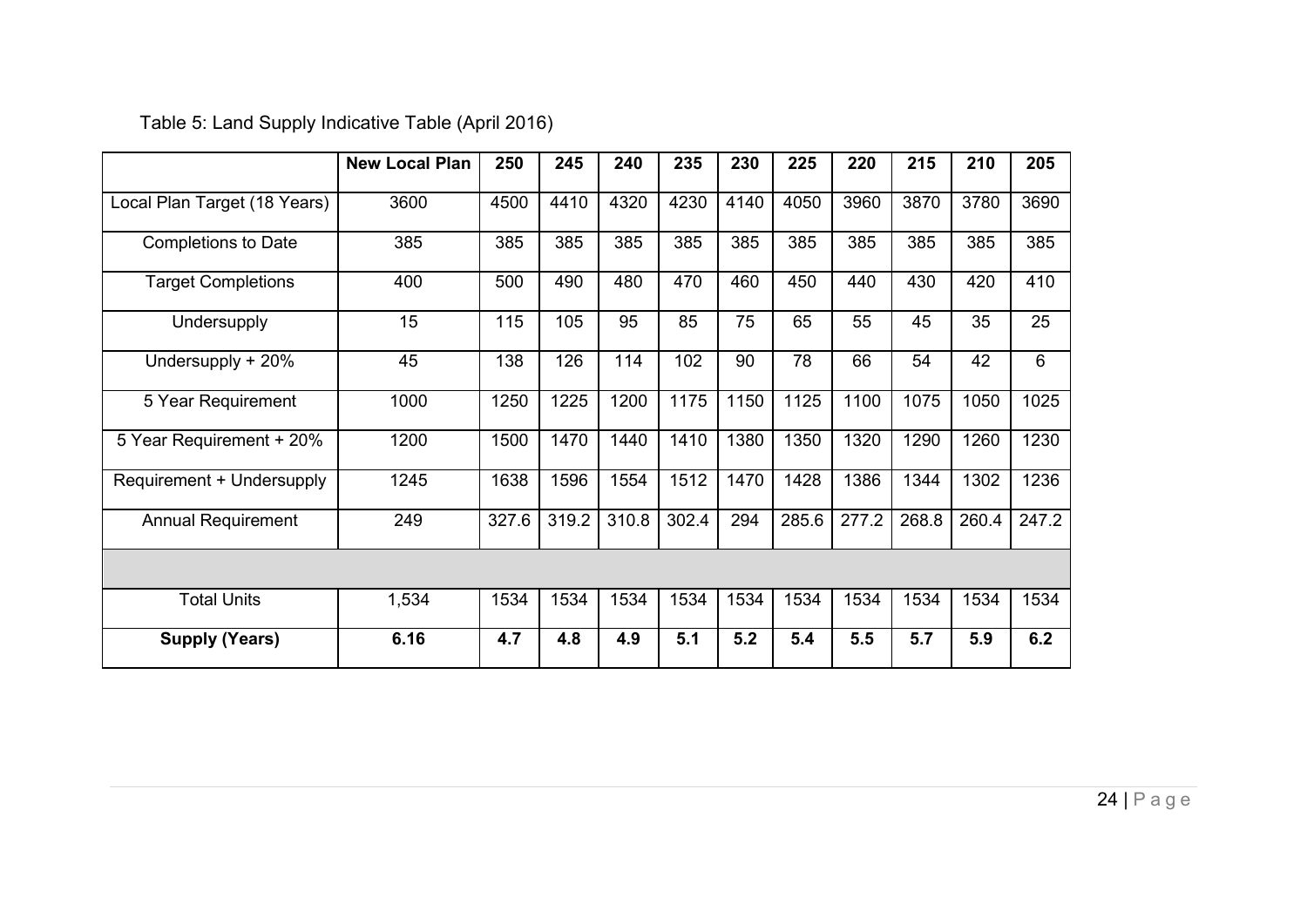|                              | <b>New Local Plan</b> | 250   | 245   | 240   | 235   | 230  | 225   | 220   | 215   | 210   | 205   |
|------------------------------|-----------------------|-------|-------|-------|-------|------|-------|-------|-------|-------|-------|
| Local Plan Target (18 Years) | 3600                  | 4500  | 4410  | 4320  | 4230  | 4140 | 4050  | 3960  | 3870  | 3780  | 3690  |
| <b>Completions to Date</b>   | 385                   | 385   | 385   | 385   | 385   | 385  | 385   | 385   | 385   | 385   | 385   |
| <b>Target Completions</b>    | 400                   | 500   | 490   | 480   | 470   | 460  | 450   | 440   | 430   | 420   | 410   |
| Undersupply                  | 15                    | 115   | 105   | 95    | 85    | 75   | 65    | 55    | 45    | 35    | 25    |
| Undersupply + 20%            | 45                    | 138   | 126   | 114   | 102   | 90   | 78    | 66    | 54    | 42    | 6     |
| 5 Year Requirement           | 1000                  | 1250  | 1225  | 1200  | 1175  | 1150 | 1125  | 1100  | 1075  | 1050  | 1025  |
| 5 Year Requirement + 20%     | 1200                  | 1500  | 1470  | 1440  | 1410  | 1380 | 1350  | 1320  | 1290  | 1260  | 1230  |
| Requirement + Undersupply    | 1245                  | 1638  | 1596  | 1554  | 1512  | 1470 | 1428  | 1386  | 1344  | 1302  | 1236  |
| <b>Annual Requirement</b>    | 249                   | 327.6 | 319.2 | 310.8 | 302.4 | 294  | 285.6 | 277.2 | 268.8 | 260.4 | 247.2 |
|                              |                       |       |       |       |       |      |       |       |       |       |       |
| <b>Total Units</b>           | 1,534                 | 1534  | 1534  | 1534  | 1534  | 1534 | 1534  | 1534  | 1534  | 1534  | 1534  |
| <b>Supply (Years)</b>        | 6.16                  | 4.7   | 4.8   | 4.9   | 5.1   | 5.2  | 5.4   | 5.5   | 5.7   | 5.9   | 6.2   |

Table 5: Land Supply Indicative Table (April 2016)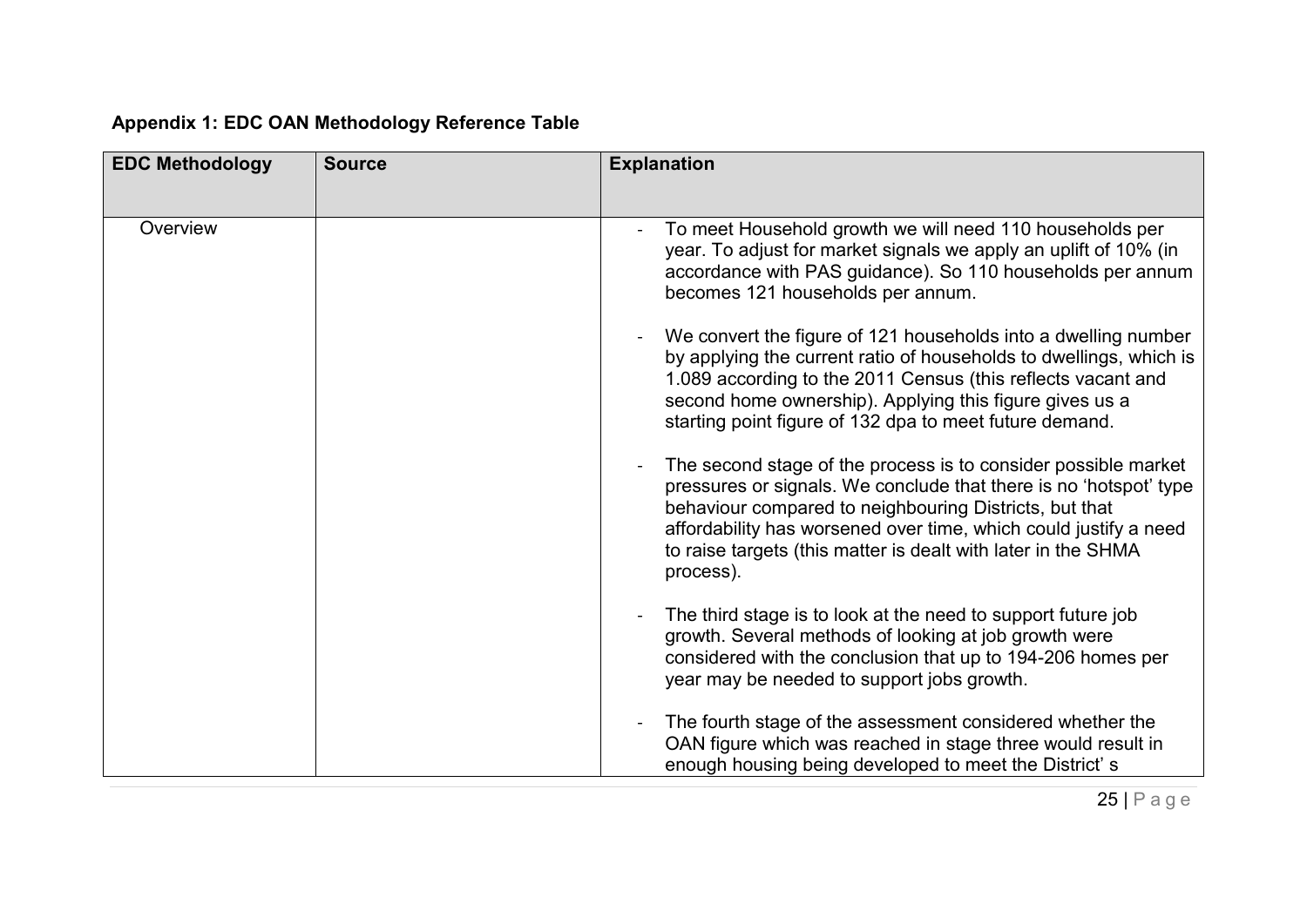## **Appendix 1: EDC OAN Methodology Reference Table**

<span id="page-24-0"></span>

| <b>EDC Methodology</b> | <b>Source</b> | <b>Explanation</b>                                                                                                                                                                                                                                                                                                                              |
|------------------------|---------------|-------------------------------------------------------------------------------------------------------------------------------------------------------------------------------------------------------------------------------------------------------------------------------------------------------------------------------------------------|
|                        |               |                                                                                                                                                                                                                                                                                                                                                 |
| Overview               |               | To meet Household growth we will need 110 households per<br>year. To adjust for market signals we apply an uplift of 10% (in<br>accordance with PAS guidance). So 110 households per annum<br>becomes 121 households per annum.                                                                                                                 |
|                        |               | We convert the figure of 121 households into a dwelling number<br>by applying the current ratio of households to dwellings, which is<br>1.089 according to the 2011 Census (this reflects vacant and<br>second home ownership). Applying this figure gives us a<br>starting point figure of 132 dpa to meet future demand.                      |
|                        |               | The second stage of the process is to consider possible market<br>pressures or signals. We conclude that there is no 'hotspot' type<br>behaviour compared to neighbouring Districts, but that<br>affordability has worsened over time, which could justify a need<br>to raise targets (this matter is dealt with later in the SHMA<br>process). |
|                        |               | The third stage is to look at the need to support future job<br>growth. Several methods of looking at job growth were<br>considered with the conclusion that up to 194-206 homes per<br>year may be needed to support jobs growth.                                                                                                              |
|                        |               | The fourth stage of the assessment considered whether the<br>OAN figure which was reached in stage three would result in<br>enough housing being developed to meet the District's                                                                                                                                                               |

25 | P a g e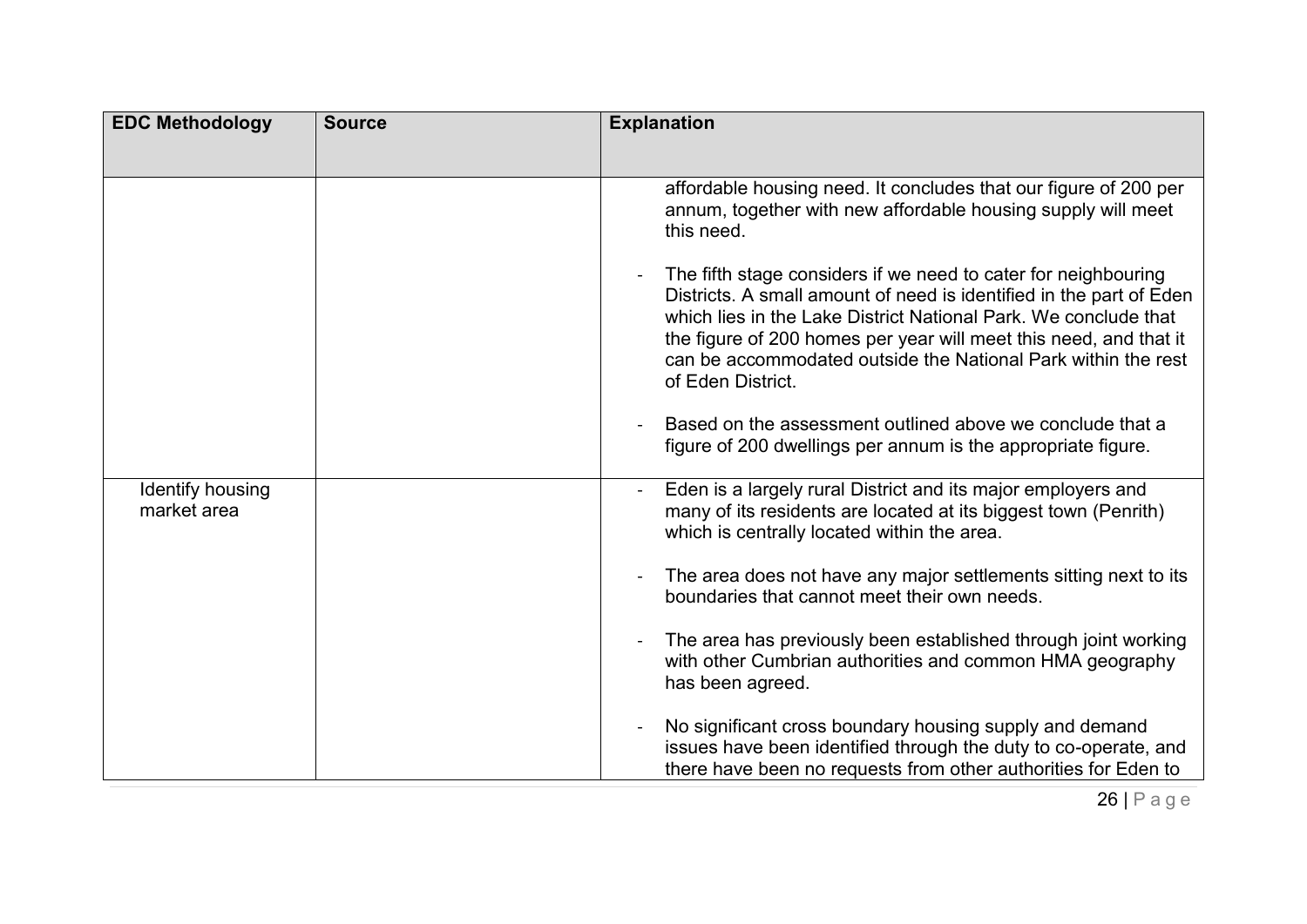| <b>EDC Methodology</b>          | <b>Source</b> | <b>Explanation</b>                                                                                                                                                                                                                                                                                                                                                  |
|---------------------------------|---------------|---------------------------------------------------------------------------------------------------------------------------------------------------------------------------------------------------------------------------------------------------------------------------------------------------------------------------------------------------------------------|
|                                 |               |                                                                                                                                                                                                                                                                                                                                                                     |
|                                 |               | affordable housing need. It concludes that our figure of 200 per<br>annum, together with new affordable housing supply will meet<br>this need.                                                                                                                                                                                                                      |
|                                 |               | The fifth stage considers if we need to cater for neighbouring<br>Districts. A small amount of need is identified in the part of Eden<br>which lies in the Lake District National Park. We conclude that<br>the figure of 200 homes per year will meet this need, and that it<br>can be accommodated outside the National Park within the rest<br>of Eden District. |
|                                 |               | Based on the assessment outlined above we conclude that a<br>figure of 200 dwellings per annum is the appropriate figure.                                                                                                                                                                                                                                           |
| Identify housing<br>market area |               | Eden is a largely rural District and its major employers and<br>many of its residents are located at its biggest town (Penrith)<br>which is centrally located within the area.                                                                                                                                                                                      |
|                                 |               | The area does not have any major settlements sitting next to its<br>boundaries that cannot meet their own needs.                                                                                                                                                                                                                                                    |
|                                 |               | The area has previously been established through joint working<br>with other Cumbrian authorities and common HMA geography<br>has been agreed.                                                                                                                                                                                                                      |
|                                 |               | No significant cross boundary housing supply and demand<br>issues have been identified through the duty to co-operate, and<br>there have been no requests from other authorities for Eden to                                                                                                                                                                        |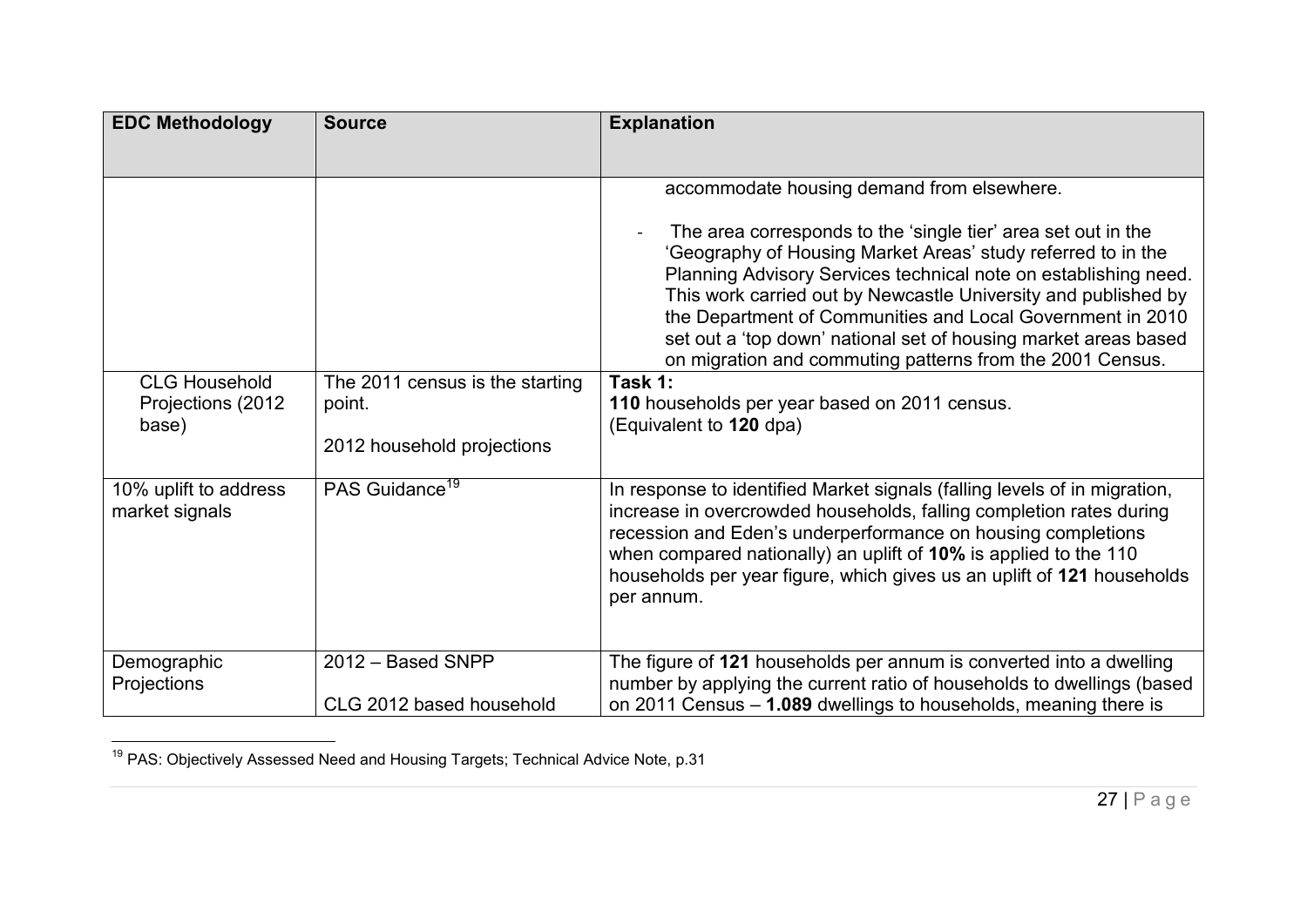| <b>EDC Methodology</b>                              | <b>Source</b>                                                           | <b>Explanation</b>                                                                                                                                                                                                                                                                                                                                                                                                                                                                                                                                                                                    |
|-----------------------------------------------------|-------------------------------------------------------------------------|-------------------------------------------------------------------------------------------------------------------------------------------------------------------------------------------------------------------------------------------------------------------------------------------------------------------------------------------------------------------------------------------------------------------------------------------------------------------------------------------------------------------------------------------------------------------------------------------------------|
|                                                     |                                                                         |                                                                                                                                                                                                                                                                                                                                                                                                                                                                                                                                                                                                       |
| <b>CLG Household</b><br>Projections (2012)<br>base) | The 2011 census is the starting<br>point.<br>2012 household projections | accommodate housing demand from elsewhere.<br>The area corresponds to the 'single tier' area set out in the<br>'Geography of Housing Market Areas' study referred to in the<br>Planning Advisory Services technical note on establishing need.<br>This work carried out by Newcastle University and published by<br>the Department of Communities and Local Government in 2010<br>set out a 'top down' national set of housing market areas based<br>on migration and commuting patterns from the 2001 Census.<br>Task 1:<br>110 households per year based on 2011 census.<br>(Equivalent to 120 dpa) |
| 10% uplift to address<br>market signals             | PAS Guidance <sup>19</sup>                                              | In response to identified Market signals (falling levels of in migration,<br>increase in overcrowded households, falling completion rates during<br>recession and Eden's underperformance on housing completions<br>when compared nationally) an uplift of 10% is applied to the 110<br>households per year figure, which gives us an uplift of 121 households<br>per annum.                                                                                                                                                                                                                          |
| Demographic<br>Projections                          | 2012 - Based SNPP<br>CLG 2012 based household                           | The figure of 121 households per annum is converted into a dwelling<br>number by applying the current ratio of households to dwellings (based<br>on 2011 Census - 1.089 dwellings to households, meaning there is                                                                                                                                                                                                                                                                                                                                                                                     |

 $\overline{\phantom{a}}$  $^{19}$  PAS: Objectively Assessed Need and Housing Targets; Technical Advice Note, p.31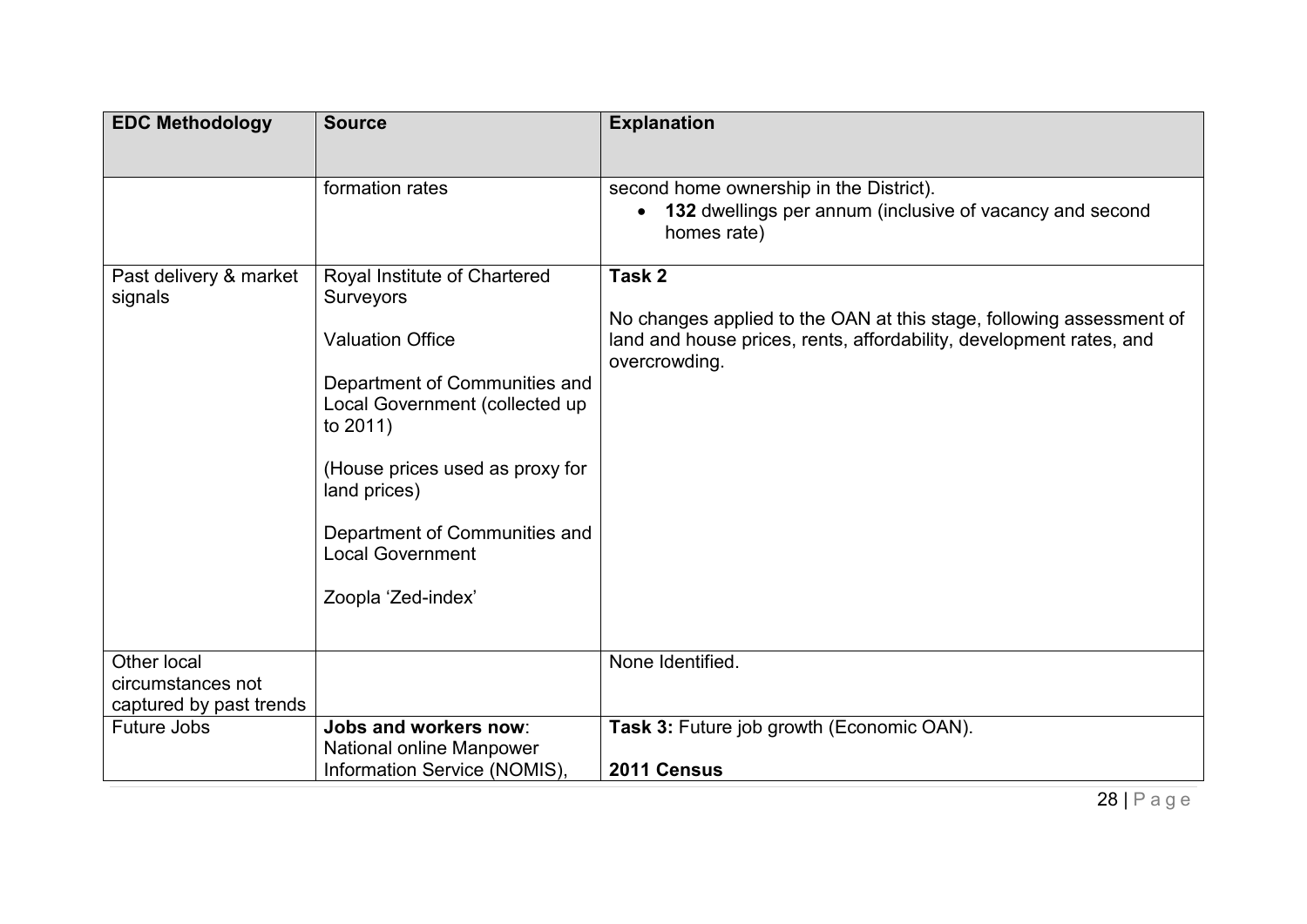| <b>EDC Methodology</b>                       | <b>Source</b>                                                                                                                                                                                                                                                                                                      | <b>Explanation</b>                                                                                                                                                                                                                                                                                        |
|----------------------------------------------|--------------------------------------------------------------------------------------------------------------------------------------------------------------------------------------------------------------------------------------------------------------------------------------------------------------------|-----------------------------------------------------------------------------------------------------------------------------------------------------------------------------------------------------------------------------------------------------------------------------------------------------------|
| Past delivery & market<br>signals            | formation rates<br>Royal Institute of Chartered<br><b>Surveyors</b><br><b>Valuation Office</b><br>Department of Communities and<br>Local Government (collected up<br>to 2011)<br>(House prices used as proxy for<br>land prices)<br>Department of Communities and<br><b>Local Government</b><br>Zoopla 'Zed-index' | second home ownership in the District).<br>132 dwellings per annum (inclusive of vacancy and second<br>$\bullet$<br>homes rate)<br>Task 2<br>No changes applied to the OAN at this stage, following assessment of<br>land and house prices, rents, affordability, development rates, and<br>overcrowding. |
|                                              |                                                                                                                                                                                                                                                                                                                    |                                                                                                                                                                                                                                                                                                           |
| Other local                                  |                                                                                                                                                                                                                                                                                                                    | None Identified.                                                                                                                                                                                                                                                                                          |
| circumstances not<br>captured by past trends |                                                                                                                                                                                                                                                                                                                    |                                                                                                                                                                                                                                                                                                           |
| <b>Future Jobs</b>                           | <b>Jobs and workers now:</b>                                                                                                                                                                                                                                                                                       | Task 3: Future job growth (Economic OAN).                                                                                                                                                                                                                                                                 |
|                                              | National online Manpower                                                                                                                                                                                                                                                                                           |                                                                                                                                                                                                                                                                                                           |
|                                              | Information Service (NOMIS),                                                                                                                                                                                                                                                                                       | 2011 Census                                                                                                                                                                                                                                                                                               |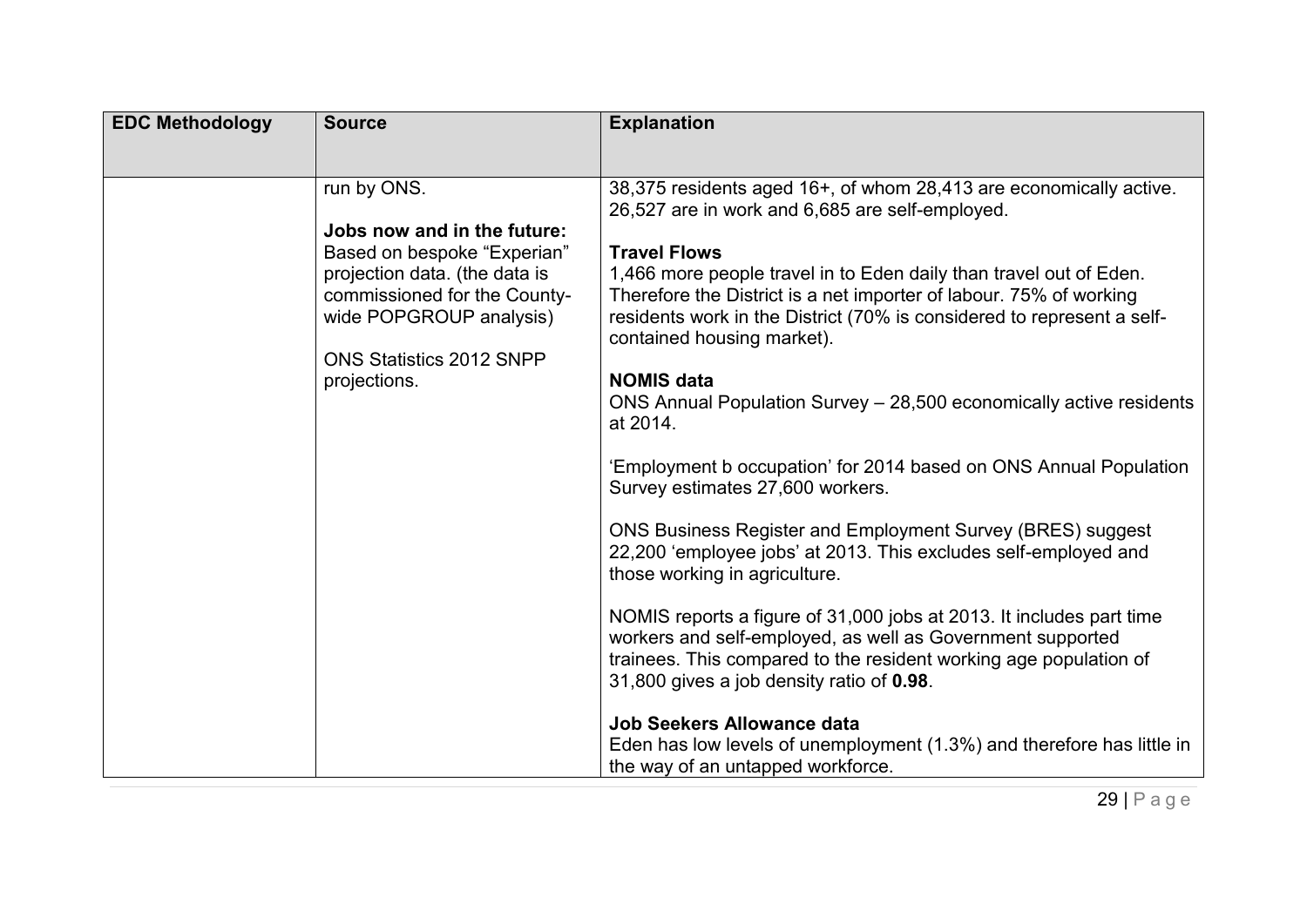| <b>EDC Methodology</b> | <b>Source</b>                                                                                                                                                                                                            | <b>Explanation</b>                                                                                                                                                                                                                                                                                                                                                                                                                                                                                                                                                                                                                                                                                                                                                                                                                                                                                                                                                                                                                                                                                                                                                                              |
|------------------------|--------------------------------------------------------------------------------------------------------------------------------------------------------------------------------------------------------------------------|-------------------------------------------------------------------------------------------------------------------------------------------------------------------------------------------------------------------------------------------------------------------------------------------------------------------------------------------------------------------------------------------------------------------------------------------------------------------------------------------------------------------------------------------------------------------------------------------------------------------------------------------------------------------------------------------------------------------------------------------------------------------------------------------------------------------------------------------------------------------------------------------------------------------------------------------------------------------------------------------------------------------------------------------------------------------------------------------------------------------------------------------------------------------------------------------------|
|                        | run by ONS.<br>Jobs now and in the future:<br>Based on bespoke "Experian"<br>projection data. (the data is<br>commissioned for the County-<br>wide POPGROUP analysis)<br><b>ONS Statistics 2012 SNPP</b><br>projections. | 38,375 residents aged 16+, of whom 28,413 are economically active.<br>26,527 are in work and 6,685 are self-employed.<br><b>Travel Flows</b><br>1,466 more people travel in to Eden daily than travel out of Eden.<br>Therefore the District is a net importer of labour. 75% of working<br>residents work in the District (70% is considered to represent a self-<br>contained housing market).<br><b>NOMIS data</b><br>ONS Annual Population Survey - 28,500 economically active residents<br>at 2014.<br>'Employment b occupation' for 2014 based on ONS Annual Population<br>Survey estimates 27,600 workers.<br>ONS Business Register and Employment Survey (BRES) suggest<br>22,200 'employee jobs' at 2013. This excludes self-employed and<br>those working in agriculture.<br>NOMIS reports a figure of 31,000 jobs at 2013. It includes part time<br>workers and self-employed, as well as Government supported<br>trainees. This compared to the resident working age population of<br>31,800 gives a job density ratio of 0.98.<br><b>Job Seekers Allowance data</b><br>Eden has low levels of unemployment (1.3%) and therefore has little in<br>the way of an untapped workforce. |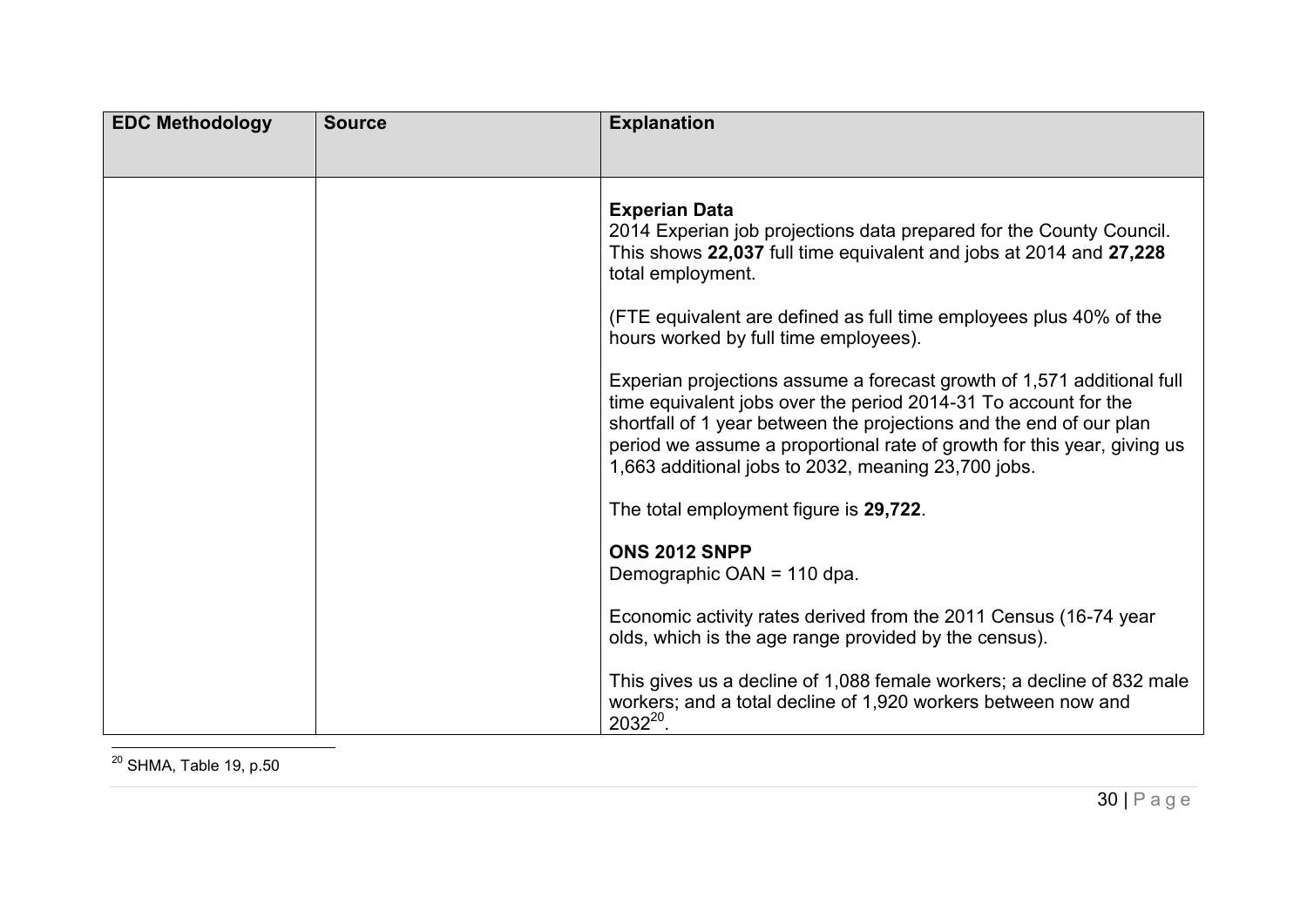| <b>EDC Methodology</b> | <b>Source</b> | <b>Explanation</b>                                                                                                                                                                                                                                                                                                                                 |
|------------------------|---------------|----------------------------------------------------------------------------------------------------------------------------------------------------------------------------------------------------------------------------------------------------------------------------------------------------------------------------------------------------|
|                        |               |                                                                                                                                                                                                                                                                                                                                                    |
|                        |               | <b>Experian Data</b><br>2014 Experian job projections data prepared for the County Council.<br>This shows 22,037 full time equivalent and jobs at 2014 and 27,228<br>total employment.                                                                                                                                                             |
|                        |               | (FTE equivalent are defined as full time employees plus 40% of the<br>hours worked by full time employees).                                                                                                                                                                                                                                        |
|                        |               | Experian projections assume a forecast growth of 1,571 additional full<br>time equivalent jobs over the period 2014-31 To account for the<br>shortfall of 1 year between the projections and the end of our plan<br>period we assume a proportional rate of growth for this year, giving us<br>1,663 additional jobs to 2032, meaning 23,700 jobs. |
|                        |               | The total employment figure is 29,722.                                                                                                                                                                                                                                                                                                             |
|                        |               | <b>ONS 2012 SNPP</b><br>Demographic OAN = 110 dpa.                                                                                                                                                                                                                                                                                                 |
|                        |               | Economic activity rates derived from the 2011 Census (16-74 year<br>olds, which is the age range provided by the census).                                                                                                                                                                                                                          |
|                        |               | This gives us a decline of 1,088 female workers; a decline of 832 male<br>workers; and a total decline of 1,920 workers between now and<br>$2032^{20}$ .                                                                                                                                                                                           |

 $\overline{\phantom{a}}$  $^{\rm 20}$  SHMA, Table 19, p.50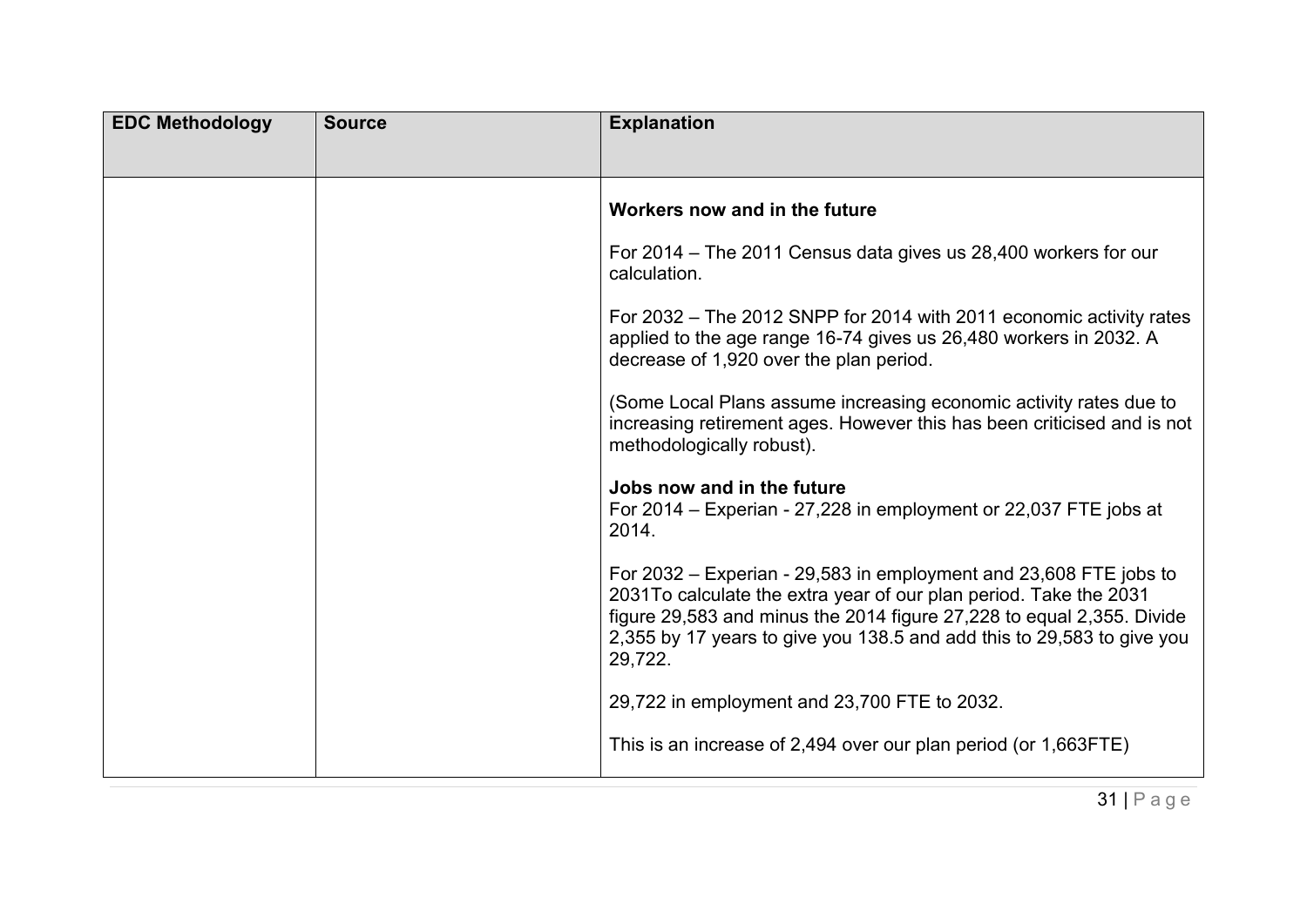| <b>EDC Methodology</b> | <b>Source</b> | <b>Explanation</b>                                                                                                                                                                                                                                                                                   |
|------------------------|---------------|------------------------------------------------------------------------------------------------------------------------------------------------------------------------------------------------------------------------------------------------------------------------------------------------------|
|                        |               |                                                                                                                                                                                                                                                                                                      |
|                        |               | Workers now and in the future                                                                                                                                                                                                                                                                        |
|                        |               | For 2014 – The 2011 Census data gives us 28,400 workers for our<br>calculation.                                                                                                                                                                                                                      |
|                        |               | For 2032 – The 2012 SNPP for 2014 with 2011 economic activity rates<br>applied to the age range 16-74 gives us 26,480 workers in 2032. A<br>decrease of 1,920 over the plan period.                                                                                                                  |
|                        |               | (Some Local Plans assume increasing economic activity rates due to<br>increasing retirement ages. However this has been criticised and is not<br>methodologically robust).                                                                                                                           |
|                        |               | Jobs now and in the future<br>For 2014 – Experian - 27,228 in employment or 22,037 FTE jobs at<br>2014.                                                                                                                                                                                              |
|                        |               | For 2032 – Experian - 29,583 in employment and 23,608 FTE jobs to<br>2031To calculate the extra year of our plan period. Take the 2031<br>figure 29,583 and minus the 2014 figure 27,228 to equal 2,355. Divide<br>2,355 by 17 years to give you 138.5 and add this to 29,583 to give you<br>29,722. |
|                        |               | 29,722 in employment and 23,700 FTE to 2032.                                                                                                                                                                                                                                                         |
|                        |               | This is an increase of 2,494 over our plan period (or 1,663FTE)                                                                                                                                                                                                                                      |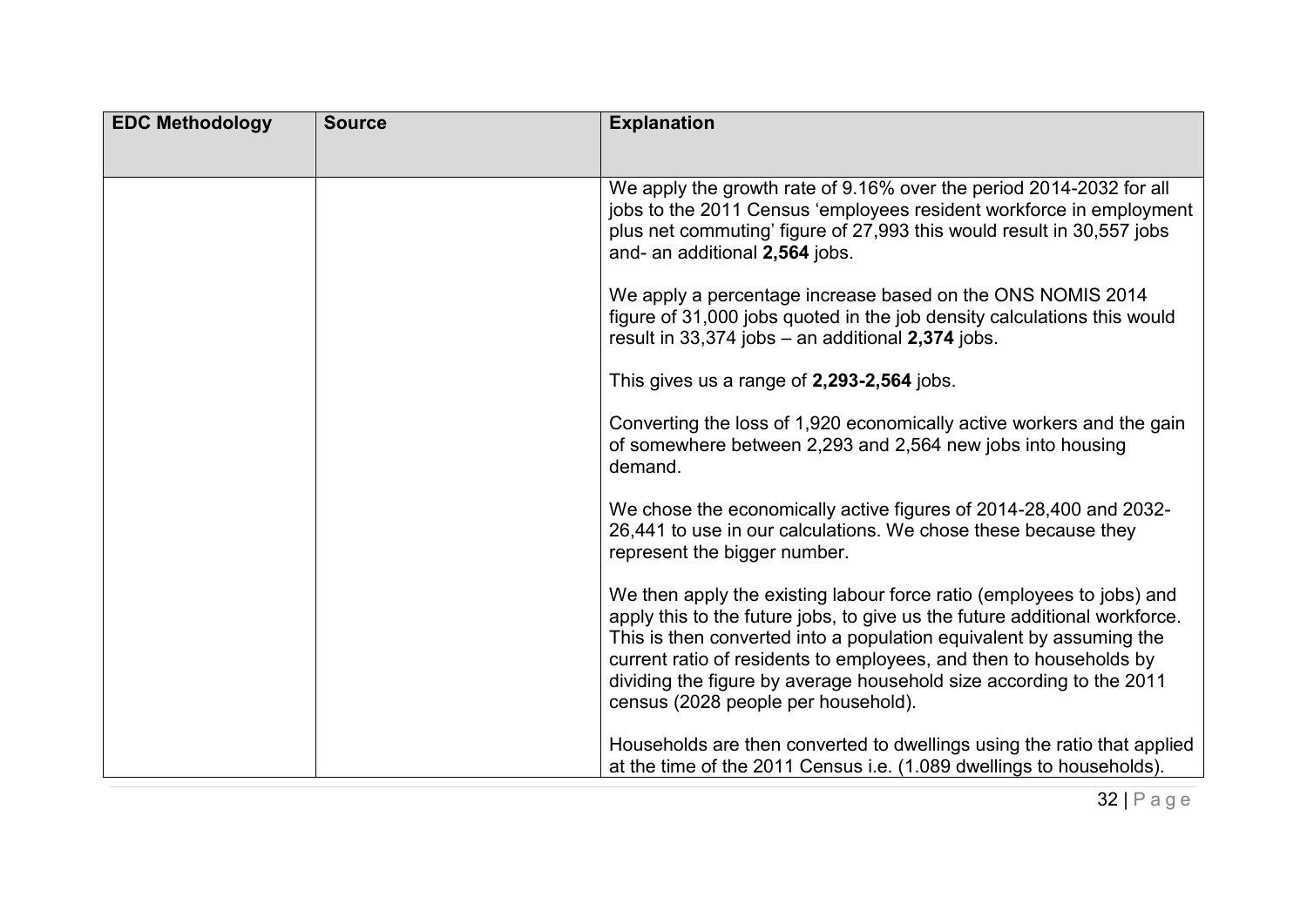| <b>EDC Methodology</b> | <b>Source</b> | <b>Explanation</b>                                                                                                                                                                                                                                                                                                                                                                                             |
|------------------------|---------------|----------------------------------------------------------------------------------------------------------------------------------------------------------------------------------------------------------------------------------------------------------------------------------------------------------------------------------------------------------------------------------------------------------------|
|                        |               | We apply the growth rate of 9.16% over the period 2014-2032 for all                                                                                                                                                                                                                                                                                                                                            |
|                        |               | jobs to the 2011 Census 'employees resident workforce in employment<br>plus net commuting' figure of 27,993 this would result in 30,557 jobs<br>and- an additional 2,564 jobs.                                                                                                                                                                                                                                 |
|                        |               | We apply a percentage increase based on the ONS NOMIS 2014<br>figure of 31,000 jobs quoted in the job density calculations this would<br>result in 33,374 jobs - an additional 2,374 jobs.                                                                                                                                                                                                                     |
|                        |               | This gives us a range of 2,293-2,564 jobs.                                                                                                                                                                                                                                                                                                                                                                     |
|                        |               | Converting the loss of 1,920 economically active workers and the gain<br>of somewhere between 2,293 and 2,564 new jobs into housing<br>demand.                                                                                                                                                                                                                                                                 |
|                        |               | We chose the economically active figures of 2014-28,400 and 2032-<br>26,441 to use in our calculations. We chose these because they<br>represent the bigger number.                                                                                                                                                                                                                                            |
|                        |               | We then apply the existing labour force ratio (employees to jobs) and<br>apply this to the future jobs, to give us the future additional workforce.<br>This is then converted into a population equivalent by assuming the<br>current ratio of residents to employees, and then to households by<br>dividing the figure by average household size according to the 2011<br>census (2028 people per household). |
|                        |               | Households are then converted to dwellings using the ratio that applied<br>at the time of the 2011 Census i.e. (1.089 dwellings to households).                                                                                                                                                                                                                                                                |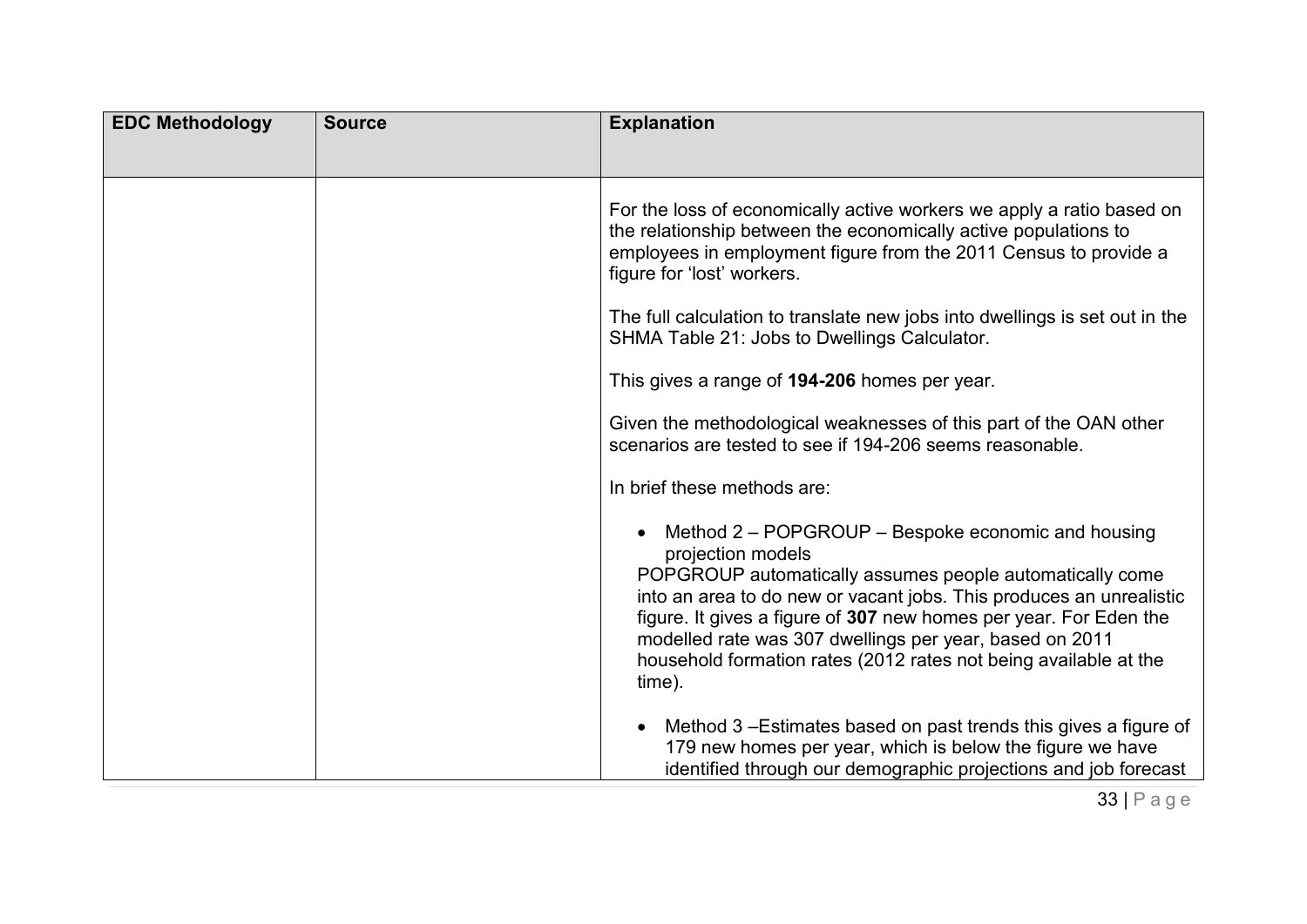| <b>EDC Methodology</b> | <b>Source</b> | <b>Explanation</b>                                                                                                                                                                                                                                                                                                                                                                                                       |
|------------------------|---------------|--------------------------------------------------------------------------------------------------------------------------------------------------------------------------------------------------------------------------------------------------------------------------------------------------------------------------------------------------------------------------------------------------------------------------|
|                        |               |                                                                                                                                                                                                                                                                                                                                                                                                                          |
|                        |               | For the loss of economically active workers we apply a ratio based on<br>the relationship between the economically active populations to<br>employees in employment figure from the 2011 Census to provide a<br>figure for 'lost' workers.                                                                                                                                                                               |
|                        |               | The full calculation to translate new jobs into dwellings is set out in the<br>SHMA Table 21: Jobs to Dwellings Calculator.                                                                                                                                                                                                                                                                                              |
|                        |               | This gives a range of 194-206 homes per year.                                                                                                                                                                                                                                                                                                                                                                            |
|                        |               | Given the methodological weaknesses of this part of the OAN other<br>scenarios are tested to see if 194-206 seems reasonable.                                                                                                                                                                                                                                                                                            |
|                        |               | In brief these methods are:                                                                                                                                                                                                                                                                                                                                                                                              |
|                        |               | Method 2 – POPGROUP – Bespoke economic and housing<br>projection models<br>POPGROUP automatically assumes people automatically come<br>into an area to do new or vacant jobs. This produces an unrealistic<br>figure. It gives a figure of 307 new homes per year. For Eden the<br>modelled rate was 307 dwellings per year, based on 2011<br>household formation rates (2012 rates not being available at the<br>time). |
|                        |               | Method 3-Estimates based on past trends this gives a figure of<br>$\bullet$<br>179 new homes per year, which is below the figure we have<br>identified through our demographic projections and job forecast                                                                                                                                                                                                              |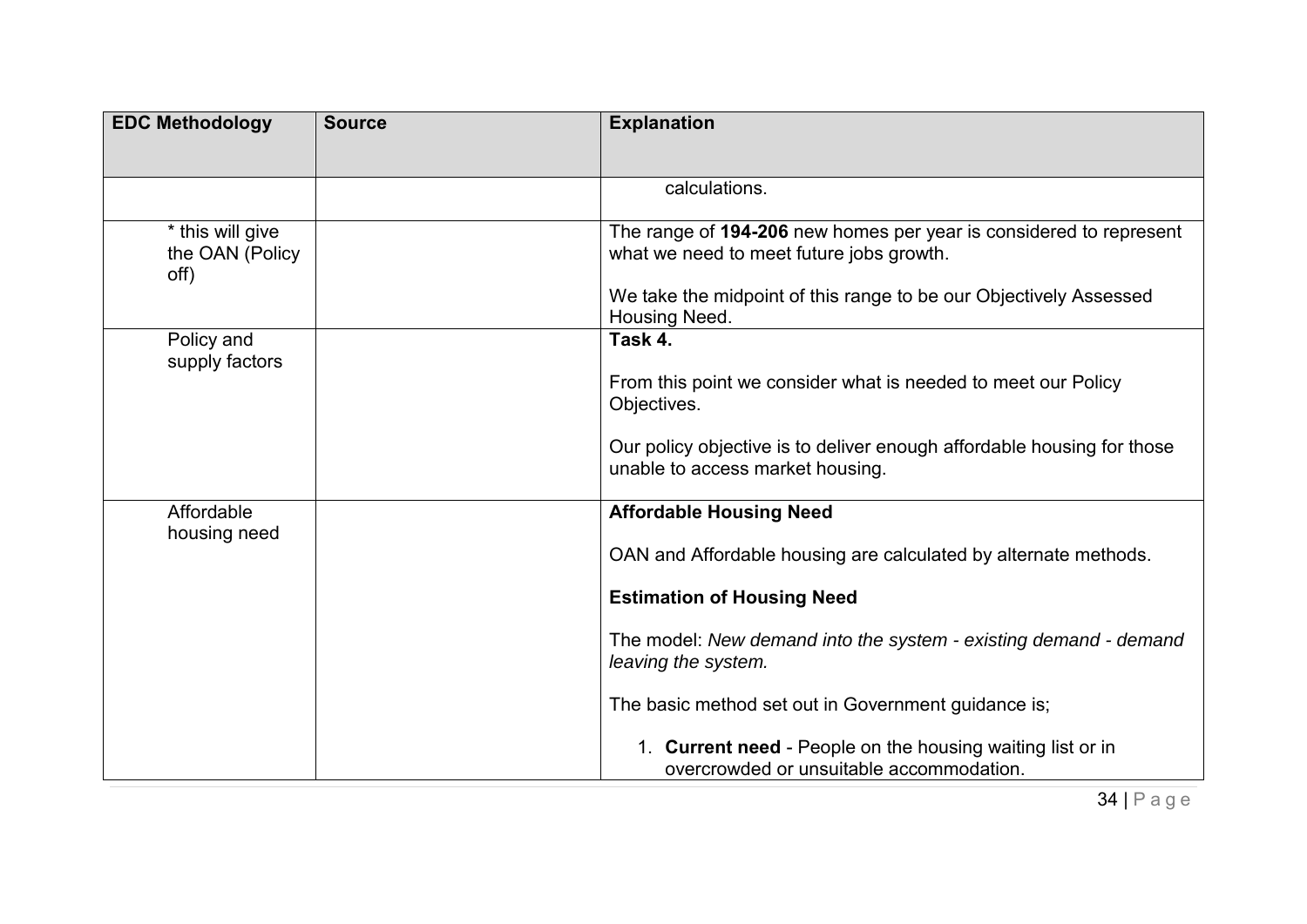| <b>EDC Methodology</b>                      | <b>Source</b> | <b>Explanation</b>                                                                                             |
|---------------------------------------------|---------------|----------------------------------------------------------------------------------------------------------------|
|                                             |               |                                                                                                                |
|                                             |               | calculations.                                                                                                  |
| * this will give<br>the OAN (Policy<br>off) |               | The range of 194-206 new homes per year is considered to represent<br>what we need to meet future jobs growth. |
|                                             |               | We take the midpoint of this range to be our Objectively Assessed<br>Housing Need.                             |
| Policy and                                  |               | Task 4.                                                                                                        |
| supply factors                              |               | From this point we consider what is needed to meet our Policy<br>Objectives.                                   |
|                                             |               | Our policy objective is to deliver enough affordable housing for those<br>unable to access market housing.     |
| Affordable                                  |               | <b>Affordable Housing Need</b>                                                                                 |
| housing need                                |               | OAN and Affordable housing are calculated by alternate methods.                                                |
|                                             |               | <b>Estimation of Housing Need</b>                                                                              |
|                                             |               | The model: New demand into the system - existing demand - demand<br>leaving the system.                        |
|                                             |               | The basic method set out in Government guidance is;                                                            |
|                                             |               | 1. Current need - People on the housing waiting list or in<br>overcrowded or unsuitable accommodation.         |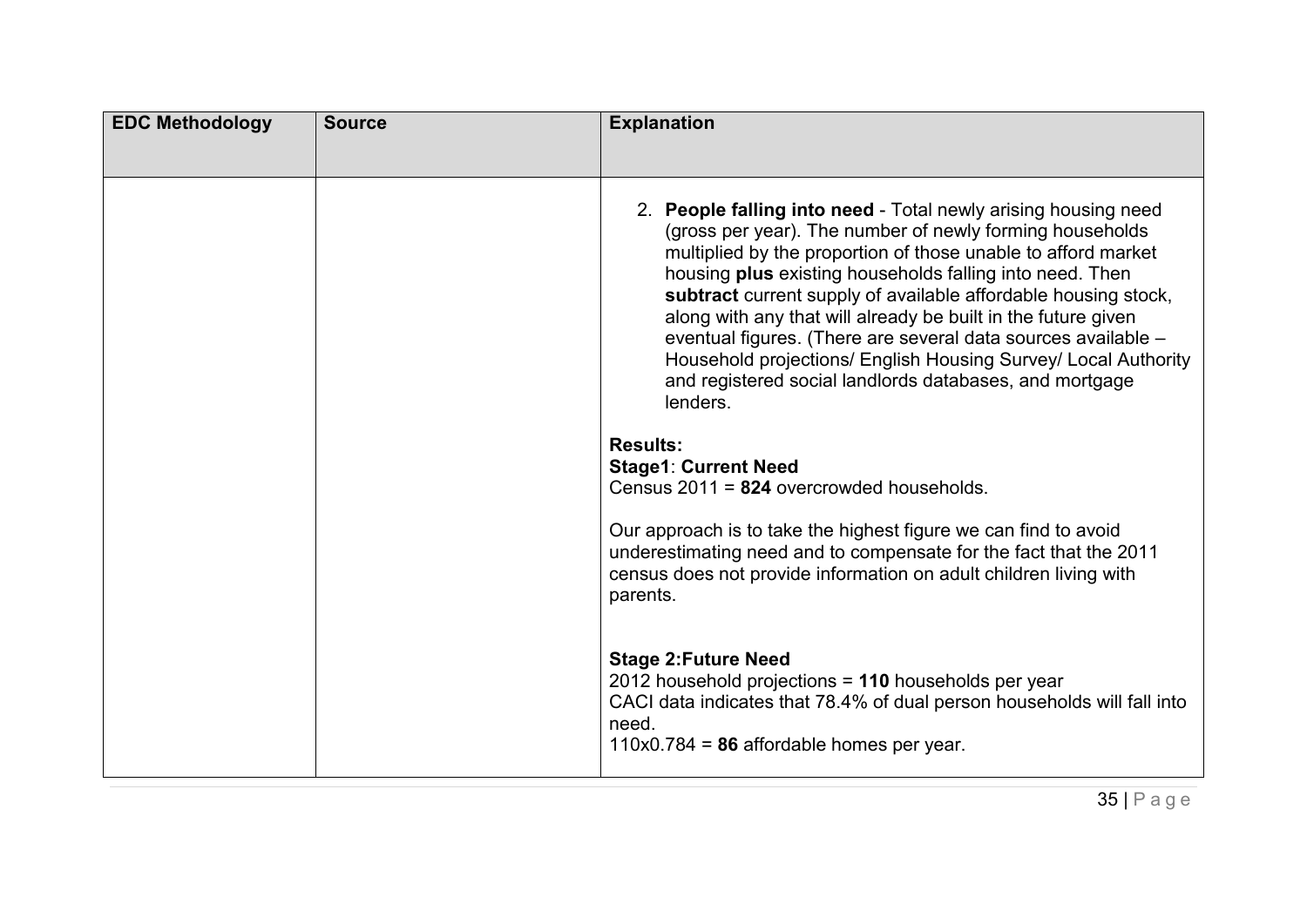| <b>EDC Methodology</b> | <b>Source</b> | <b>Explanation</b>                                                                                                                                                                                                                                                                                                                                                                                                                                                                                                                                                                                   |
|------------------------|---------------|------------------------------------------------------------------------------------------------------------------------------------------------------------------------------------------------------------------------------------------------------------------------------------------------------------------------------------------------------------------------------------------------------------------------------------------------------------------------------------------------------------------------------------------------------------------------------------------------------|
|                        |               | 2. People falling into need - Total newly arising housing need<br>(gross per year). The number of newly forming households<br>multiplied by the proportion of those unable to afford market<br>housing plus existing households falling into need. Then<br>subtract current supply of available affordable housing stock,<br>along with any that will already be built in the future given<br>eventual figures. (There are several data sources available -<br>Household projections/ English Housing Survey/ Local Authority<br>and registered social landlords databases, and mortgage<br>lenders. |
|                        |               | <b>Results:</b><br><b>Stage1: Current Need</b><br>Census 2011 = 824 overcrowded households.                                                                                                                                                                                                                                                                                                                                                                                                                                                                                                          |
|                        |               | Our approach is to take the highest figure we can find to avoid<br>underestimating need and to compensate for the fact that the 2011<br>census does not provide information on adult children living with<br>parents.                                                                                                                                                                                                                                                                                                                                                                                |
|                        |               | <b>Stage 2: Future Need</b><br>2012 household projections = 110 households per year<br>CACI data indicates that 78.4% of dual person households will fall into<br>need.<br>$110x0.784 = 86$ affordable homes per year.                                                                                                                                                                                                                                                                                                                                                                               |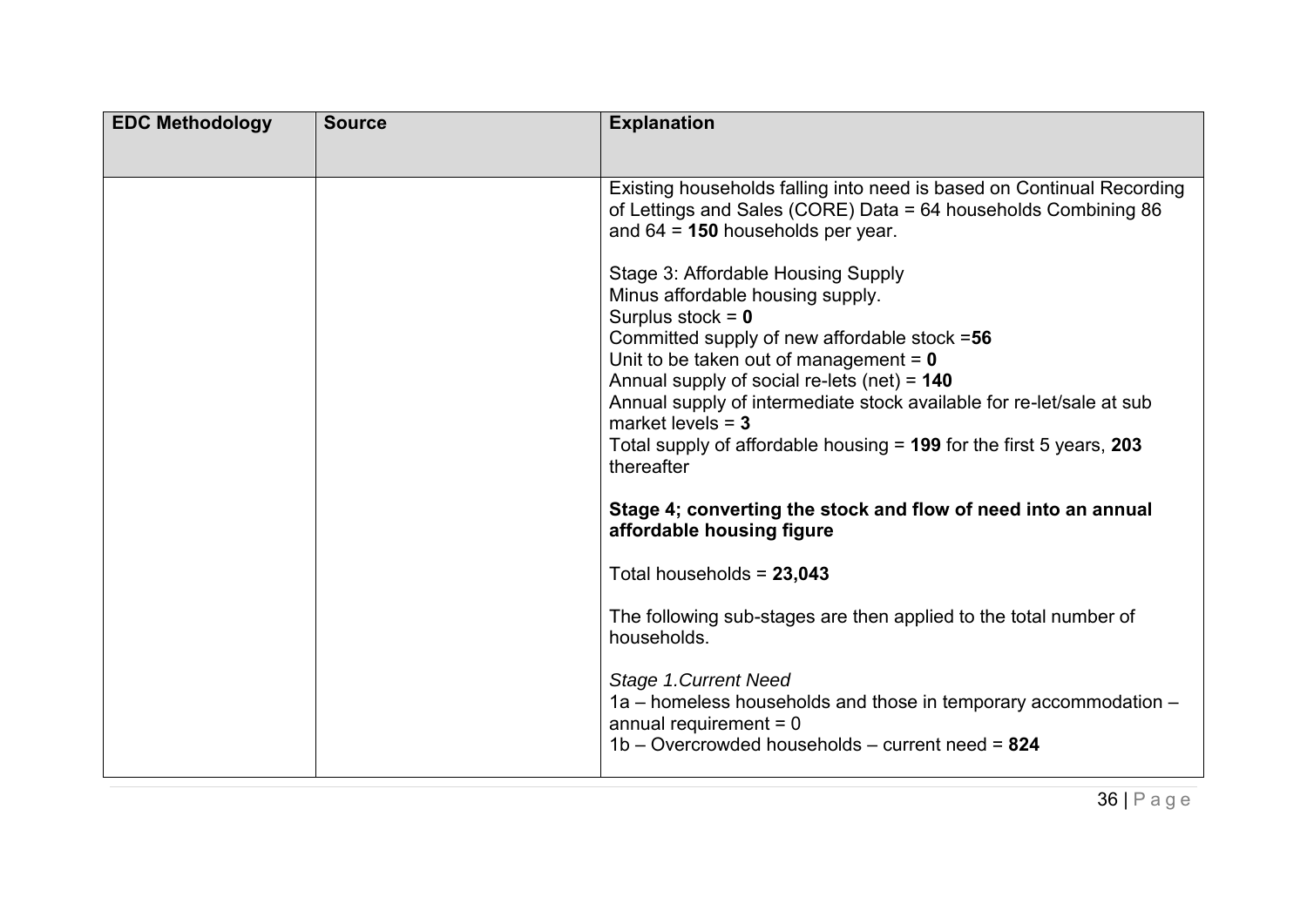| <b>EDC Methodology</b> | <b>Source</b> | <b>Explanation</b>                                                                                                                                                                                                                                                                                                                                                                                                               |
|------------------------|---------------|----------------------------------------------------------------------------------------------------------------------------------------------------------------------------------------------------------------------------------------------------------------------------------------------------------------------------------------------------------------------------------------------------------------------------------|
|                        |               | Existing households falling into need is based on Continual Recording<br>of Lettings and Sales (CORE) Data = 64 households Combining 86<br>and $64 = 150$ households per year.                                                                                                                                                                                                                                                   |
|                        |               | Stage 3: Affordable Housing Supply<br>Minus affordable housing supply.<br>Surplus stock = $0$<br>Committed supply of new affordable stock =56<br>Unit to be taken out of management = $0$<br>Annual supply of social re-lets (net) = $140$<br>Annual supply of intermediate stock available for re-let/sale at sub<br>market levels $=$ 3<br>Total supply of affordable housing $= 199$ for the first 5 years, 203<br>thereafter |
|                        |               | Stage 4; converting the stock and flow of need into an annual<br>affordable housing figure                                                                                                                                                                                                                                                                                                                                       |
|                        |               | Total households = 23,043                                                                                                                                                                                                                                                                                                                                                                                                        |
|                        |               | The following sub-stages are then applied to the total number of<br>households.                                                                                                                                                                                                                                                                                                                                                  |
|                        |               | Stage 1. Current Need<br>1a – homeless households and those in temporary accommodation –<br>annual requirement $= 0$<br>$1b -$ Overcrowded households – current need = 824                                                                                                                                                                                                                                                       |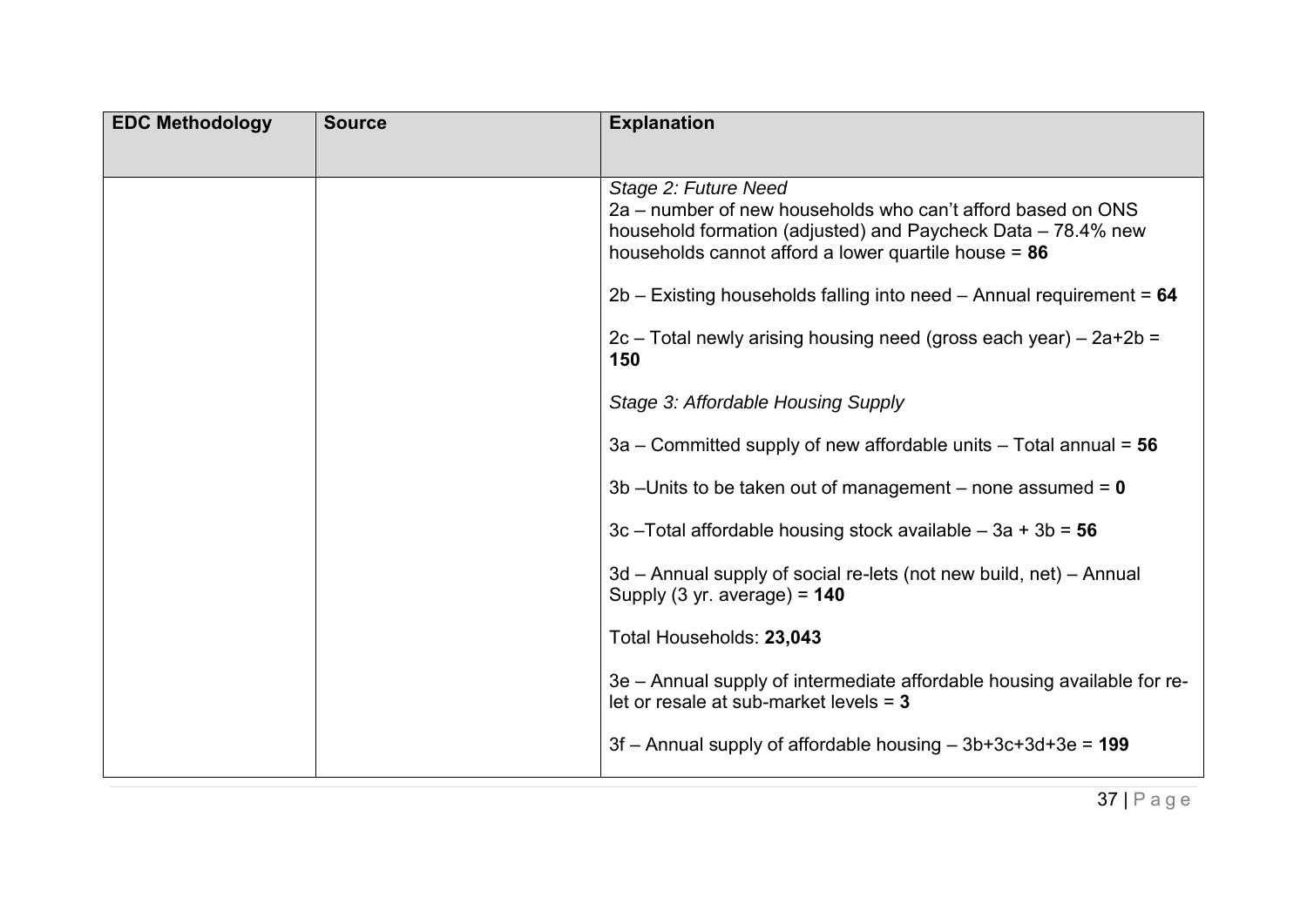| <b>EDC Methodology</b> | <b>Source</b> | <b>Explanation</b>                                                                                                                                                                                            |
|------------------------|---------------|---------------------------------------------------------------------------------------------------------------------------------------------------------------------------------------------------------------|
|                        |               | Stage 2: Future Need<br>2a – number of new households who can't afford based on ONS<br>household formation (adjusted) and Paycheck Data – 78.4% new<br>households cannot afford a lower quartile house = $86$ |
|                        |               | $2b$ – Existing households falling into need – Annual requirement = 64<br>$2c$ – Total newly arising housing need (gross each year) – $2a+2b =$<br>150                                                        |
|                        |               | Stage 3: Affordable Housing Supply                                                                                                                                                                            |
|                        |               | 3a – Committed supply of new affordable units – Total annual = $56$                                                                                                                                           |
|                        |               | 3b - Units to be taken out of management - none assumed = $0$                                                                                                                                                 |
|                        |               | 3c - Total affordable housing stock available - $3a + 3b = 56$                                                                                                                                                |
|                        |               | 3d – Annual supply of social re-lets (not new build, net) – Annual<br>Supply $(3 \text{ yr. average}) = 140$                                                                                                  |
|                        |               | Total Households: 23,043                                                                                                                                                                                      |
|                        |               | 3e - Annual supply of intermediate affordable housing available for re-<br>let or resale at sub-market levels $= 3$                                                                                           |
|                        |               | $3f$ – Annual supply of affordable housing – $3b+3c+3d+3e = 199$                                                                                                                                              |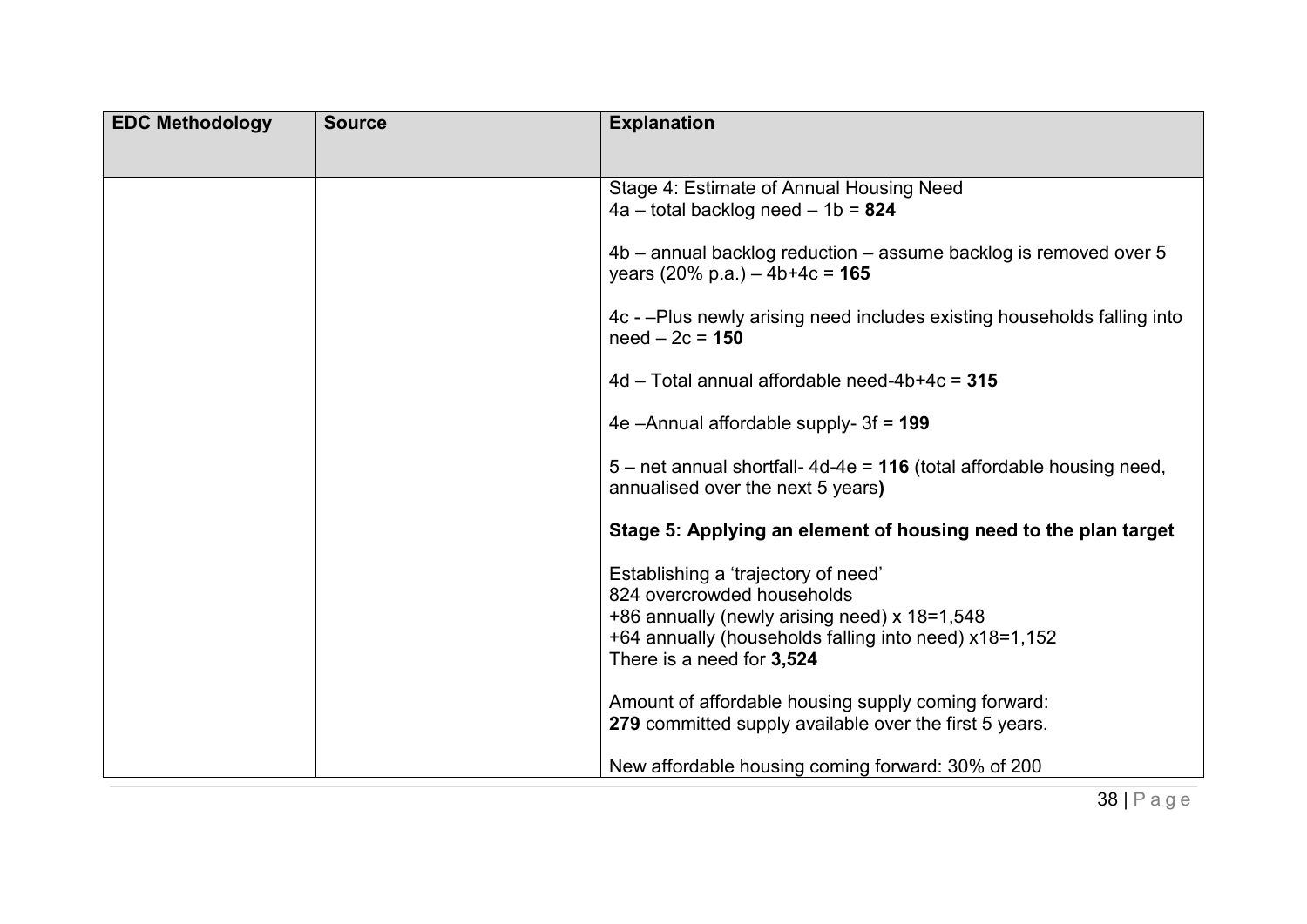| <b>EDC Methodology</b> | <b>Source</b> | <b>Explanation</b>                                                                                                                                                                                      |
|------------------------|---------------|---------------------------------------------------------------------------------------------------------------------------------------------------------------------------------------------------------|
|                        |               | Stage 4: Estimate of Annual Housing Need<br>$4a - total$ backlog need $-1b = 824$                                                                                                                       |
|                        |               | $4b$ – annual backlog reduction – assume backlog is removed over 5<br>years $(20\% \text{ p.a.}) - 4b + 4c = 165$                                                                                       |
|                        |               | 4c - -Plus newly arising need includes existing households falling into<br>$need - 2c = 150$                                                                                                            |
|                        |               | $4d$ – Total annual affordable need-4b+4c = $315$                                                                                                                                                       |
|                        |               | 4e $-A$ nnual affordable supply- $3f = 199$                                                                                                                                                             |
|                        |               | $5$ – net annual shortfall-4d-4e = 116 (total affordable housing need,<br>annualised over the next 5 years)                                                                                             |
|                        |               | Stage 5: Applying an element of housing need to the plan target                                                                                                                                         |
|                        |               | Establishing a 'trajectory of need'<br>824 overcrowded households<br>+86 annually (newly arising need) x 18=1,548<br>+64 annually (households falling into need) x18=1,152<br>There is a need for 3,524 |
|                        |               | Amount of affordable housing supply coming forward:<br>279 committed supply available over the first 5 years.                                                                                           |
|                        |               | New affordable housing coming forward: 30% of 200                                                                                                                                                       |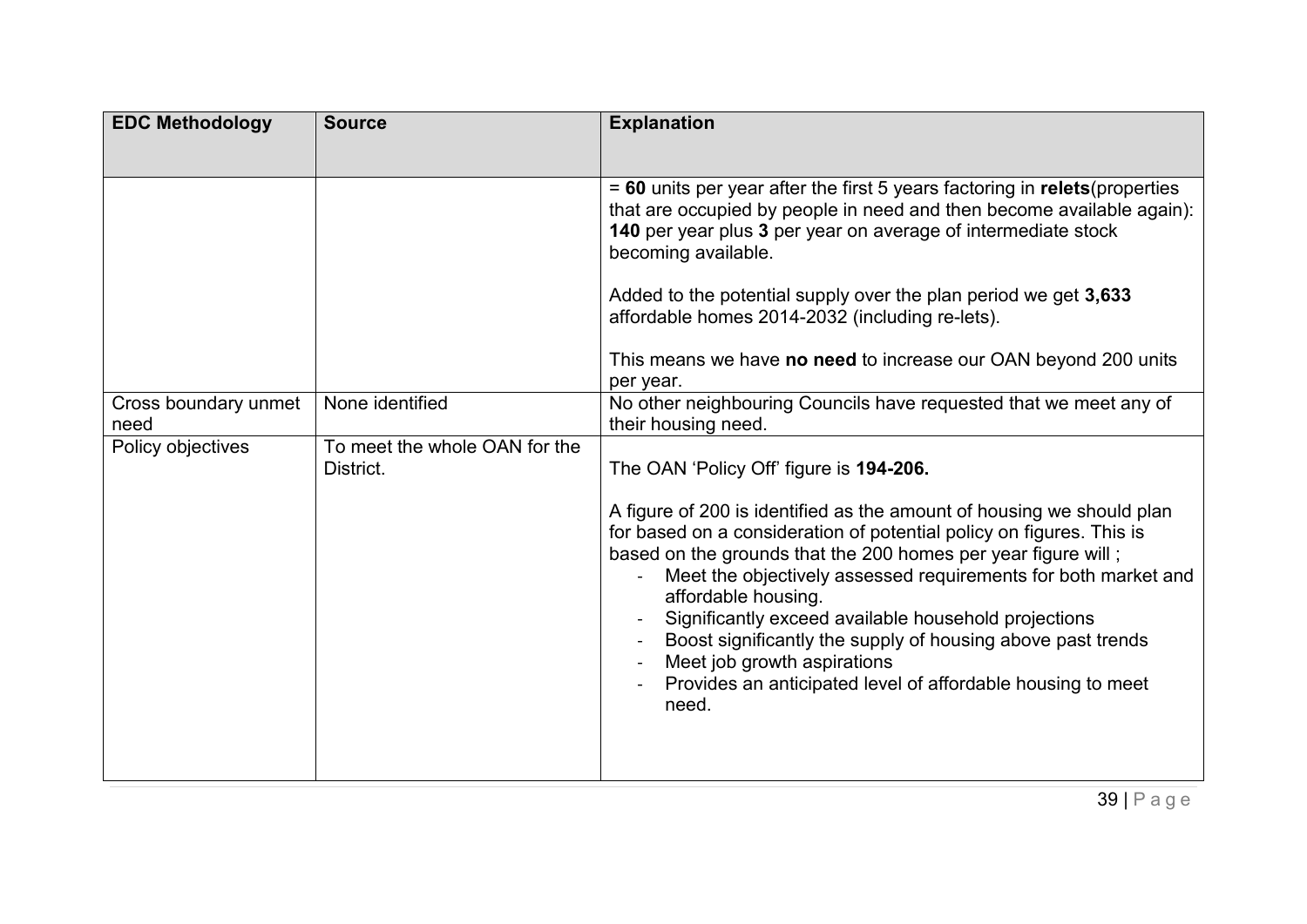| <b>EDC Methodology</b>       | <b>Source</b>                              | <b>Explanation</b>                                                                                                                                                                                                                                                                                                                                                                                                                                                                                                                    |
|------------------------------|--------------------------------------------|---------------------------------------------------------------------------------------------------------------------------------------------------------------------------------------------------------------------------------------------------------------------------------------------------------------------------------------------------------------------------------------------------------------------------------------------------------------------------------------------------------------------------------------|
|                              |                                            |                                                                                                                                                                                                                                                                                                                                                                                                                                                                                                                                       |
|                              |                                            | $= 60$ units per year after the first 5 years factoring in relets (properties<br>that are occupied by people in need and then become available again):<br>140 per year plus 3 per year on average of intermediate stock<br>becoming available.                                                                                                                                                                                                                                                                                        |
|                              |                                            | Added to the potential supply over the plan period we get 3,633<br>affordable homes 2014-2032 (including re-lets).                                                                                                                                                                                                                                                                                                                                                                                                                    |
|                              |                                            | This means we have no need to increase our OAN beyond 200 units<br>per year.                                                                                                                                                                                                                                                                                                                                                                                                                                                          |
| Cross boundary unmet<br>need | None identified                            | No other neighbouring Councils have requested that we meet any of<br>their housing need.                                                                                                                                                                                                                                                                                                                                                                                                                                              |
| Policy objectives            | To meet the whole OAN for the<br>District. | The OAN 'Policy Off' figure is 194-206.                                                                                                                                                                                                                                                                                                                                                                                                                                                                                               |
|                              |                                            | A figure of 200 is identified as the amount of housing we should plan<br>for based on a consideration of potential policy on figures. This is<br>based on the grounds that the 200 homes per year figure will;<br>Meet the objectively assessed requirements for both market and<br>affordable housing.<br>Significantly exceed available household projections<br>Boost significantly the supply of housing above past trends<br>Meet job growth aspirations<br>Provides an anticipated level of affordable housing to meet<br>need. |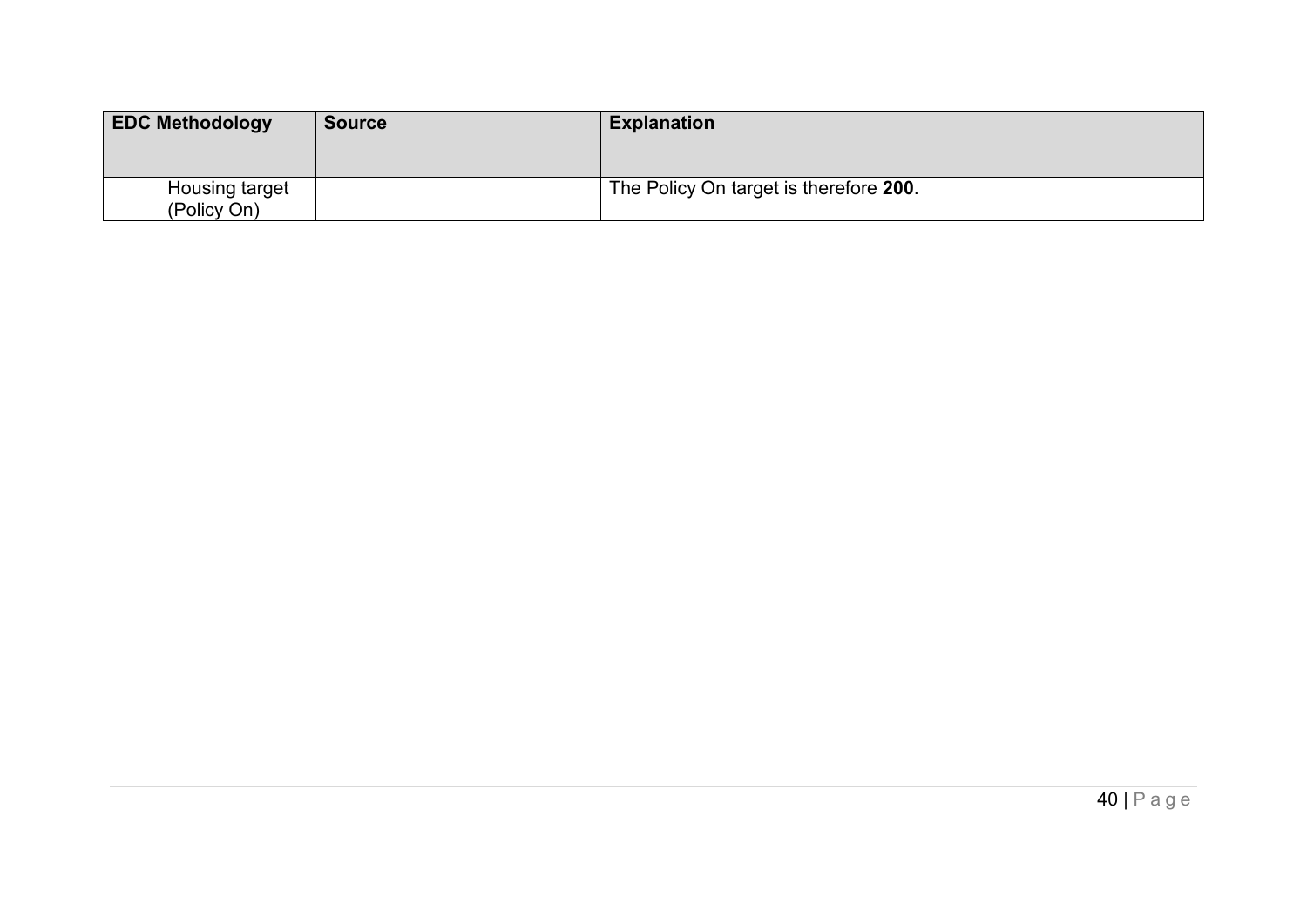| <b>EDC Methodology</b>        | <b>Source</b> | <b>Explanation</b>                     |
|-------------------------------|---------------|----------------------------------------|
| Housing target<br>(Policy On) |               | The Policy On target is therefore 200. |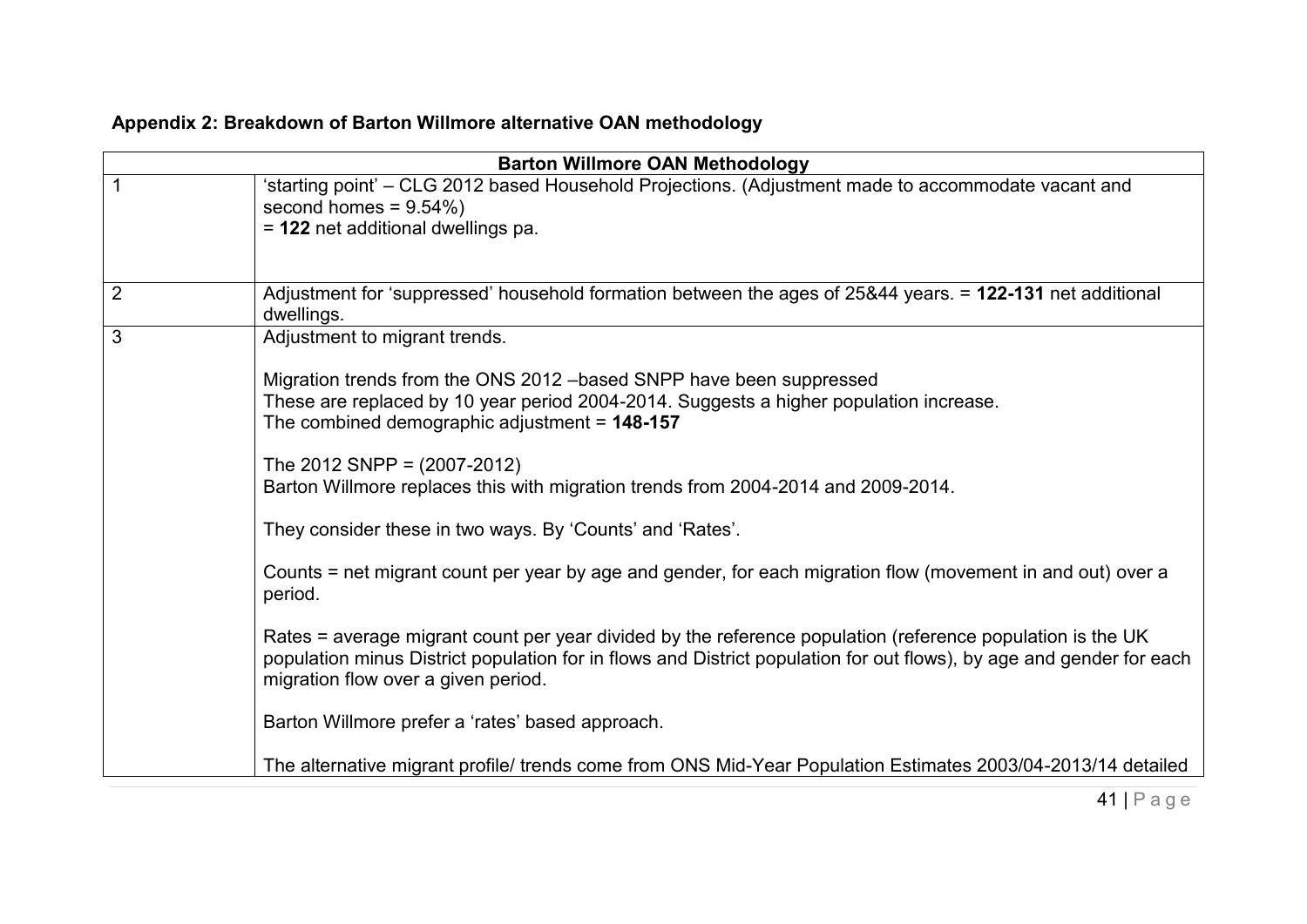<span id="page-40-0"></span>

|                | <b>Barton Willmore OAN Methodology</b>                                                                                                                                                                                                                                                                                                                                                                                                                                                                                                                                                                                                                                        |
|----------------|-------------------------------------------------------------------------------------------------------------------------------------------------------------------------------------------------------------------------------------------------------------------------------------------------------------------------------------------------------------------------------------------------------------------------------------------------------------------------------------------------------------------------------------------------------------------------------------------------------------------------------------------------------------------------------|
|                | 'starting point' – CLG 2012 based Household Projections. (Adjustment made to accommodate vacant and<br>second homes = $9.54\%$ )<br>= 122 net additional dwellings pa.                                                                                                                                                                                                                                                                                                                                                                                                                                                                                                        |
| $\overline{2}$ | Adjustment for 'suppressed' household formation between the ages of 25&44 years. = 122-131 net additional<br>dwellings.                                                                                                                                                                                                                                                                                                                                                                                                                                                                                                                                                       |
| 3              | Adjustment to migrant trends.<br>Migration trends from the ONS 2012 - based SNPP have been suppressed<br>These are replaced by 10 year period 2004-2014. Suggests a higher population increase.<br>The combined demographic adjustment = $148-157$<br>The 2012 SNPP = $(2007-2012)$<br>Barton Willmore replaces this with migration trends from 2004-2014 and 2009-2014.<br>They consider these in two ways. By 'Counts' and 'Rates'.<br>Counts = net migrant count per year by age and gender, for each migration flow (movement in and out) over a<br>period.<br>Rates = average migrant count per year divided by the reference population (reference population is the UK |
|                | population minus District population for in flows and District population for out flows), by age and gender for each<br>migration flow over a given period.<br>Barton Willmore prefer a 'rates' based approach.                                                                                                                                                                                                                                                                                                                                                                                                                                                               |
|                | The alternative migrant profile/ trends come from ONS Mid-Year Population Estimates 2003/04-2013/14 detailed                                                                                                                                                                                                                                                                                                                                                                                                                                                                                                                                                                  |

## **Appendix 2: Breakdown of Barton Willmore alternative OAN methodology**

41 | P a g e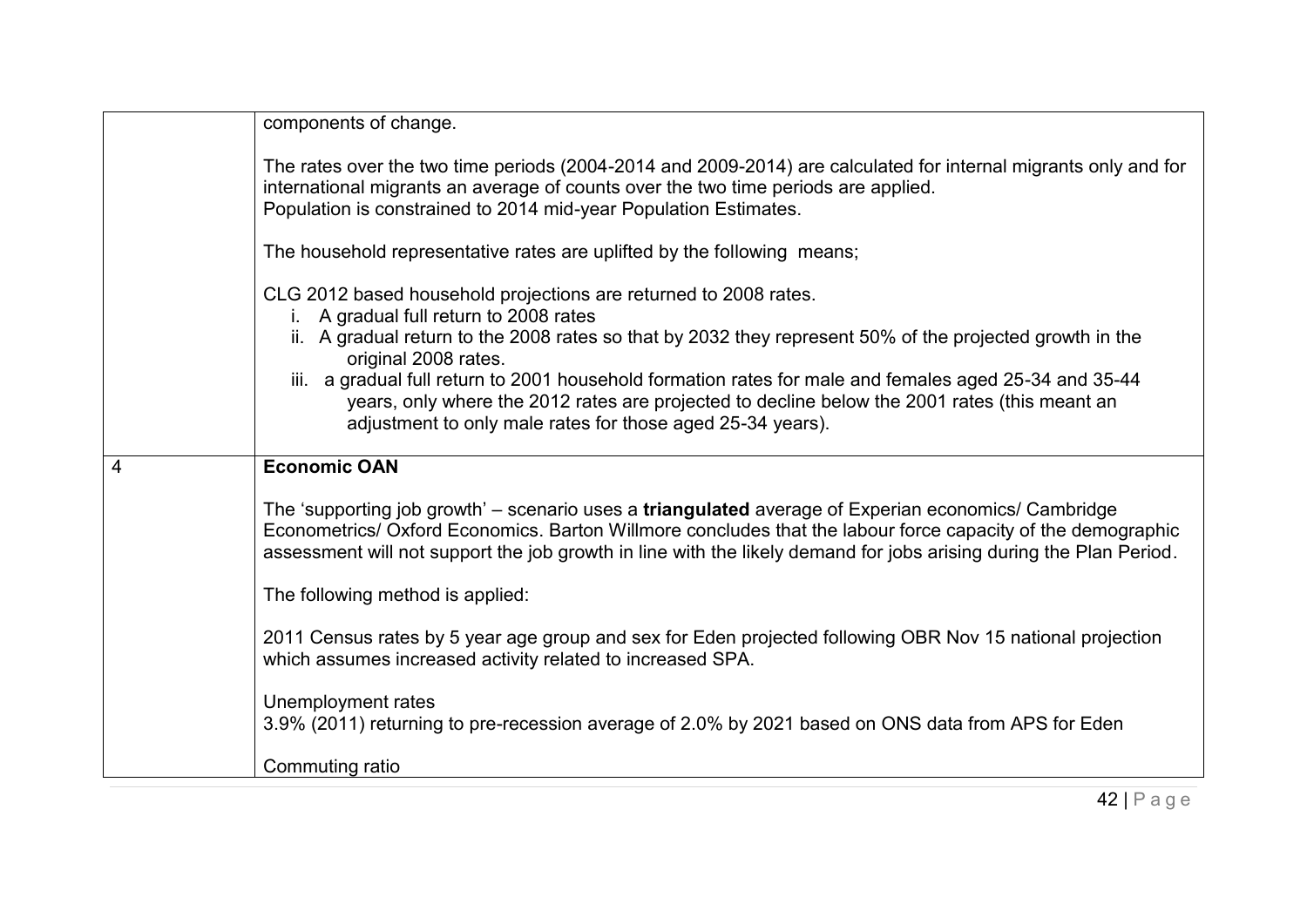|                | components of change.                                                                                                                                                                                                                                                                                                                    |
|----------------|------------------------------------------------------------------------------------------------------------------------------------------------------------------------------------------------------------------------------------------------------------------------------------------------------------------------------------------|
|                | The rates over the two time periods (2004-2014 and 2009-2014) are calculated for internal migrants only and for<br>international migrants an average of counts over the two time periods are applied.<br>Population is constrained to 2014 mid-year Population Estimates.                                                                |
|                | The household representative rates are uplifted by the following means;                                                                                                                                                                                                                                                                  |
|                | CLG 2012 based household projections are returned to 2008 rates.<br>A gradual full return to 2008 rates                                                                                                                                                                                                                                  |
|                | ii. A gradual return to the 2008 rates so that by 2032 they represent 50% of the projected growth in the<br>original 2008 rates.                                                                                                                                                                                                         |
|                | iii. a gradual full return to 2001 household formation rates for male and females aged 25-34 and 35-44<br>years, only where the 2012 rates are projected to decline below the 2001 rates (this meant an<br>adjustment to only male rates for those aged 25-34 years).                                                                    |
| $\overline{4}$ | <b>Economic OAN</b>                                                                                                                                                                                                                                                                                                                      |
|                | The 'supporting job growth' – scenario uses a triangulated average of Experian economics/ Cambridge<br>Econometrics/ Oxford Economics. Barton Willmore concludes that the labour force capacity of the demographic<br>assessment will not support the job growth in line with the likely demand for jobs arising during the Plan Period. |
|                | The following method is applied:                                                                                                                                                                                                                                                                                                         |
|                | 2011 Census rates by 5 year age group and sex for Eden projected following OBR Nov 15 national projection<br>which assumes increased activity related to increased SPA.                                                                                                                                                                  |
|                | Unemployment rates<br>3.9% (2011) returning to pre-recession average of 2.0% by 2021 based on ONS data from APS for Eden                                                                                                                                                                                                                 |
|                | Commuting ratio                                                                                                                                                                                                                                                                                                                          |